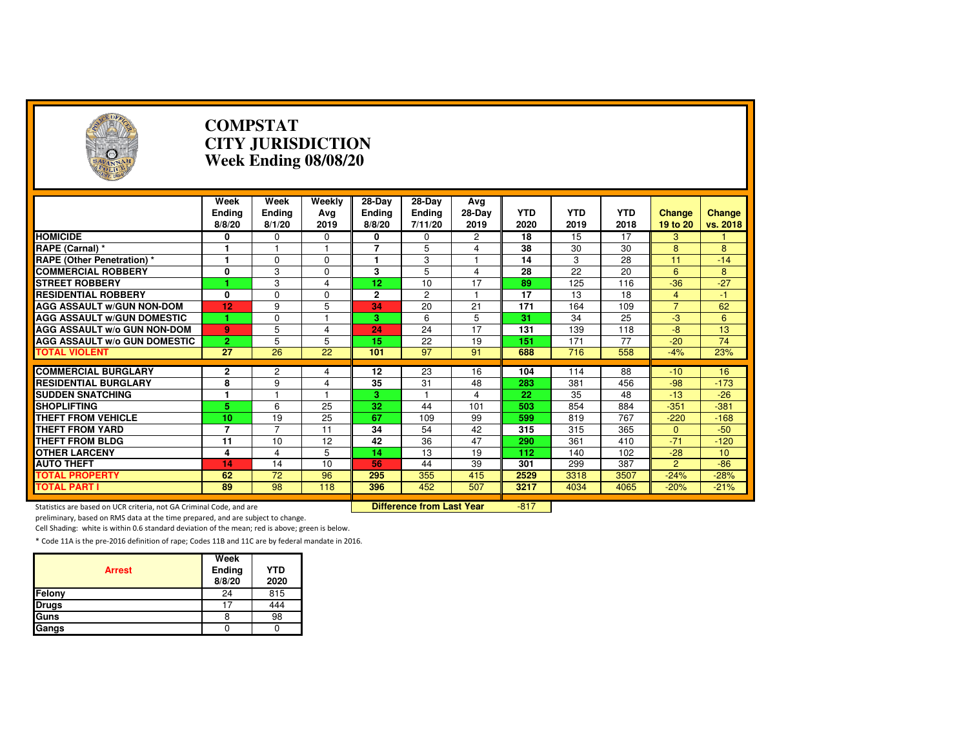| $\left( \frac{1}{2} \right)$                                        | <b>COMPSTAT</b><br><b>CITY JURISDICTION</b><br>Week Ending 08/08/20 |                          |                       |                                   |                                      |                         |                    |                    |                    |                           |                    |
|---------------------------------------------------------------------|---------------------------------------------------------------------|--------------------------|-----------------------|-----------------------------------|--------------------------------------|-------------------------|--------------------|--------------------|--------------------|---------------------------|--------------------|
|                                                                     | Week<br><b>Ending</b><br>8/8/20                                     | Week<br>Ending<br>8/1/20 | Weekly<br>Ava<br>2019 | 28-Day<br><b>Ending</b><br>8/8/20 | $28-Dav$<br><b>Ending</b><br>7/11/20 | Avg<br>$28-Dav$<br>2019 | <b>YTD</b><br>2020 | <b>YTD</b><br>2019 | <b>YTD</b><br>2018 | <b>Change</b><br>19 to 20 | Change<br>vs. 2018 |
| <b>HOMICIDE</b>                                                     | 0                                                                   | 0                        | 0                     | 0                                 | 0                                    | 2                       | 18                 | 15                 | 17                 | 3                         | 1.                 |
| RAPE (Carnal) *                                                     | 1                                                                   | 1                        | 1                     | $\overline{7}$                    | 5                                    | 4                       | 38                 | 30                 | 30                 | 8                         | 8                  |
| RAPE (Other Penetration) *                                          | 1                                                                   | 0                        | $\Omega$              | 1                                 | 3                                    | $\overline{1}$          | 14                 | 3                  | 28                 | 11                        | $-14$              |
| <b>COMMERCIAL ROBBERY</b>                                           | 0                                                                   | 3                        | 0                     | 3                                 | 5                                    | 4                       | 28                 | 22                 | 20                 | 6                         | 8                  |
| <b>STREET ROBBERY</b>                                               |                                                                     | 3                        | 4                     | 12                                | 10                                   | 17                      | 89                 | 125                | 116                | $-36$                     | $-27$              |
| <b>RESIDENTIAL ROBBERY</b>                                          | 0                                                                   | $\Omega$                 | $\Omega$              | $\overline{2}$                    | $\overline{c}$                       | $\mathbf{1}$            | 17                 | 13                 | 18                 | $\overline{4}$            | $-1$               |
| <b>AGG ASSAULT W/GUN NON-DOM</b>                                    | 12                                                                  | 9                        | 5                     | 34                                | 20                                   | 21                      | 171                | 164                | 109                | $\overline{7}$            | 62                 |
| <b>AGG ASSAULT WGUN DOMESTIC</b>                                    |                                                                     | 0                        |                       | 3                                 | 6                                    | 5                       | $\overline{31}$    | 34                 | 25                 | $\overline{a}$            | 6                  |
| <b>AGG ASSAULT W/o GUN NON-DOM</b>                                  | 9                                                                   | 5                        | 4                     | 24                                | 24                                   | 17                      | 131                | 139                | 118                | $-8$                      | 13                 |
| <b>AGG ASSAULT w/o GUN DOMESTIC</b>                                 | $\overline{2}$                                                      | 5                        | 5                     | 15                                | 22                                   | 19                      | 151                | 171                | 77                 | $-20$                     | 74                 |
| <b>TOTAL VIOLENT</b>                                                | $\overline{27}$                                                     | $\overline{26}$          | 22                    | 101                               | 97                                   | 91                      | 688                | 716                | 558                | $-4%$                     | 23%                |
| <b>COMMERCIAL BURGLARY</b>                                          |                                                                     |                          |                       | 12                                | 23                                   | 16                      | 104                | 114                | 88                 | $-10$                     | 16                 |
| <b>RESIDENTIAL BURGLARY</b>                                         | 2<br>8                                                              | 2<br>9                   | 4<br>4                | 35                                | 31                                   | 48                      | 283                | 381                | 456                | $-98$                     | $-173$             |
| <b>SUDDEN SNATCHING</b>                                             | 1                                                                   | 1                        | $\mathbf{1}$          | 3                                 | 1                                    | 4                       | 22                 | 35                 | 48                 | $-13$                     | $-26$              |
| <b>SHOPLIFTING</b>                                                  | 5.                                                                  | 6                        | 25                    | 32                                | 44                                   | 101                     | 503                | 854                | 884                | $-351$                    | $-381$             |
| <b>THEFT FROM VEHICLE</b>                                           | 10                                                                  | 19                       | 25                    | 67                                | 109                                  | 99                      | 599                | 819                | 767                | $-220$                    | $-168$             |
| <b>THEFT FROM YARD</b>                                              | $\overline{7}$                                                      | $\overline{7}$           | 11                    | 34                                | 54                                   | 42                      | 315                | 315                | 365                | $\overline{0}$            | $-50$              |
| <b>THEFT FROM BLDG</b>                                              | 11                                                                  | 10                       | 12                    | $\overline{42}$                   | 36                                   | 47                      | 290                | 361                | 410                | $-71$                     | $-120$             |
| <b>OTHER LARCENY</b>                                                | 4                                                                   | 4                        | 5                     | 14                                | 13                                   | 19                      | 112                | 140                | 102                | $-28$                     | 10                 |
| <b>AUTO THEFT</b>                                                   | 14                                                                  | 14                       | 10                    | 56                                | 44                                   | 39                      | 301                | 299                | 387                | $\overline{2}$            | $-86$              |
| <b>TOTAL PROPERTY</b>                                               | 62                                                                  | $\overline{72}$          | 96                    | 295                               | 355                                  | 415                     | 2529               | 3318               | 3507               | $-24%$                    | $-28%$             |
| <b>TOTAL PART I</b>                                                 | 89                                                                  | 98                       | 118                   | 396                               | 452                                  | 507                     | 3217               | 4034               | 4065               | $-20%$                    | $-21%$             |
| Statistics are based on UCR criteria, not GA Criminal Code, and are |                                                                     |                          |                       |                                   | <b>Difference from Last Year</b>     |                         | $-817$             |                    |                    |                           |                    |

preliminary, based on RMS data at the time prepared, and are subject to change.

Cell Shading: white is within 0.6 standard deviation of the mean; red is above; green is below.

| <b>Arrest</b> | Week<br>Ending<br>8/8/20 | <b>YTD</b><br>2020 |
|---------------|--------------------------|--------------------|
| Felony        | 24                       | 815                |
| <b>Drugs</b>  | 17                       | 444                |
| Guns          | 8                        | 98                 |
| Gangs         |                          |                    |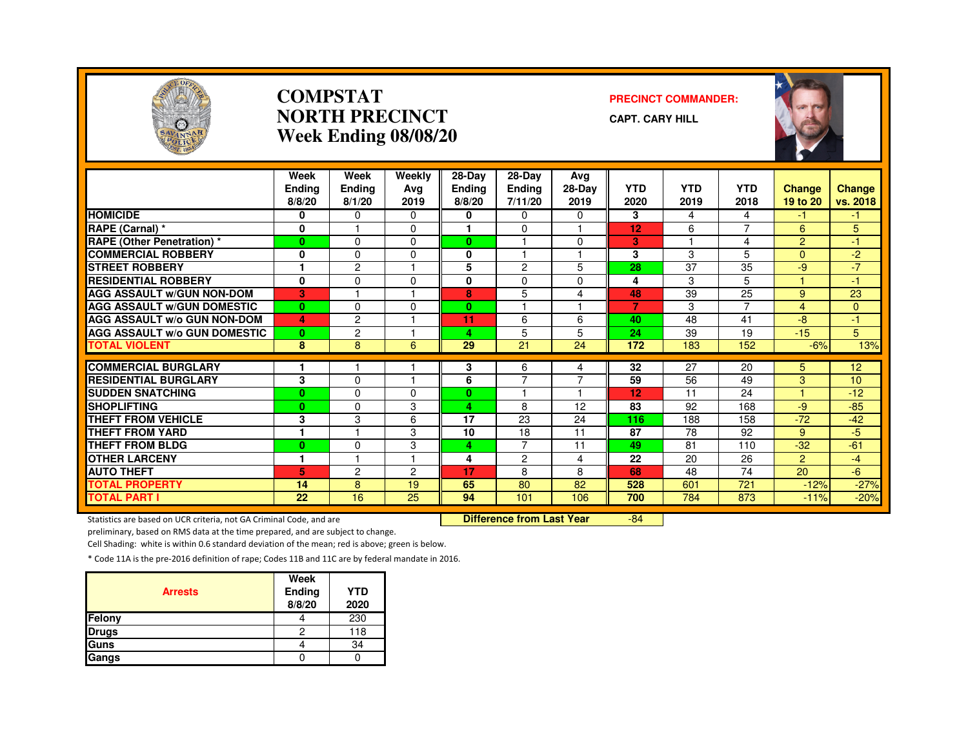

#### **COMPSTATNORTH PRECINCTWeek Ending 08/08/20**

#### **PRECINCT COMMANDER:**

**CAPT. CARY HILL**



|                                     | Week<br><b>Endina</b><br>8/8/20 | Week<br><b>Ending</b><br>8/1/20 | Weekly<br>Ava<br>2019 | $28 - Day$<br><b>Endina</b><br>8/8/20 | 28-Day<br><b>Ending</b><br>7/11/20 | Avg<br>28-Day<br>2019   | <b>YTD</b><br>2020 | <b>YTD</b><br>2019 | <b>YTD</b><br>2018       | <b>Change</b><br>19 to 20 | Change<br>vs. 2018 |
|-------------------------------------|---------------------------------|---------------------------------|-----------------------|---------------------------------------|------------------------------------|-------------------------|--------------------|--------------------|--------------------------|---------------------------|--------------------|
| <b>HOMICIDE</b>                     | 0                               | $\Omega$                        | 0                     | 0                                     | 0                                  | 0                       | 3                  | 4                  | 4                        | -1                        | -1.                |
| RAPE (Carnal) *                     | $\mathbf{0}$                    |                                 | $\Omega$              |                                       | $\Omega$                           |                         | 12                 | 6                  | $\overline{\phantom{0}}$ | 6                         | 5                  |
| RAPE (Other Penetration) *          | $\bf{0}$                        | $\Omega$                        | 0                     | 0                                     |                                    | $\Omega$                | 3                  |                    | 4                        | $\overline{2}$            | $-1$               |
| <b>COMMERCIAL ROBBERY</b>           | 0                               | $\Omega$                        | 0                     | 0                                     |                                    |                         | 3                  | 3                  | 5                        | $\Omega$                  | $-2$               |
| <b>STREET ROBBERY</b>               | 1                               | $\overline{c}$                  |                       | 5                                     | 2                                  | 5                       | 28                 | 37                 | 35                       | $-9$                      | $-7$               |
| <b>RESIDENTIAL ROBBERY</b>          | 0                               | $\Omega$                        | <sup>0</sup>          | 0                                     | $\Omega$                           | $\Omega$                | 4                  | 3                  | 5                        |                           | -1                 |
| <b>AGG ASSAULT W/GUN NON-DOM</b>    | 3                               |                                 |                       | 8                                     | 5                                  | 4                       | 48                 | 39                 | 25                       | 9                         | 23                 |
| <b>AGG ASSAULT W/GUN DOMESTIC</b>   | $\bf{0}$                        | $\Omega$                        | 0                     | 0                                     | ٠                                  | $\overline{\mathbf{1}}$ | $\overline{7}$     | 3                  | $\overline{ }$           | 4                         | $\Omega$           |
| <b>AGG ASSAULT W/o GUN NON-DOM</b>  | 4                               | $\overline{c}$                  |                       | 11                                    | 6                                  | 6                       | 40                 | 48                 | 41                       | -8                        | -1.                |
| <b>AGG ASSAULT W/o GUN DOMESTIC</b> | $\bf{0}$                        | $\overline{c}$                  |                       | 4                                     | 5                                  | 5                       | 24                 | 39                 | 19                       | $-15$                     | 5                  |
| <b>TOTAL VIOLENT</b>                | 8                               | 8                               | 6                     | 29                                    | 21                                 | 24                      | 172                | 183                | 152                      | $-6%$                     | 13%                |
|                                     |                                 |                                 |                       |                                       |                                    |                         |                    |                    |                          |                           |                    |
| <b>COMMERCIAL BURGLARY</b>          |                                 |                                 |                       | 3                                     | 6<br>$\overline{7}$                | 4<br>7                  | 32                 | 27                 | 20                       | 5                         | 12 <sub>2</sub>    |
| <b>RESIDENTIAL BURGLARY</b>         | 3                               | $\Omega$                        | $\Omega$              | 6                                     |                                    | 1                       | 59                 | 56                 | 49                       | 3                         | 10 <sup>10</sup>   |
| <b>SUDDEN SNATCHING</b>             | $\mathbf{0}$                    | $\Omega$                        |                       | 0                                     |                                    |                         | 12                 | 11                 | 24                       |                           | $-12$              |
| <b>SHOPLIFTING</b>                  | $\mathbf{0}$                    | $\Omega$                        | 3                     | 4                                     | 8                                  | 12                      | 83                 | 92                 | 168                      | -9                        | $-85$              |
| <b>THEFT FROM VEHICLE</b>           | 3                               | 3                               | 6                     | 17                                    | 23                                 | 24                      | 116                | 188                | 158                      | $-72$                     | $-42$              |
| THEFT FROM YARD                     | 1                               |                                 | 3                     | 10                                    | 18<br>$\overline{7}$               | 11                      | 87                 | 78                 | 92                       | 9                         | $-5$               |
| <b>THEFT FROM BLDG</b>              | $\bf{0}$                        | $\Omega$                        | 3                     | 4                                     |                                    | 11                      | 49                 | 81                 | 110                      | $-32$                     | $-61$              |
| <b>OTHER LARCENY</b>                | 1                               |                                 |                       | 4                                     | $\overline{c}$                     | 4                       | 22                 | 20                 | 26                       | $\overline{2}$            | $-4$               |
| <b>AUTO THEFT</b>                   | 5                               | $\overline{c}$                  | 2                     | 17                                    | 8                                  | 8                       | 68                 | 48                 | 74                       | 20                        | $-6$               |
| <b>TOTAL PROPERTY</b>               | 14                              | 8                               | 19                    | 65                                    | 80                                 | 82                      | 528                | 601                | 721                      | $-12%$                    | $-27%$             |
| <b>TOTAL PART I</b>                 | 22                              | 16                              | $\overline{25}$       | 94                                    | 101                                | 106                     | 700                | 784                | 873                      | $-11%$                    | $-20%$             |

Statistics are based on UCR criteria, not GA Criminal Code, and are **Difference from Last Year** 

-84

preliminary, based on RMS data at the time prepared, and are subject to change.

Cell Shading: white is within 0.6 standard deviation of the mean; red is above; green is below.

| <b>Arrests</b> | Week<br>Ending<br>8/8/20 | <b>YTD</b><br>2020 |
|----------------|--------------------------|--------------------|
| Felony         |                          | 230                |
| <b>Drugs</b>   | 2                        | 118                |
| Guns           |                          | 34                 |
| Gangs          |                          |                    |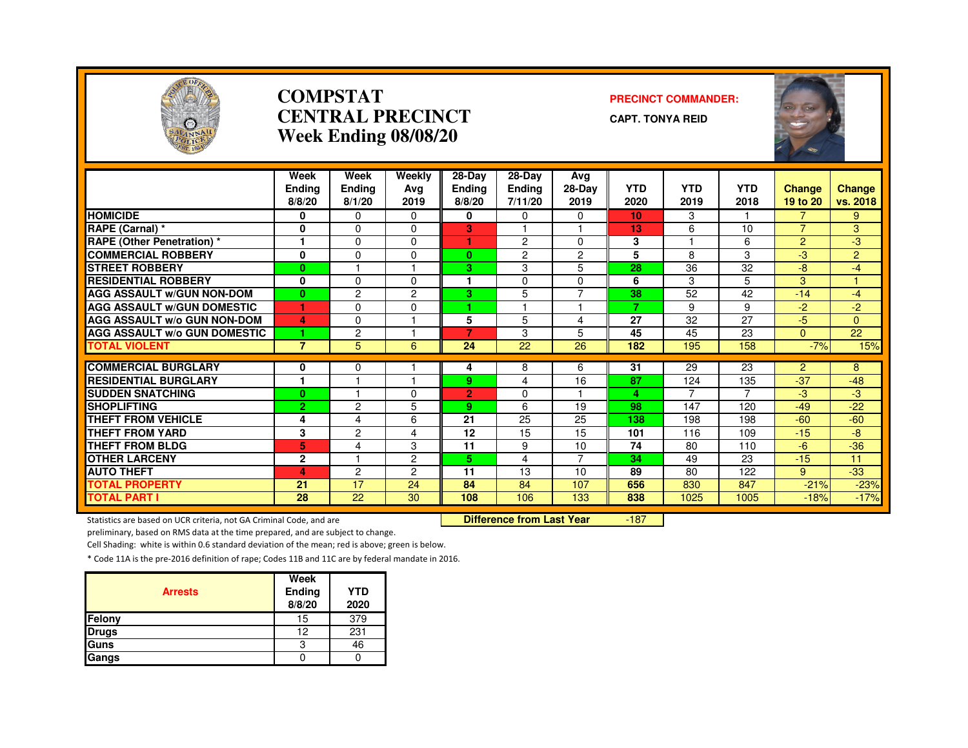

# **COMPSTATCENTRAL PRECINCT**

#### **PRECINCT COMMANDER:**

**CAPT. TONYA REID**

| SAVANNAH                            |                                 |                                 | Week Ending 08/08/20  |                                     |                                    |                         |                    |                    |                    | stag               |                           |
|-------------------------------------|---------------------------------|---------------------------------|-----------------------|-------------------------------------|------------------------------------|-------------------------|--------------------|--------------------|--------------------|--------------------|---------------------------|
|                                     | Week<br><b>Ending</b><br>8/8/20 | Week<br><b>Ending</b><br>8/1/20 | Weekly<br>Avg<br>2019 | $28-Dav$<br><b>Ending</b><br>8/8/20 | 28-Day<br><b>Ending</b><br>7/11/20 | Avg<br>$28-Dav$<br>2019 | <b>YTD</b><br>2020 | <b>YTD</b><br>2019 | <b>YTD</b><br>2018 | Change<br>19 to 20 | <b>Change</b><br>vs. 2018 |
| <b>HOMICIDE</b>                     | 0                               | $\Omega$                        | $\Omega$              | 0                                   | 0                                  | $\Omega$                | 10                 | 3                  |                    | 7                  | 9                         |
| RAPE (Carnal) *                     | 0                               | $\Omega$                        | 0                     | 3                                   |                                    |                         | 13                 | 6                  | 10                 | $\overline{7}$     | 3                         |
| <b>RAPE (Other Penetration)*</b>    | 1                               | $\Omega$                        | $\Omega$              | 1                                   | 2                                  | $\Omega$                | 3                  | 1                  | 6                  | $\overline{2}$     | -3                        |
| <b>COMMERCIAL ROBBERY</b>           | 0                               | $\Omega$                        | $\Omega$              | $\bf{0}$                            | $\overline{c}$                     | $\overline{c}$          | 5                  | 8                  | 3                  | $-3$               | $\overline{2}$            |
| <b>STREET ROBBERY</b>               | $\bf{0}$                        |                                 |                       | З.                                  | 3                                  | 5                       | 28                 | 36                 | 32                 | $-8$               | $-4$                      |
| <b>RESIDENTIAL ROBBERY</b>          | 0                               | $\Omega$                        | $\Omega$              | $\mathbf 1$                         | $\Omega$                           | $\Omega$                | 6                  | 3                  | 5                  | 3                  |                           |
| <b>AGG ASSAULT w/GUN NON-DOM</b>    | $\bf{0}$                        | $\overline{c}$                  | $\overline{c}$        | З.                                  | 5                                  |                         | $\overline{38}$    | $\overline{52}$    | 42                 | $-14$              | $-4$                      |
| <b>AGG ASSAULT w/GUN DOMESTIC</b>   |                                 | $\Omega$                        | $\Omega$              | 1.                                  |                                    |                         |                    | 9                  | 9                  | $-2$               | $-2$                      |
| <b>AGG ASSAULT w/o GUN NON-DOM</b>  | 4                               | $\mathbf 0$                     |                       | 5                                   | 5                                  | 4                       | 27                 | 32                 | 27                 | $-5$               | $\Omega$                  |
| <b>AGG ASSAULT w/o GUN DOMESTIC</b> | 1.                              | $\overline{c}$                  |                       | $\overline{7}$                      | 3                                  | 5                       | 45                 | 45                 | 23                 | $\Omega$           | 22                        |
| <b>TOTAL VIOLENT</b>                | $\overline{7}$                  | 5                               | 6                     | 24                                  | 22                                 | 26                      | 182                | 195                | 158                | $-7%$              | 15%                       |
| <b>COMMERCIAL BURGLARY</b>          |                                 |                                 |                       |                                     |                                    | 6                       | 31                 |                    |                    | $\overline{2}$     |                           |
| <b>RESIDENTIAL BURGLARY</b>         | 0<br>1                          | $\Omega$                        |                       | 4<br>9.                             | 8<br>4                             | 16                      | 87                 | 29<br>124          | 23<br>135          | $-37$              | 8<br>$-48$                |
| <b>SUDDEN SNATCHING</b>             |                                 |                                 | $\Omega$              | $\overline{2}$                      | $\Omega$                           |                         | 4                  |                    | $\overline{7}$     | $-3$               | $-3$                      |
| <b>SHOPLIFTING</b>                  | $\bf{0}$<br>$\overline{2}$      | $\overline{c}$                  | 5                     | 9                                   | 6                                  | 19                      | 98                 | 147                | 120                | $-49$              | $-22$                     |
| <b>THEFT FROM VEHICLE</b>           | 4                               | 4                               | 6                     | 21                                  | 25                                 | 25                      | 138                | 198                | 198                | $-60$              | $-60$                     |
| <b>THEFT FROM YARD</b>              | 3                               | 2                               | 4                     | 12                                  | 15                                 | 15                      | 101                | 116                | 109                | $-15$              | $-8$                      |
| THEFT FROM BLDG                     | 5                               | 4                               | 3                     | 11                                  | 9                                  | 10                      | 74                 | 80                 | 110                | $-6$               | $-36$                     |
| <b>OTHER LARCENY</b>                | $\mathbf{2}$                    |                                 | $\overline{c}$        | 5.                                  | 4                                  | $\overline{7}$          | 34                 | 49                 | 23                 | $-15$              | 11                        |
| <b>AUTO THEFT</b>                   | 4                               | 2                               | $\overline{2}$        | 11                                  | 13                                 | 10                      | 89                 | 80                 | 122                | 9                  | $-33$                     |
| <b>TOTAL PROPERTY</b>               | 21                              | 17                              | 24                    | 84                                  | 84                                 | 107                     | 656                | 830                | 847                | $-21%$             | $-23%$                    |
| <b>TOTAL PART I</b>                 | 28                              | 22                              | 30                    | 108                                 | 106                                | 133                     | 838                | 1025               | 1005               | $-18%$             | $-17%$                    |
|                                     |                                 |                                 |                       |                                     |                                    |                         |                    |                    |                    |                    |                           |

Statistics are based on UCR criteria, not GA Criminal Code, and are **Difference from Last Year** 

-187

preliminary, based on RMS data at the time prepared, and are subject to change.

Cell Shading: white is within 0.6 standard deviation of the mean; red is above; green is below.

| <b>Arrests</b> | Week<br>Ending<br>8/8/20 | <b>YTD</b><br>2020 |
|----------------|--------------------------|--------------------|
| Felony         | 15                       | 379                |
| <b>Drugs</b>   | 12                       | 231                |
| Guns           | 3                        | 46                 |
| Gangs          |                          |                    |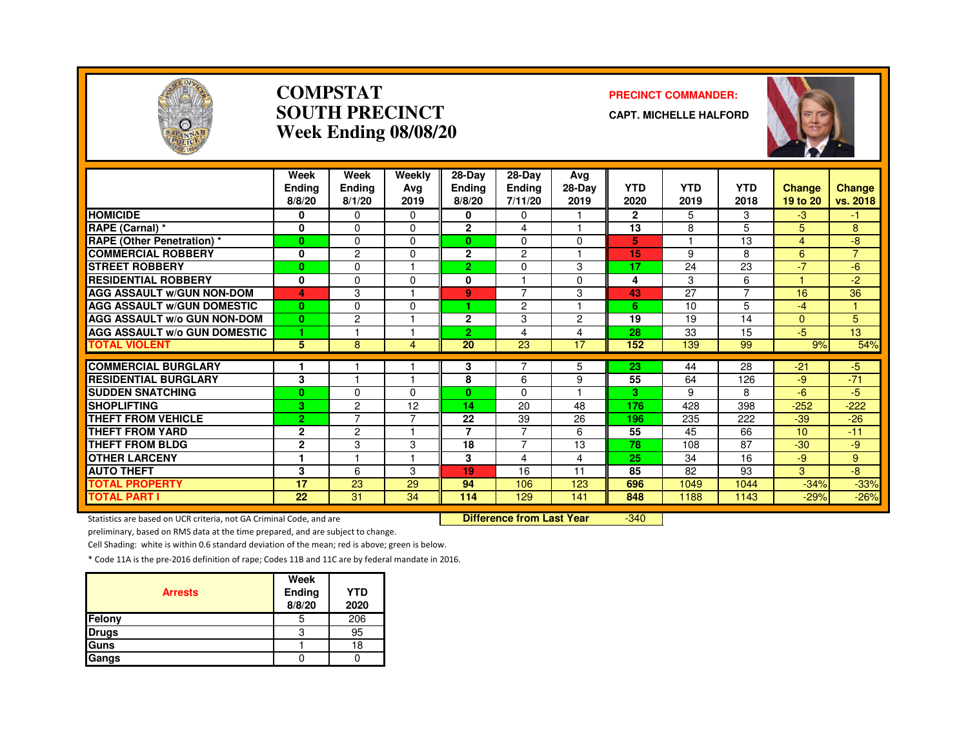

#### **COMPSTATSOUTH PRECINCTWeek Ending 08/08/20**

#### **PRECINCT COMMANDER:**

**CAPT. MICHELLE HALFORD**



|                                     | Week<br>Endina<br>8/8/20 | Week<br><b>Ending</b><br>8/1/20 | Weekly<br>Avg<br>2019 | 28-Day<br><b>Ending</b><br>8/8/20 | $28-Dav$<br><b>Ending</b><br>7/11/20 | Ava<br>28-Day<br>2019 | <b>YTD</b><br>2020 | <b>YTD</b><br>2019 | <b>YTD</b><br>2018 | <b>Change</b><br>19 to 20 | <b>Change</b><br>vs. 2018 |
|-------------------------------------|--------------------------|---------------------------------|-----------------------|-----------------------------------|--------------------------------------|-----------------------|--------------------|--------------------|--------------------|---------------------------|---------------------------|
| <b>HOMICIDE</b>                     | 0                        | $\mathbf{0}$                    | $\Omega$              | 0                                 | $\Omega$                             |                       | $\mathbf{2}$       | 5                  | 3                  | $-3$                      | -1.                       |
| RAPE (Carnal) *                     | $\mathbf 0$              | $\Omega$                        | $\Omega$              | $\mathbf{2}$                      | 4                                    |                       | 13                 | 8                  | 5                  | 5                         | 8                         |
| <b>RAPE (Other Penetration)</b> *   | $\bf{0}$                 | $\Omega$                        | $\Omega$              | 0                                 | $\Omega$                             | $\Omega$              | 5                  |                    | 13                 | 4                         | -8                        |
| <b>COMMERCIAL ROBBERY</b>           | $\mathbf 0$              | $\overline{c}$                  | $\Omega$              | $\mathbf{2}$                      | $\overline{c}$                       |                       | 15                 | 9                  | 8                  | 6                         | $\overline{7}$            |
| <b>STREET ROBBERY</b>               | $\bf{0}$                 | $\Omega$                        |                       | $\overline{2}$                    | $\Omega$                             | 3                     | 17                 | 24                 | 23                 | $-7$                      | -6                        |
| <b>RESIDENTIAL ROBBERY</b>          | 0                        | $\Omega$                        | O                     | 0                                 |                                      | $\Omega$              | 4                  | 3                  | 6                  |                           | $-2$                      |
| <b>AGG ASSAULT W/GUN NON-DOM</b>    | 4                        | 3                               |                       | 9                                 | $\overline{7}$                       | 3                     | 43                 | 27                 | $\overline{7}$     | 16                        | 36                        |
| <b>AGG ASSAULT W/GUN DOMESTIC</b>   | $\bf{0}$                 | $\Omega$                        | $\Omega$              |                                   | 2                                    |                       | 6                  | 10                 | 5                  | $-4$                      | $\overline{\mathbf{1}}$   |
| <b>AGG ASSAULT w/o GUN NON-DOM</b>  | $\bf{0}$                 | $\overline{c}$                  |                       | $\mathbf{2}$                      | 3                                    | $\overline{2}$        | 19                 | 19                 | 14                 | $\Omega$                  | 5                         |
| <b>AGG ASSAULT w/o GUN DOMESTIC</b> | 1                        |                                 |                       | 2.                                | 4                                    | $\overline{4}$        | 28                 | 33                 | 15                 | $-5$                      | 13 <sup>°</sup>           |
| <b>TOTAL VIOLENT</b>                | 5                        | 8                               | 4                     | 20                                | 23                                   | 17                    | 152                | 139                | 99                 | 9%                        | 54%                       |
| <b>COMMERCIAL BURGLARY</b>          |                          |                                 |                       | 3                                 | 7                                    | 5                     | 23                 | 44                 | 28                 | $-21$                     | $-5$                      |
| <b>RESIDENTIAL BURGLARY</b>         | 3                        |                                 |                       | 8                                 | 6                                    | 9                     | 55                 | 64                 | 126                | -9                        | $-71$                     |
| <b>SUDDEN SNATCHING</b>             | $\bf{0}$                 | $\Omega$                        | <sup>0</sup>          | 0                                 | $\Omega$                             |                       | 3                  | 9                  | 8                  | $-6$                      | -5                        |
| <b>SHOPLIFTING</b>                  | 3                        | $\overline{c}$                  | 12                    | 14                                | 20                                   | 48                    | 176                | 428                | 398                | $-252$                    | $-222$                    |
| THEFT FROM VEHICLE                  | $\overline{2}$           | $\overline{7}$                  | ⇁                     | 22                                | 39                                   | 26                    | 196                | 235                | 222                | $-39$                     | $-26$                     |
| <b>THEFT FROM YARD</b>              | $\mathbf{2}$             | 2                               |                       | 7                                 | 7                                    | 6                     | 55                 | 45                 | 66                 | 10                        | $-11$                     |
| <b>THEFT FROM BLDG</b>              | $\mathbf{2}$             | 3                               | 3                     | 18                                | 7                                    | 13                    | 78                 | 108                | 87                 | $-30$                     | -9                        |
| <b>OTHER LARCENY</b>                | 1                        | м                               |                       | 3                                 | 4                                    | 4                     | 25                 | 34                 | 16                 | -9                        | 9                         |
| <b>AUTO THEFT</b>                   | 3                        | 6                               | 3                     | 19                                | 16                                   | 11                    | 85                 | 82                 | 93                 | 3                         | -8                        |
| <b>TOTAL PROPERTY</b>               | 17                       | 23                              | 29                    | 94                                | 106                                  | 123                   | 696                | 1049               | 1044               | $-34%$                    | $-33%$                    |
| <b>TOTAL PART I</b>                 | 22                       | 31                              | 34                    | 114                               | 129                                  | 141                   | 848                | 1188               | 1143               | $-29%$                    | $-26%$                    |

Statistics are based on UCR criteria, not GA Criminal Code, and are **Difference from Last Year** 

-340

preliminary, based on RMS data at the time prepared, and are subject to change.

Cell Shading: white is within 0.6 standard deviation of the mean; red is above; green is below.

| <b>Arrests</b> | Week<br>Ending<br>8/8/20 | <b>YTD</b><br>2020 |
|----------------|--------------------------|--------------------|
| Felony         | ხ                        | 206                |
| <b>Drugs</b>   | 3                        | 95                 |
| Guns           |                          | 18                 |
| Gangs          |                          |                    |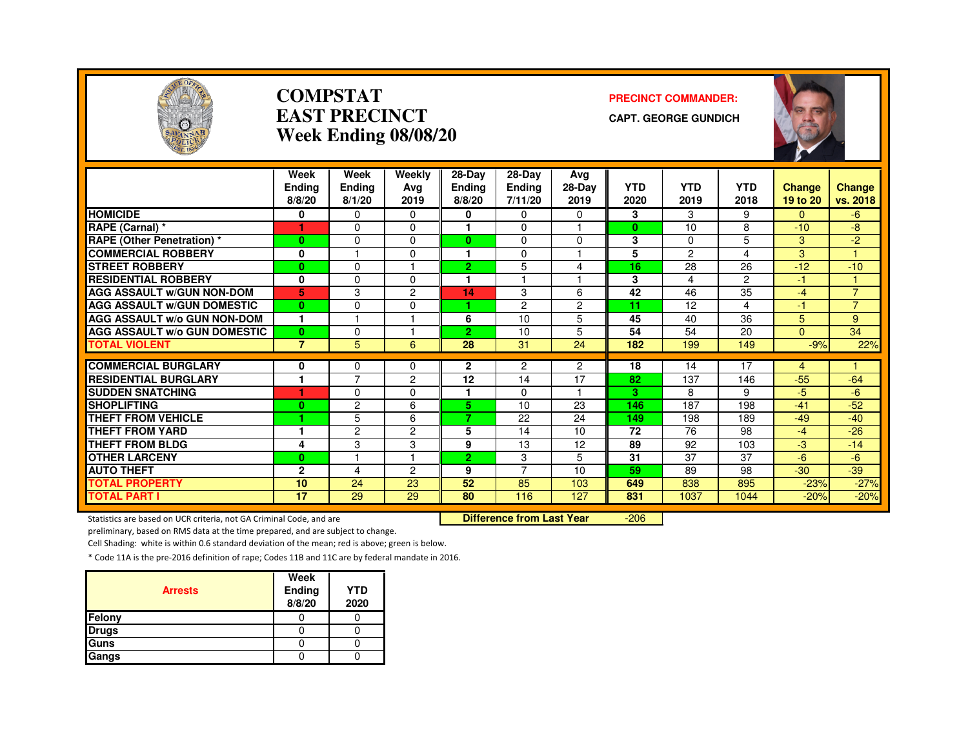

#### **COMPSTATEAST PRECINCTWeek Ending 08/08/20**

#### **PRECINCT COMMANDER:**

**CAPT. GEORGE GUNDICH**



|                                     | Week<br>Endina<br>8/8/20 | Week<br>Ending<br>8/1/20 | Weekly<br>Ava<br>2019 | 28-Day<br><b>Ending</b><br>8/8/20 | $28$ -Day<br>Ending<br>7/11/20 | Ava<br>28-Day<br>2019 | <b>YTD</b><br>2020 | <b>YTD</b><br>2019 | <b>YTD</b><br>2018 | Change<br>19 to 20 | Change<br>vs. 2018 |
|-------------------------------------|--------------------------|--------------------------|-----------------------|-----------------------------------|--------------------------------|-----------------------|--------------------|--------------------|--------------------|--------------------|--------------------|
| <b>HOMICIDE</b>                     | 0                        | $\Omega$                 | $\Omega$              | 0                                 | 0                              | 0                     | 3                  | 3                  | 9                  | $\Omega$           | -6                 |
| RAPE (Carnal) *                     |                          | $\Omega$                 | $\Omega$              |                                   | 0                              | 1                     | $\bf{0}$           | 10                 | 8                  | $-10$              | -8                 |
| <b>RAPE (Other Penetration) *</b>   | $\bf{0}$                 | $\Omega$                 | $\Omega$              | $\bf{0}$                          | 0                              | 0                     | 3                  | $\Omega$           | 5                  | 3                  | $-2$               |
| <b>COMMERCIAL ROBBERY</b>           | 0                        |                          | 0                     | 1                                 | 0                              |                       | 5                  | 2                  | 4                  | 3                  |                    |
| <b>STREET ROBBERY</b>               | $\bf{0}$                 | $\Omega$                 |                       | $\overline{2}$                    | 5                              | 4                     | 16                 | 28                 | 26                 | $-12$              | $-10$              |
| <b>RESIDENTIAL ROBBERY</b>          | 0                        | $\Omega$                 | $\Omega$              |                                   |                                |                       | 3                  | 4                  | 2                  | $-1$               |                    |
| <b>AGG ASSAULT W/GUN NON-DOM</b>    | 5.                       | 3                        | $\overline{c}$        | 14                                | 3                              | 6                     | 42                 | 46                 | 35                 | $-4$               | $\overline{7}$     |
| <b>AGG ASSAULT W/GUN DOMESTIC</b>   | $\bf{0}$                 | $\Omega$                 | $\Omega$              | ٠                                 | $\overline{c}$                 | $\overline{c}$        | 41                 | 12                 | 4                  | $-1$               | $\overline{7}$     |
| <b>AGG ASSAULT w/o GUN NON-DOM</b>  | $\mathbf{1}$             |                          |                       | 6                                 | 10                             | 5                     | 45                 | 40                 | 36                 | 5                  | 9                  |
| <b>AGG ASSAULT W/o GUN DOMESTIC</b> | $\bf{0}$                 | $\Omega$                 |                       | 2                                 | 10                             | 5                     | 54                 | 54                 | 20                 | $\Omega$           | 34                 |
| <b>TOTAL VIOLENT</b>                | $\overline{7}$           | 5                        | 6                     | 28                                | 31                             | 24                    | 182                | 199                | 149                | $-9%$              | 22%                |
|                                     |                          |                          |                       |                                   |                                |                       |                    |                    |                    |                    |                    |
| <b>COMMERCIAL BURGLARY</b>          | 0                        | $\Omega$                 | 0                     | $\mathbf{2}$                      | 2                              | $\overline{2}$        | 18                 | 14                 | 17                 | 4                  |                    |
| <b>RESIDENTIAL BURGLARY</b>         | -1                       | $\overline{7}$           | 2                     | 12                                | 14                             | 17                    | 82                 | 137                | 146                | $-55$              | $-64$              |
| <b>SUDDEN SNATCHING</b>             |                          | $\Omega$                 | 0                     |                                   | 0                              | ٠                     | з                  | 8                  | 9                  | -5.                | -6                 |
| <b>SHOPLIFTING</b>                  | $\bf{0}$                 | $\overline{c}$           | 6                     | 5.                                | 10                             | 23                    | 146                | 187                | 198                | $-41$              | $-52$              |
| THEFT FROM VEHICLE                  | 4                        | 5                        | 6                     | 7                                 | 22                             | 24                    | 149                | 198                | 189                | $-49$              | $-40$              |
| <b>THEFT FROM YARD</b>              | $\mathbf{1}$             | $\overline{c}$           | $\overline{2}$        | 5                                 | 14                             | 10                    | 72                 | 76                 | 98                 | $-4$               | $-26$              |
| <b>THEFT FROM BLDG</b>              | 4                        | 3                        | 3                     | 9                                 | 13                             | 12                    | 89                 | 92                 | 103                | -3                 | $-14$              |
| <b>OTHER LARCENY</b>                | $\bf{0}$                 |                          |                       | $\overline{2}$                    | 3                              | 5                     | 31                 | 37                 | 37                 | $-6$               | -6                 |
| <b>AUTO THEFT</b>                   | $\overline{2}$           | 4                        | 2                     | 9                                 | $\overline{7}$                 | 10                    | 59                 | 89                 | 98                 | $-30$              | $-39$              |
| <b>TOTAL PROPERTY</b>               | 10                       | 24                       | 23                    | 52                                | 85                             | 103                   | 649                | 838                | 895                | $-23%$             | $-27%$             |
| <b>TOTAL PART I</b>                 | 17                       | 29                       | 29                    | 80                                | 116                            | 127                   | 831                | 1037               | 1044               | $-20%$             | $-20%$             |

Statistics are based on UCR criteria, not GA Criminal Code, and are **Difference from Last Year** 

-206

preliminary, based on RMS data at the time prepared, and are subject to change.

Cell Shading: white is within 0.6 standard deviation of the mean; red is above; green is below.

| <b>Arrests</b> | Week<br><b>Ending</b><br>8/8/20 | <b>YTD</b><br>2020 |
|----------------|---------------------------------|--------------------|
| Felony         |                                 |                    |
| <b>Drugs</b>   |                                 |                    |
| Guns           |                                 |                    |
| Gangs          |                                 |                    |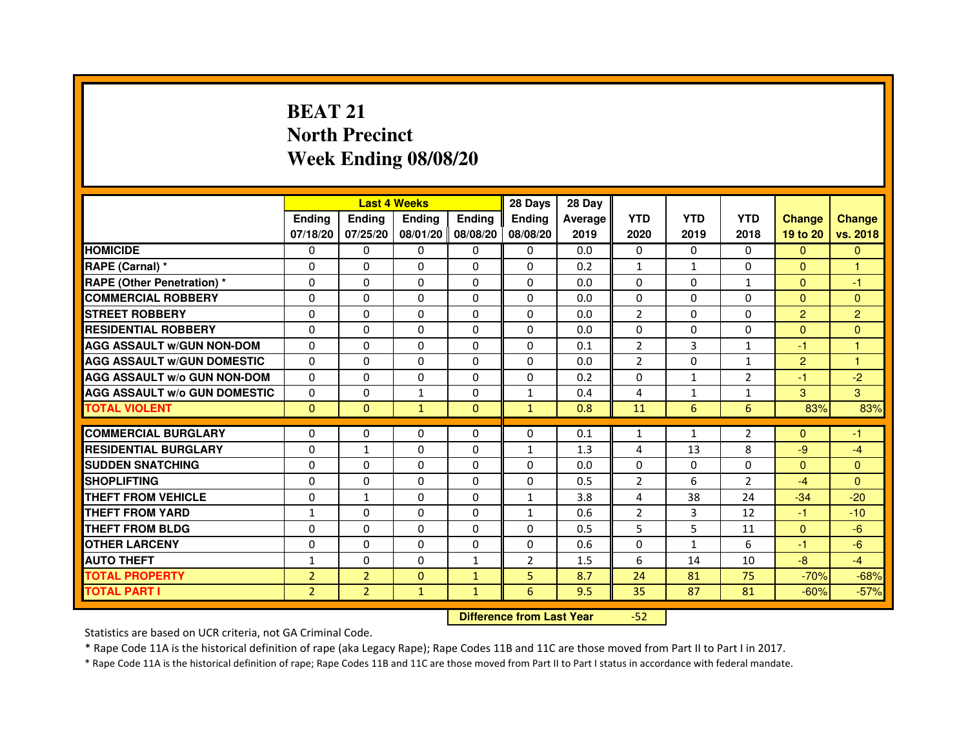## **BEAT 21 North PrecinctWeek Ending 08/08/20**

|                                     |                |                | <b>Last 4 Weeks</b> |                   | 28 Days        | 28 Day  |                |              |                |                |                |
|-------------------------------------|----------------|----------------|---------------------|-------------------|----------------|---------|----------------|--------------|----------------|----------------|----------------|
|                                     | <b>Ending</b>  | <b>Endina</b>  | <b>Endina</b>       | <b>Ending</b>     | <b>Endina</b>  | Average | <b>YTD</b>     | <b>YTD</b>   | <b>YTD</b>     | <b>Change</b>  | <b>Change</b>  |
|                                     | 07/18/20       | 07/25/20       |                     | 08/01/20 08/08/20 | 08/08/20       | 2019    | 2020           | 2019         | 2018           | 19 to 20       | vs. 2018       |
| <b>HOMICIDE</b>                     | 0              | 0              | $\mathbf{0}$        | 0                 | 0              | 0.0     | $\mathbf{0}$   | 0            | $\mathbf{0}$   | $\mathbf{0}$   | $\mathbf{0}$   |
| RAPE (Carnal) *                     | 0              | $\Omega$       | $\Omega$            | $\Omega$          | $\Omega$       | 0.2     | $\mathbf{1}$   | $\mathbf{1}$ | $\Omega$       | $\Omega$       | $\mathbf{1}$   |
| <b>RAPE (Other Penetration) *</b>   | 0              | $\Omega$       | 0                   | $\Omega$          | $\Omega$       | 0.0     | $\Omega$       | $\Omega$     | $\mathbf{1}$   | $\Omega$       | $-1$           |
| <b>COMMERCIAL ROBBERY</b>           | 0              | 0              | 0                   | 0                 | $\Omega$       | 0.0     | $\Omega$       | $\Omega$     | $\Omega$       | $\mathbf{0}$   | $\Omega$       |
| <b>STREET ROBBERY</b>               | 0              | 0              | 0                   | 0                 | 0              | 0.0     | $\overline{2}$ | 0            | 0              | 2              | $\overline{2}$ |
| <b>RESIDENTIAL ROBBERY</b>          | 0              | $\Omega$       | $\Omega$            | $\Omega$          | $\Omega$       | 0.0     | $\Omega$       | $\Omega$     | $\Omega$       | $\Omega$       | $\Omega$       |
| <b>AGG ASSAULT W/GUN NON-DOM</b>    | $\Omega$       | $\mathbf 0$    | $\Omega$            | $\Omega$          | $\Omega$       | 0.1     | $\overline{2}$ | 3            | $\mathbf{1}$   | $-1$           | 1              |
| <b>AGG ASSAULT W/GUN DOMESTIC</b>   | 0              | 0              | 0                   | 0                 | $\Omega$       | 0.0     | $\overline{2}$ | 0            | $\mathbf{1}$   | $\overline{2}$ | 1              |
| <b>AGG ASSAULT W/o GUN NON-DOM</b>  | $\Omega$       | 0              | $\Omega$            | 0                 | $\Omega$       | 0.2     | $\Omega$       | $\mathbf{1}$ | $\overline{2}$ | $-1$           | $-2$           |
| <b>AGG ASSAULT W/o GUN DOMESTIC</b> | $\Omega$       | $\Omega$       | $\mathbf{1}$        | $\Omega$          | $\mathbf{1}$   | 0.4     | 4              | $\mathbf{1}$ | $\mathbf{1}$   | 3              | 3              |
| <b>TOTAL VIOLENT</b>                | $\Omega$       | $\Omega$       | $\mathbf{1}$        | $\Omega$          | $\mathbf{1}$   | 0.8     | 11             | 6            | 6              | 83%            | 83%            |
|                                     |                |                |                     |                   |                |         |                |              |                |                |                |
| <b>COMMERCIAL BURGLARY</b>          | 0              | 0              | 0                   | 0                 | $\Omega$       | 0.1     | $\mathbf{1}$   | $\mathbf{1}$ | 2              | $\Omega$       | -1             |
| <b>RESIDENTIAL BURGLARY</b>         | 0              | $\mathbf{1}$   | 0                   | $\Omega$          | $\mathbf{1}$   | 1.3     | 4              | 13           | 8              | $-9$           | $-4$           |
| <b>SUDDEN SNATCHING</b>             | 0              | 0              | 0                   | 0                 | $\Omega$       | 0.0     | $\Omega$       | 0            | $\Omega$       | $\Omega$       | $\Omega$       |
| <b>SHOPLIFTING</b>                  | 0              | 0              | 0                   | $\Omega$          | $\Omega$       | 0.5     | $\overline{c}$ | 6            | $\overline{2}$ | $-4$           | $\Omega$       |
| <b>THEFT FROM VEHICLE</b>           | 0              | $\mathbf{1}$   | 0                   | $\Omega$          | $\mathbf{1}$   | 3.8     | 4              | 38           | 24             | $-34$          | $-20$          |
| <b>THEFT FROM YARD</b>              | 1              | $\Omega$       | $\Omega$            | $\Omega$          | $\mathbf{1}$   | 0.6     | $\overline{2}$ | 3            | 12             | $-1$           | $-10$          |
| <b>THEFT FROM BLDG</b>              | 0              | 0              | 0                   | 0                 | 0              | 0.5     | 5              | 5            | 11             | $\mathbf{0}$   | $-6$           |
| <b>OTHER LARCENY</b>                | 0              | 0              | $\Omega$            | $\Omega$          | $\Omega$       | 0.6     | $\Omega$       | $\mathbf{1}$ | 6              | $-1$           | $-6$           |
| <b>AUTO THEFT</b>                   | 1              | 0              | $\Omega$            | $\mathbf{1}$      | $\overline{2}$ | 1.5     | 6              | 14           | 10             | $-8$           | $-4$           |
| <b>TOTAL PROPERTY</b>               | $\overline{2}$ | $\overline{2}$ | $\Omega$            | $\mathbf{1}$      | 5              | 8.7     | 24             | 81           | 75             | $-70%$         | $-68%$         |
| <b>TOTAL PART I</b>                 | $\overline{2}$ | $\overline{2}$ | $\mathbf{1}$        | $\mathbf{1}$      | 6              | 9.5     | 35             | 87           | 81             | $-60%$         | $-57%$         |

 **Difference from Last Year**

-52

Statistics are based on UCR criteria, not GA Criminal Code.

\* Rape Code 11A is the historical definition of rape (aka Legacy Rape); Rape Codes 11B and 11C are those moved from Part II to Part I in 2017.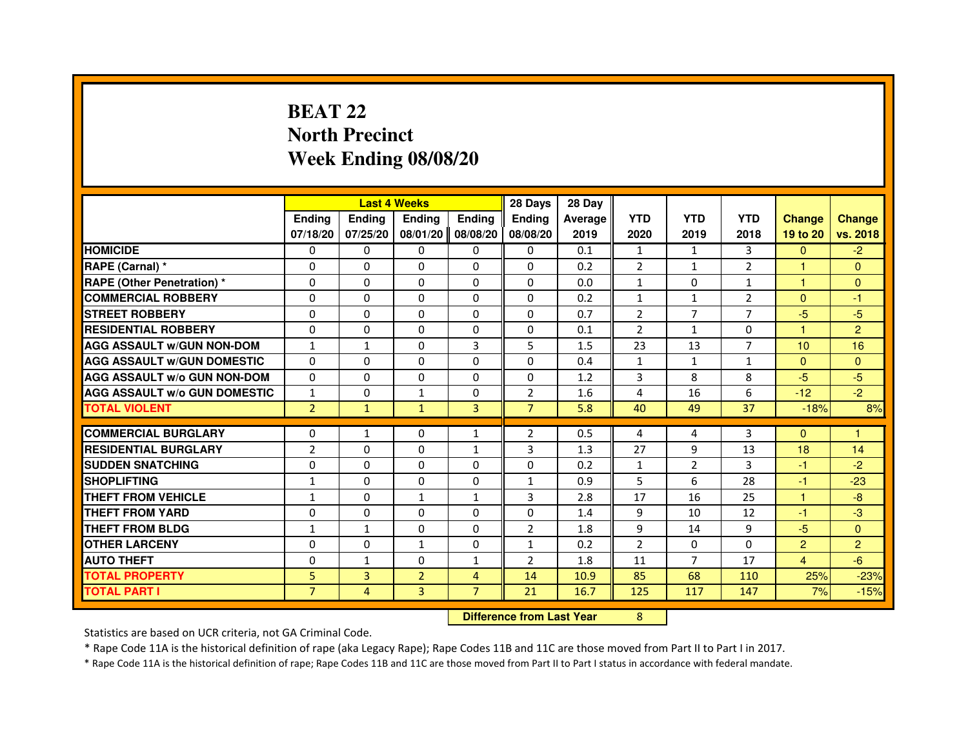### **BEAT 22 North PrecinctWeek Ending 08/08/20**

|                                     |                | <b>Last 4 Weeks</b> |                |                   | 28 Days                          | 28 Day  |                |                |                |                |                |
|-------------------------------------|----------------|---------------------|----------------|-------------------|----------------------------------|---------|----------------|----------------|----------------|----------------|----------------|
|                                     | <b>Ending</b>  | Ending              | <b>Ending</b>  | <b>Ending</b>     | Ending                           | Average | <b>YTD</b>     | <b>YTD</b>     | <b>YTD</b>     | <b>Change</b>  | <b>Change</b>  |
|                                     | 07/18/20       | 07/25/20            |                | 08/01/20 08/08/20 | 08/08/20                         | 2019    | 2020           | 2019           | 2018           | 19 to 20       | vs. 2018       |
| <b>HOMICIDE</b>                     | $\Omega$       | $\Omega$            | $\Omega$       | $\Omega$          | $\Omega$                         | 0.1     | $\mathbf{1}$   | $\mathbf{1}$   | 3              | $\Omega$       | $-2$           |
| RAPE (Carnal) *                     | 0              | $\Omega$            | $\Omega$       | $\Omega$          | $\Omega$                         | 0.2     | $\overline{2}$ | $\mathbf{1}$   | 2              | 1              | $\mathbf{0}$   |
| <b>RAPE (Other Penetration) *</b>   | $\Omega$       | 0                   | $\Omega$       | 0                 | $\Omega$                         | 0.0     | $\mathbf{1}$   | $\Omega$       | $\mathbf{1}$   | 1              | $\overline{0}$ |
| <b>COMMERCIAL ROBBERY</b>           | $\Omega$       | $\Omega$            | $\Omega$       | $\Omega$          | $\Omega$                         | 0.2     | $\mathbf{1}$   | $\mathbf{1}$   | $\overline{2}$ | $\mathbf{0}$   | $-1$           |
| <b>STREET ROBBERY</b>               | $\Omega$       | $\Omega$            | $\Omega$       | $\Omega$          | $\Omega$                         | 0.7     | $\overline{2}$ | $\overline{7}$ | $\overline{7}$ | $-5$           | $-5$           |
| <b>RESIDENTIAL ROBBERY</b>          | $\Omega$       | $\Omega$            | $\Omega$       | $\Omega$          | $\Omega$                         | 0.1     | $\overline{2}$ | 1              | 0              | 1              | $\overline{2}$ |
| <b>AGG ASSAULT W/GUN NON-DOM</b>    | 1              | $\mathbf{1}$        | $\Omega$       | 3                 | 5                                | 1.5     | 23             | 13             | 7              | 10             | 16             |
| <b>AGG ASSAULT w/GUN DOMESTIC</b>   | $\Omega$       | $\Omega$            | $\Omega$       | $\Omega$          | $\Omega$                         | 0.4     | $\mathbf{1}$   | $\mathbf{1}$   | $\mathbf{1}$   | $\mathbf{0}$   | $\mathbf{0}$   |
| <b>AGG ASSAULT W/o GUN NON-DOM</b>  | $\Omega$       | $\Omega$            | $\Omega$       | $\Omega$          | $\Omega$                         | 1.2     | 3              | 8              | 8              | $-5$           | $-5$           |
| <b>AGG ASSAULT W/o GUN DOMESTIC</b> | 1              | 0                   | 1              | $\Omega$          | $\overline{2}$                   | 1.6     | 4              | 16             | 6              | $-12$          | $-2$           |
| <b>TOTAL VIOLENT</b>                | $\overline{2}$ | $\mathbf{1}$        | $\mathbf{1}$   | 3                 | $\overline{7}$                   | 5.8     | 40             | 49             | 37             | $-18%$         | 8%             |
| <b>COMMERCIAL BURGLARY</b>          | 0              | 1                   | 0              | $\mathbf{1}$      | 2                                | 0.5     | 4              | 4              | 3              | $\Omega$       | 1              |
| <b>RESIDENTIAL BURGLARY</b>         | $\overline{2}$ | $\Omega$            | $\Omega$       | $\mathbf{1}$      | 3                                | 1.3     | 27             | 9              | 13             | 18             | 14             |
| <b>SUDDEN SNATCHING</b>             | $\Omega$       | $\Omega$            | $\Omega$       | $\Omega$          | $\Omega$                         | 0.2     | $\mathbf{1}$   | $\overline{2}$ | 3              | $-1$           | $-2$           |
| <b>SHOPLIFTING</b>                  | 1              | 0                   | $\Omega$       | 0                 | $\mathbf{1}$                     | 0.9     | 5              | 6              | 28             | $-1$           | $-23$          |
| THEFT FROM VEHICLE                  | $\mathbf{1}$   | $\Omega$            | $\mathbf{1}$   | $\mathbf{1}$      | 3                                | 2.8     | 17             | 16             | 25             | 1              | $-8$           |
| <b>THEFT FROM YARD</b>              | $\Omega$       | $\Omega$            | $\Omega$       | $\Omega$          | 0                                | 1.4     | 9              | 10             | 12             | $-1$           | $-3$           |
| <b>THEFT FROM BLDG</b>              | $\mathbf{1}$   | $\mathbf{1}$        | $\Omega$       | $\Omega$          | $\overline{2}$                   | 1.8     | 9              | 14             | 9              | $-5$           | $\Omega$       |
| <b>OTHER LARCENY</b>                | 0              | 0                   | $\mathbf{1}$   | $\mathbf{0}$      | $\mathbf{1}$                     | 0.2     | $\overline{2}$ | $\Omega$       | $\Omega$       | $\overline{2}$ | $\overline{2}$ |
| <b>AUTO THEFT</b>                   | $\Omega$       | 1                   | $\Omega$       | $\mathbf{1}$      | $\overline{2}$                   | 1.8     | 11             | $\overline{7}$ | 17             | $\overline{4}$ | $-6$           |
| <b>TOTAL PROPERTY</b>               | 5              | 3                   | $\overline{2}$ | $\overline{4}$    | 14                               | 10.9    | 85             | 68             | 110            | 25%            | $-23%$         |
| <b>TOTAL PART I</b>                 | $\overline{7}$ | $\overline{4}$      | $\overline{3}$ | $\overline{7}$    | 21                               | 16.7    | 125            | 117            | 147            | 7%             | $-15%$         |
|                                     |                |                     |                |                   | <b>Difference from Last Year</b> |         | 8              |                |                |                |                |

 **Difference from Last Year**

Statistics are based on UCR criteria, not GA Criminal Code.

\* Rape Code 11A is the historical definition of rape (aka Legacy Rape); Rape Codes 11B and 11C are those moved from Part II to Part I in 2017.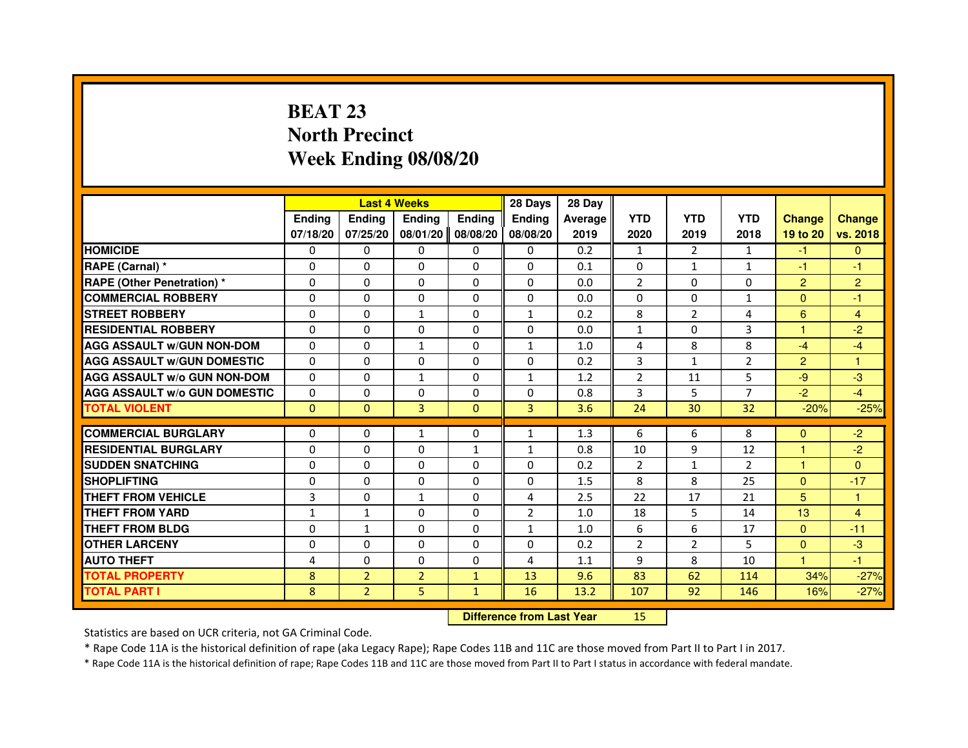## **BEAT 23 North PrecinctWeek Ending 08/08/20**

|                                     |               |                | <b>Last 4 Weeks</b>              |               | 28 Days        | 28 Day  |                |                |                |                |                |
|-------------------------------------|---------------|----------------|----------------------------------|---------------|----------------|---------|----------------|----------------|----------------|----------------|----------------|
|                                     | <b>Ending</b> | Ending         | <b>Ending</b>                    | <b>Ending</b> | <b>Ending</b>  | Average | <b>YTD</b>     | <b>YTD</b>     | <b>YTD</b>     | <b>Change</b>  | <b>Change</b>  |
|                                     | 07/18/20      | 07/25/20       | 08/01/20                         | 08/08/20      | 08/08/20       | 2019    | 2020           | 2019           | 2018           | 19 to 20       | vs. 2018       |
| <b>HOMICIDE</b>                     | 0             | 0              | $\Omega$                         | $\Omega$      | 0              | 0.2     | $\mathbf{1}$   | $\overline{2}$ | $\mathbf{1}$   | $-1$           | $\mathbf{0}$   |
| RAPE (Carnal) *                     | 0             | 0              | 0                                | 0             | 0              | 0.1     | 0              | $\mathbf{1}$   | 1              | $-1$           | $-1$           |
| RAPE (Other Penetration) *          | $\Omega$      | 0              | $\Omega$                         | $\Omega$      | $\Omega$       | 0.0     | $\overline{2}$ | $\Omega$       | $\Omega$       | $\overline{2}$ | $\overline{2}$ |
| <b>COMMERCIAL ROBBERY</b>           | $\Omega$      | $\Omega$       | $\Omega$                         | $\Omega$      | $\Omega$       | 0.0     | $\Omega$       | $\Omega$       | $\mathbf{1}$   | $\Omega$       | $-1$           |
| <b>STREET ROBBERY</b>               | $\Omega$      | $\Omega$       | $\mathbf{1}$                     | $\Omega$      | $\mathbf{1}$   | 0.2     | 8              | $\overline{2}$ | 4              | 6              | $\overline{4}$ |
| <b>RESIDENTIAL ROBBERY</b>          | 0             | 0              | $\Omega$                         | 0             | 0              | 0.0     | $\mathbf{1}$   | 0              | 3              | 1              | $-2$           |
| <b>AGG ASSAULT W/GUN NON-DOM</b>    | $\Omega$      | $\Omega$       | $\mathbf{1}$                     | $\Omega$      | $\mathbf{1}$   | 1.0     | 4              | 8              | 8              | $-4$           | $-4$           |
| <b>AGG ASSAULT W/GUN DOMESTIC</b>   | $\Omega$      | $\Omega$       | $\Omega$                         | $\Omega$      | $\Omega$       | 0.2     | 3              | $\mathbf{1}$   | $\overline{2}$ | $\overline{2}$ | $\mathbf{1}$   |
| <b>AGG ASSAULT W/o GUN NON-DOM</b>  | $\Omega$      | $\Omega$       | $\mathbf{1}$                     | $\Omega$      | $\mathbf{1}$   | 1.2     | $\overline{2}$ | 11             | 5              | $-9$           | $-3$           |
| <b>AGG ASSAULT W/o GUN DOMESTIC</b> | $\Omega$      | $\Omega$       | 0                                | $\Omega$      | $\Omega$       | 0.8     | 3              | 5              | $\overline{7}$ | $-2$           | $-4$           |
| <b>TOTAL VIOLENT</b>                | $\mathbf{0}$  | $\mathbf{0}$   | 3                                | $\mathbf{0}$  | 3              | 3.6     | 24             | 30             | 32             | $-20%$         | $-25%$         |
| <b>COMMERCIAL BURGLARY</b>          | 0             | 0              | 1                                | 0             | $\mathbf{1}$   | 1.3     | 6              | 6              | 8              | $\Omega$       | $-2$           |
| <b>RESIDENTIAL BURGLARY</b>         | 0             | $\Omega$       | $\Omega$                         | 1             | $\mathbf{1}$   | 0.8     | 10             | 9              | 12             | 1              | $-2$           |
| <b>SUDDEN SNATCHING</b>             | $\Omega$      | $\Omega$       | $\Omega$                         | $\Omega$      | $\Omega$       | 0.2     | $\overline{2}$ | $\mathbf{1}$   | $\overline{2}$ | $\mathbf{1}$   | $\Omega$       |
| <b>SHOPLIFTING</b>                  | 0             | $\Omega$       | 0                                | 0             | 0              | 1.5     | 8              | 8              | 25             | $\Omega$       | $-17$          |
| THEFT FROM VEHICLE                  | 3             | 0              | $\mathbf{1}$                     | $\Omega$      | 4              | 2.5     | 22             | 17             | 21             | 5              | 1              |
| <b>THEFT FROM YARD</b>              | $\mathbf{1}$  | $\mathbf{1}$   | $\Omega$                         | $\Omega$      | $\overline{2}$ | 1.0     | 18             | 5              | 14             | 13             | $\overline{4}$ |
| <b>THEFT FROM BLDG</b>              | $\Omega$      | $\mathbf{1}$   | $\Omega$                         | $\Omega$      | $\mathbf{1}$   | 1.0     | 6              | 6              | 17             | $\Omega$       | $-11$          |
| <b>OTHER LARCENY</b>                | 0             | $\Omega$       | 0                                | 0             | 0              | 0.2     | $\overline{2}$ | $\overline{2}$ | 5              | $\mathbf{0}$   | $-3$           |
| <b>AUTO THEFT</b>                   | 4             | $\Omega$       | $\Omega$                         | $\Omega$      | 4              | 1.1     | 9              | 8              | 10             | $\mathbf{1}$   | $-1$           |
| <b>TOTAL PROPERTY</b>               | 8             | $\overline{2}$ | $\overline{2}$                   | $\mathbf{1}$  | 13             | 9.6     | 83             | 62             | 114            | 34%            | $-27%$         |
| <b>TOTAL PART I</b>                 | 8             | $\overline{2}$ | 5                                | $\mathbf{1}$  | 16             | 13.2    | 107            | 92             | 146            | 16%            | $-27%$         |
|                                     |               |                | <b>Difference from Last Year</b> |               | 15             |         |                |                |                |                |                |

 **Difference from Last Year**

Statistics are based on UCR criteria, not GA Criminal Code.

\* Rape Code 11A is the historical definition of rape (aka Legacy Rape); Rape Codes 11B and 11C are those moved from Part II to Part I in 2017.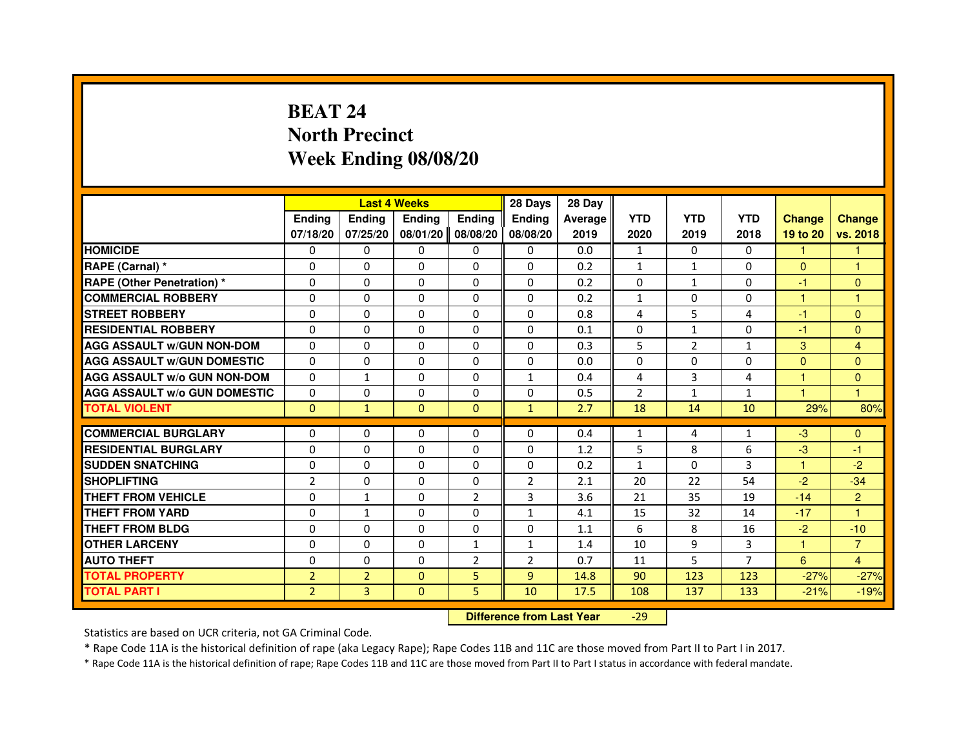### **BEAT 24 North PrecinctWeek Ending 08/08/20**

|                                     |                |                | <b>Last 4 Weeks</b>              |                | 28 Days        | 28 Day  |                |                |                |               |                |
|-------------------------------------|----------------|----------------|----------------------------------|----------------|----------------|---------|----------------|----------------|----------------|---------------|----------------|
|                                     | <b>Ending</b>  | Ending         | <b>Ending</b>                    | <b>Ending</b>  | <b>Ending</b>  | Average | <b>YTD</b>     | <b>YTD</b>     | <b>YTD</b>     | <b>Change</b> | <b>Change</b>  |
|                                     | 07/18/20       | 07/25/20       | 08/01/20                         | 08/08/20       | 08/08/20       | 2019    | 2020           | 2019           | 2018           | 19 to 20      | vs. 2018       |
| <b>HOMICIDE</b>                     | $\Omega$       | 0              | $\Omega$                         | 0              | 0              | 0.0     | $\mathbf{1}$   | 0              | $\Omega$       | $\mathbf{1}$  | 1.             |
| RAPE (Carnal) *                     | 0              | 0              | 0                                | 0              | 0              | 0.2     | $\mathbf{1}$   | $\mathbf{1}$   | 0              | $\mathbf{0}$  | 1              |
| RAPE (Other Penetration) *          | $\Omega$       | 0              | $\Omega$                         | $\Omega$       | $\Omega$       | 0.2     | $\Omega$       | $\mathbf{1}$   | $\Omega$       | $-1$          | $\mathbf{0}$   |
| <b>COMMERCIAL ROBBERY</b>           | $\Omega$       | $\Omega$       | $\Omega$                         | $\Omega$       | $\Omega$       | 0.2     | $\mathbf{1}$   | $\Omega$       | $\Omega$       | $\mathbf{1}$  | $\mathbf{1}$   |
| <b>STREET ROBBERY</b>               | $\Omega$       | $\Omega$       | $\Omega$                         | $\Omega$       | $\Omega$       | 0.8     | 4              | 5              | 4              | $-1$          | $\Omega$       |
| <b>RESIDENTIAL ROBBERY</b>          | 0              | 0              | 0                                | 0              | 0              | 0.1     | 0              | $\mathbf{1}$   | $\Omega$       | $-1$          | $\mathbf{0}$   |
| <b>AGG ASSAULT W/GUN NON-DOM</b>    | $\Omega$       | $\Omega$       | $\Omega$                         | $\Omega$       | $\Omega$       | 0.3     | 5              | $\overline{2}$ | $\mathbf{1}$   | 3             | 4              |
| <b>AGG ASSAULT W/GUN DOMESTIC</b>   | $\Omega$       | $\Omega$       | $\Omega$                         | $\Omega$       | $\Omega$       | 0.0     | $\Omega$       | $\Omega$       | $\Omega$       | $\Omega$      | $\Omega$       |
| <b>AGG ASSAULT W/o GUN NON-DOM</b>  | $\Omega$       | $\mathbf{1}$   | $\Omega$                         | $\Omega$       | $\mathbf{1}$   | 0.4     | 4              | 3              | 4              | $\mathbf{1}$  | $\Omega$       |
| <b>AGG ASSAULT W/o GUN DOMESTIC</b> | $\Omega$       | $\Omega$       | 0                                | $\Omega$       | $\Omega$       | 0.5     | $\overline{2}$ | $\mathbf{1}$   | $\mathbf{1}$   | 1             | 1              |
| <b>TOTAL VIOLENT</b>                | $\mathbf{0}$   | $\mathbf{1}$   | $\mathbf{0}$                     | $\mathbf{0}$   | $\mathbf{1}$   | 2.7     | 18             | 14             | 10             | 29%           | 80%            |
| <b>COMMERCIAL BURGLARY</b>          | 0              | 0              | 0                                | 0              | 0              | 0.4     | $\mathbf{1}$   | 4              | 1              | $-3$          | $\mathbf{0}$   |
| <b>RESIDENTIAL BURGLARY</b>         | 0              | $\Omega$       | $\Omega$                         | $\Omega$       | $\Omega$       | 1.2     | 5              | 8              | 6              | $-3$          | $-1$           |
| <b>SUDDEN SNATCHING</b>             | $\Omega$       | $\Omega$       | $\Omega$                         | $\Omega$       | $\Omega$       | 0.2     | $\mathbf{1}$   | $\Omega$       | 3              | $\mathbf{1}$  | $-2$           |
| <b>SHOPLIFTING</b>                  | $\overline{2}$ | $\Omega$       | $\Omega$                         | 0              | $\overline{2}$ | 2.1     | 20             | 22             | 54             | $-2$          | $-34$          |
| THEFT FROM VEHICLE                  | 0              | 1              | 0                                | $\overline{2}$ | 3              | 3.6     | 21             | 35             | 19             | $-14$         | $\overline{2}$ |
| <b>THEFT FROM YARD</b>              | $\Omega$       | $\mathbf{1}$   | $\Omega$                         | $\Omega$       | $\mathbf{1}$   | 4.1     | 15             | 32             | 14             | $-17$         | $\mathbf{1}$   |
| <b>THEFT FROM BLDG</b>              | $\Omega$       | $\Omega$       | $\Omega$                         | $\Omega$       | $\Omega$       | 1.1     | 6              | 8              | 16             | $-2$          | $-10$          |
| <b>OTHER LARCENY</b>                | 0              | $\Omega$       | 0                                | $\mathbf{1}$   | $\mathbf{1}$   | 1.4     | 10             | 9              | 3              | 1             | $\overline{7}$ |
| <b>AUTO THEFT</b>                   | $\Omega$       | $\Omega$       | $\Omega$                         | $\overline{2}$ | $\overline{2}$ | 0.7     | 11             | 5              | $\overline{7}$ | 6             | 4              |
| <b>TOTAL PROPERTY</b>               | $\overline{2}$ | $\overline{2}$ | $\Omega$                         | 5              | $\overline{9}$ | 14.8    | 90             | 123            | 123            | $-27%$        | $-27%$         |
| <b>TOTAL PART I</b>                 | $\overline{2}$ | 3              | $\mathbf{0}$                     | 5              | 10             | 17.5    | 108            | 137            | 133            | $-21%$        | $-19%$         |
|                                     |                |                | <b>Difference from Last Year</b> |                | $-29$          |         |                |                |                |               |                |

 **Difference from Last Year**

Statistics are based on UCR criteria, not GA Criminal Code.

\* Rape Code 11A is the historical definition of rape (aka Legacy Rape); Rape Codes 11B and 11C are those moved from Part II to Part I in 2017.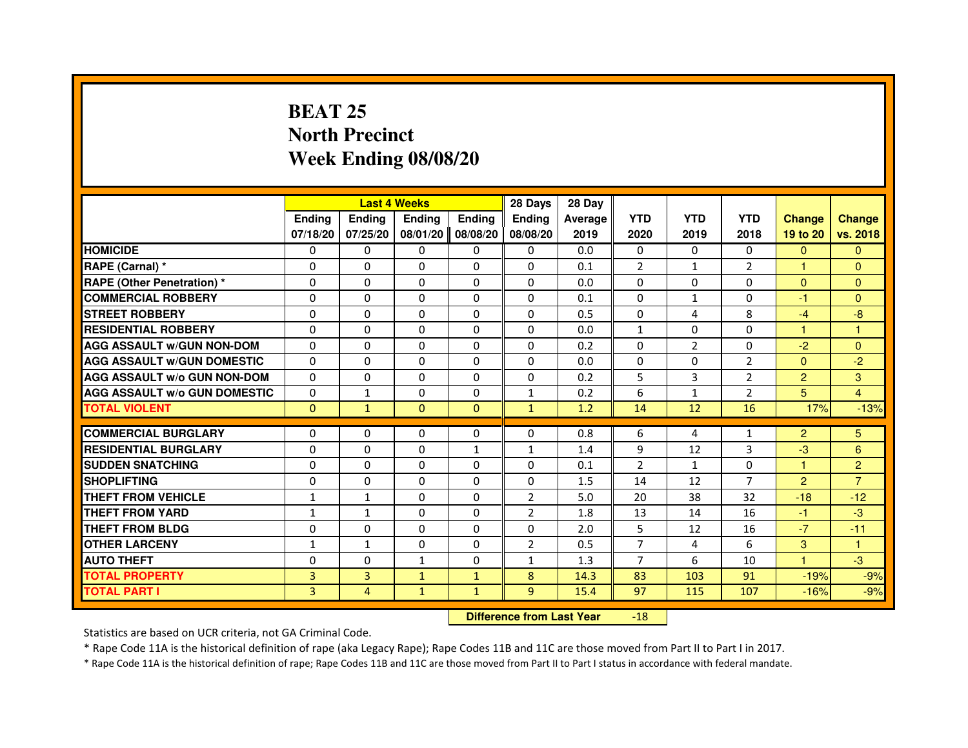### **BEAT 25 North PrecinctWeek Ending 08/08/20**

|                                     |                |               | <b>Last 4 Weeks</b> |               | 28 Days                          | 28 Day  |                |                |                |                |                |
|-------------------------------------|----------------|---------------|---------------------|---------------|----------------------------------|---------|----------------|----------------|----------------|----------------|----------------|
|                                     | <b>Ending</b>  | <b>Ending</b> | <b>Ending</b>       | <b>Ending</b> | <b>Ending</b>                    | Average | <b>YTD</b>     | <b>YTD</b>     | <b>YTD</b>     | <b>Change</b>  | <b>Change</b>  |
|                                     | 07/18/20       | 07/25/20      | 08/01/20            | 08/08/20      | 08/08/20                         | 2019    | 2020           | 2019           | 2018           | 19 to 20       | vs. 2018       |
| <b>HOMICIDE</b>                     | $\Omega$       | $\mathbf{0}$  | $\Omega$            | 0             | 0                                | 0.0     | $\Omega$       | $\Omega$       | $\Omega$       | $\Omega$       | $\Omega$       |
| RAPE (Carnal) *                     | 0              | $\Omega$      | $\Omega$            | $\Omega$      | 0                                | 0.1     | $\overline{2}$ | $\mathbf{1}$   | $\overline{2}$ | 1              | $\Omega$       |
| <b>RAPE (Other Penetration) *</b>   | $\Omega$       | $\Omega$      | $\Omega$            | $\Omega$      | $\Omega$                         | 0.0     | $\Omega$       | $\Omega$       | $\Omega$       | $\Omega$       | $\overline{0}$ |
| <b>COMMERCIAL ROBBERY</b>           | 0              | $\Omega$      | $\Omega$            | $\Omega$      | $\Omega$                         | 0.1     | $\Omega$       | $\mathbf{1}$   | $\Omega$       | $-1$           | $\overline{0}$ |
| <b>STREET ROBBERY</b>               | 0              | $\Omega$      | $\Omega$            | $\Omega$      | $\Omega$                         | 0.5     | $\Omega$       | 4              | 8              | $-4$           | $-8$           |
| <b>RESIDENTIAL ROBBERY</b>          | 0              | $\Omega$      | 0                   | $\Omega$      | $\Omega$                         | 0.0     | 1              | $\mathbf{0}$   | 0              | 1              | 1              |
| <b>AGG ASSAULT W/GUN NON-DOM</b>    | $\Omega$       | $\Omega$      | $\Omega$            | $\Omega$      | $\Omega$                         | 0.2     | $\Omega$       | $\overline{2}$ | $\Omega$       | $-2$           | $\Omega$       |
| <b>AGG ASSAULT W/GUN DOMESTIC</b>   | $\Omega$       | $\Omega$      | $\Omega$            | $\Omega$      | $\Omega$                         | 0.0     | $\Omega$       | $\Omega$       | $\overline{2}$ | $\Omega$       | $-2$           |
| <b>AGG ASSAULT W/o GUN NON-DOM</b>  | 0              | 0             | $\mathbf{0}$        | 0             | 0                                | 0.2     | 5              | 3              | 2              | $\overline{2}$ | 3              |
| <b>AGG ASSAULT W/o GUN DOMESTIC</b> | $\Omega$       | 1             | 0                   | 0             | $\mathbf{1}$                     | 0.2     | 6              | $\mathbf{1}$   | $\overline{2}$ | 5              | $\overline{4}$ |
| <b>TOTAL VIOLENT</b>                | $\mathbf 0$    | $\mathbf{1}$  | $\mathbf{0}$        | $\mathbf{0}$  | $\mathbf{1}$                     | 1.2     | 14             | 12             | 16             | 17%            | $-13%$         |
| <b>COMMERCIAL BURGLARY</b>          | 0              | $\Omega$      | 0                   | $\Omega$      | 0                                | 0.8     | 6              | 4              | $\mathbf{1}$   | $\overline{2}$ | 5              |
| <b>RESIDENTIAL BURGLARY</b>         | $\Omega$       | $\Omega$      | $\Omega$            | $\mathbf{1}$  | 1                                | 1.4     | 9              | 12             | 3              | $-3$           | 6              |
| <b>SUDDEN SNATCHING</b>             | $\Omega$       | $\Omega$      | $\Omega$            | $\Omega$      | $\Omega$                         | 0.1     | $\mathcal{P}$  | $\mathbf{1}$   | $\Omega$       | $\mathbf{1}$   | $\overline{2}$ |
| <b>SHOPLIFTING</b>                  | 0              | 0             | 0                   | 0             | 0                                | 1.5     | 14             | 12             | $\overline{7}$ | $\overline{2}$ | $\overline{7}$ |
| THEFT FROM VEHICLE                  | 1              | 1             | 0                   | $\Omega$      | $\overline{2}$                   | 5.0     | 20             | 38             | 32             | $-18$          | $-12$          |
| <b>THEFT FROM YARD</b>              | $\mathbf{1}$   | $\mathbf{1}$  | $\Omega$            | 0             | $\overline{2}$                   | 1.8     | 13             | 14             | 16             | $-1$           | $-3$           |
| <b>THEFT FROM BLDG</b>              | $\Omega$       | $\Omega$      | $\Omega$            | $\Omega$      | $\Omega$                         | 2.0     | 5              | 12             | 16             | $-7$           | $-11$          |
| <b>OTHER LARCENY</b>                | 1              | $\mathbf{1}$  | $\Omega$            | $\Omega$      | $\overline{2}$                   | 0.5     | $\overline{7}$ | 4              | 6              | 3              | 1              |
| <b>AUTO THEFT</b>                   | $\Omega$       | $\Omega$      | $\mathbf{1}$        | $\Omega$      | $\mathbf{1}$                     | 1.3     | $\overline{7}$ | 6              | 10             | $\mathbf{1}$   | $-3$           |
| <b>TOTAL PROPERTY</b>               | $\overline{3}$ | 3             | $\mathbf{1}$        | $\mathbf{1}$  | 8                                | 14.3    | 83             | 103            | 91             | $-19%$         | $-9%$          |
| <b>TOTAL PART I</b>                 | 3              | 4             | $\mathbf{1}$        | $\mathbf{1}$  | 9                                | 15.4    | 97             | 115            | 107            | $-16%$         | $-9%$          |
|                                     |                |               |                     |               | <b>Difference from Last Year</b> |         | $-18$          |                |                |                |                |

Statistics are based on UCR criteria, not GA Criminal Code.

\* Rape Code 11A is the historical definition of rape (aka Legacy Rape); Rape Codes 11B and 11C are those moved from Part II to Part I in 2017.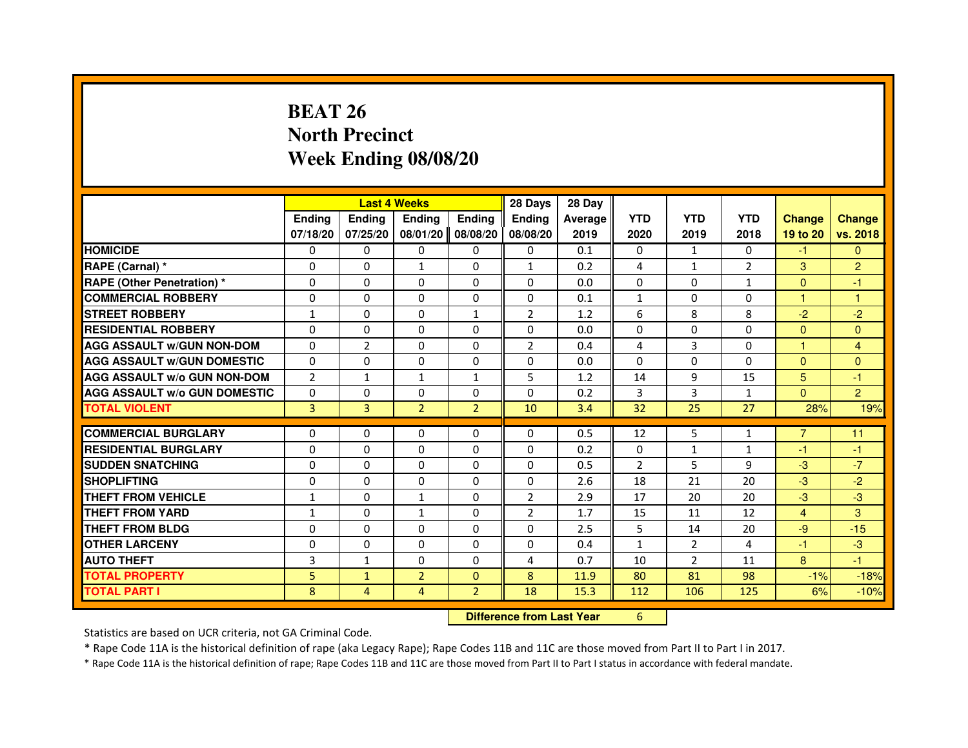### **BEAT 26 North PrecinctWeek Ending 08/08/20**

|                                     |                |                | <b>Last 4 Weeks</b> |                | 28 Days                          | 28 Day  |                |                |                |                |                |
|-------------------------------------|----------------|----------------|---------------------|----------------|----------------------------------|---------|----------------|----------------|----------------|----------------|----------------|
|                                     | <b>Ending</b>  | <b>Ending</b>  | <b>Ending</b>       | <b>Ending</b>  | <b>Ending</b>                    | Average | <b>YTD</b>     | <b>YTD</b>     | <b>YTD</b>     | <b>Change</b>  | <b>Change</b>  |
|                                     | 07/18/20       | 07/25/20       | 08/01/20            | 08/08/20       | 08/08/20                         | 2019    | 2020           | 2019           | 2018           | 19 to 20       | vs. 2018       |
| <b>HOMICIDE</b>                     | $\Omega$       | $\Omega$       | $\Omega$            | $\Omega$       | 0                                | 0.1     | $\Omega$       | $\mathbf{1}$   | $\Omega$       | $-1$           | $\Omega$       |
| RAPE (Carnal) *                     | 0              | 0              | $\mathbf{1}$        | 0              | $\mathbf{1}$                     | 0.2     | 4              | $\mathbf{1}$   | $\overline{2}$ | 3              | $\overline{2}$ |
| <b>RAPE (Other Penetration) *</b>   | $\Omega$       | $\Omega$       | $\Omega$            | $\Omega$       | $\Omega$                         | 0.0     | $\Omega$       | $\Omega$       | 1              | $\Omega$       | $-1$           |
| <b>COMMERCIAL ROBBERY</b>           | $\Omega$       | $\Omega$       | $\Omega$            | $\Omega$       | $\Omega$                         | 0.1     | $\mathbf{1}$   | $\Omega$       | $\Omega$       | $\mathbf{1}$   | $\mathbf{1}$   |
| <b>STREET ROBBERY</b>               | $\mathbf{1}$   | $\Omega$       | $\Omega$            | $\mathbf{1}$   | $\overline{2}$                   | 1.2     | 6              | 8              | 8              | $-2$           | $-2$           |
| <b>RESIDENTIAL ROBBERY</b>          | $\Omega$       | $\Omega$       | $\Omega$            | $\Omega$       | $\Omega$                         | 0.0     | $\Omega$       | $\Omega$       | 0              | $\Omega$       | $\Omega$       |
| <b>AGG ASSAULT W/GUN NON-DOM</b>    | $\Omega$       | $\overline{2}$ | $\Omega$            | $\Omega$       | $\overline{2}$                   | 0.4     | 4              | 3              | $\Omega$       | $\mathbf{1}$   | 4              |
| <b>AGG ASSAULT W/GUN DOMESTIC</b>   | $\Omega$       | $\Omega$       | $\Omega$            | $\Omega$       | $\Omega$                         | 0.0     | $\Omega$       | $\Omega$       | $\Omega$       | $\Omega$       | $\Omega$       |
| <b>AGG ASSAULT W/o GUN NON-DOM</b>  | $\overline{2}$ | 1              | $\mathbf{1}$        | 1              | 5                                | 1.2     | 14             | 9              | 15             | 5              | $-1$           |
| <b>AGG ASSAULT W/o GUN DOMESTIC</b> | $\Omega$       | 0              | 0                   | $\Omega$       | $\Omega$                         | 0.2     | 3              | 3              | $\mathbf{1}$   | $\Omega$       | $\overline{2}$ |
| <b>TOTAL VIOLENT</b>                | 3              | 3              | $\overline{2}$      | $\overline{2}$ | 10                               | 3.4     | 32             | 25             | 27             | 28%            | 19%            |
| <b>COMMERCIAL BURGLARY</b>          | 0              | 0              | 0                   | 0              | 0                                | 0.5     | 12             | 5              | 1              | $\overline{7}$ | 11             |
| <b>RESIDENTIAL BURGLARY</b>         | $\Omega$       | $\Omega$       | $\Omega$            | $\Omega$       | $\Omega$                         | 0.2     | $\Omega$       | $\mathbf{1}$   | $\mathbf{1}$   | $-1$           | $-1$           |
| <b>SUDDEN SNATCHING</b>             | $\Omega$       | $\Omega$       | $\Omega$            | $\Omega$       | $\Omega$                         | 0.5     | $\overline{2}$ | 5              | 9              | $-3$           | $-7$           |
| <b>SHOPLIFTING</b>                  | 0              | 0              | 0                   | 0              | 0                                | 2.6     | 18             | 21             | 20             | $-3$           | $-2$           |
| THEFT FROM VEHICLE                  | $\mathbf{1}$   | $\Omega$       | $\mathbf{1}$        | $\Omega$       | $\overline{2}$                   | 2.9     | 17             | 20             | 20             | $-3$           | $-3$           |
| THEFT FROM YARD                     | $\mathbf{1}$   | 0              | $\mathbf{1}$        | 0              | $\overline{2}$                   | 1.7     | 15             | 11             | 12             | $\overline{4}$ | 3              |
| <b>THEFT FROM BLDG</b>              | $\Omega$       | $\Omega$       | $\Omega$            | $\Omega$       | $\Omega$                         | 2.5     | 5              | 14             | 20             | $-9$           | $-15$          |
| <b>OTHER LARCENY</b>                | $\Omega$       | $\Omega$       | $\Omega$            | $\Omega$       | $\Omega$                         | 0.4     | $\mathbf{1}$   | $\overline{2}$ | 4              | $-1$           | $-3$           |
| <b>AUTO THEFT</b>                   | 3              | $\mathbf{1}$   | $\Omega$            | $\Omega$       | 4                                | 0.7     | 10             | $\overline{2}$ | 11             | 8              | $-1$           |
| <b>TOTAL PROPERTY</b>               | 5              | $\mathbf{1}$   | $\overline{2}$      | $\Omega$       | 8                                | 11.9    | 80             | 81             | 98             | $-1%$          | $-18%$         |
| <b>TOTAL PART I</b>                 | 8              | 4              | 4                   | $\overline{2}$ | 18                               | 15.3    | 112            | 106            | 125            | 6%             | $-10%$         |
|                                     |                |                |                     |                | <b>Difference from Last Year</b> |         | 6              |                |                |                |                |

 **Difference from Last Year**

Statistics are based on UCR criteria, not GA Criminal Code.

\* Rape Code 11A is the historical definition of rape (aka Legacy Rape); Rape Codes 11B and 11C are those moved from Part II to Part I in 2017.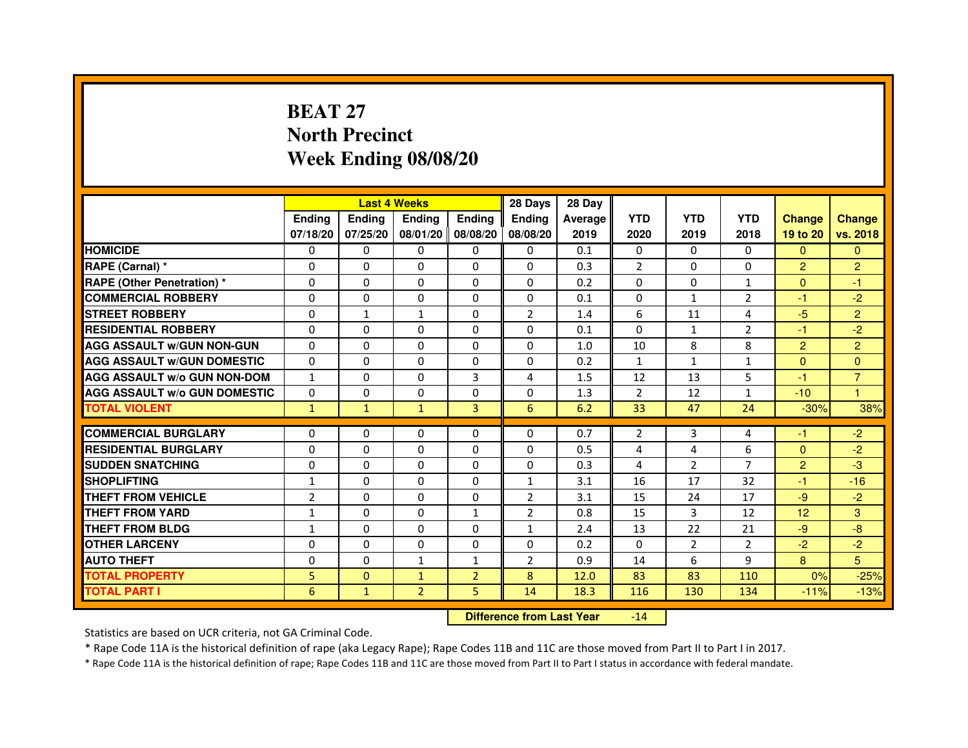## **BEAT 27 North PrecinctWeek Ending 08/08/20**

|                                     |                | <b>Last 4 Weeks</b> |                |                   | 28 Days        | 28 Day  |                |                |                |                 |                |
|-------------------------------------|----------------|---------------------|----------------|-------------------|----------------|---------|----------------|----------------|----------------|-----------------|----------------|
|                                     | <b>Endina</b>  | <b>Endina</b>       | <b>Endina</b>  | <b>Ending</b>     | <b>Endina</b>  | Average | <b>YTD</b>     | <b>YTD</b>     | <b>YTD</b>     | <b>Change</b>   | <b>Change</b>  |
|                                     | 07/18/20       | 07/25/20            |                | 08/01/20 08/08/20 | 08/08/20       | 2019    | 2020           | 2019           | 2018           | 19 to 20        | vs. 2018       |
| <b>HOMICIDE</b>                     | 0              | 0                   | 0              | 0                 | 0              | 0.1     | $\mathbf{0}$   | 0              | $\mathbf{0}$   | $\mathbf{0}$    | $\mathbf{0}$   |
| RAPE (Carnal) *                     | $\Omega$       | $\Omega$            | $\Omega$       | $\Omega$          | $\Omega$       | 0.3     | $\overline{2}$ | $\Omega$       | $\Omega$       | $\overline{2}$  | $\overline{2}$ |
| <b>RAPE (Other Penetration) *</b>   | 0              | $\Omega$            | 0              | $\mathbf{0}$      | $\Omega$       | 0.2     | $\Omega$       | $\Omega$       | $\mathbf{1}$   | $\Omega$        | $-1$           |
| <b>COMMERCIAL ROBBERY</b>           | 0              | 0                   | 0              | 0                 | $\Omega$       | 0.1     | $\Omega$       | $\mathbf{1}$   | 2              | $-1$            | $-2$           |
| <b>STREET ROBBERY</b>               | 0              | 1                   | $\mathbf{1}$   | 0                 | $\overline{2}$ | 1.4     | 6              | 11             | $\overline{4}$ | $-5$            | $\overline{2}$ |
| <b>RESIDENTIAL ROBBERY</b>          | 0              | $\Omega$            | 0              | $\Omega$          | $\Omega$       | 0.1     | $\Omega$       | $\mathbf{1}$   | $\overline{2}$ | $-1$            | $-2$           |
| <b>AGG ASSAULT W/GUN NON-GUN</b>    | $\Omega$       | $\mathbf 0$         | $\Omega$       | $\Omega$          | $\Omega$       | 1.0     | 10             | 8              | 8              | $\overline{2}$  | $\overline{2}$ |
| <b>AGG ASSAULT W/GUN DOMESTIC</b>   | 0              | 0                   | 0              | 0                 | 0              | 0.2     | $\mathbf{1}$   | $\mathbf{1}$   | $\mathbf{1}$   | $\mathbf{0}$    | $\Omega$       |
| <b>AGG ASSAULT W/o GUN NON-DOM</b>  | $\mathbf{1}$   | 0                   | 0              | 3                 | 4              | 1.5     | 12             | 13             | 5              | $-1$            | $\overline{7}$ |
| <b>AGG ASSAULT W/o GUN DOMESTIC</b> | $\Omega$       | $\Omega$            | 0              | 0                 | 0              | 1.3     | $\overline{2}$ | 12             | $\mathbf{1}$   | $-10$           | 1              |
| <b>TOTAL VIOLENT</b>                | $\mathbf{1}$   | $\mathbf{1}$        | $\mathbf{1}$   | 3                 | 6              | 6.2     | 33             | 47             | 24             | $-30%$          | 38%            |
|                                     |                |                     |                |                   |                |         |                |                |                |                 |                |
| <b>COMMERCIAL BURGLARY</b>          | 0              | 0                   | 0              | 0                 | $\Omega$       | 0.7     | 2              | 3              | 4              | -1              | $-2$           |
| <b>RESIDENTIAL BURGLARY</b>         | 0              | $\Omega$            | 0              | $\Omega$          | $\Omega$       | 0.5     | 4              | 4              | 6              | $\Omega$        | $-2$           |
| <b>SUDDEN SNATCHING</b>             | 0              | 0                   | 0              | 0                 | $\Omega$       | 0.3     | $\overline{4}$ | $\overline{2}$ | $\overline{7}$ | $\overline{2}$  | -3             |
| <b>SHOPLIFTING</b>                  | $\mathbf{1}$   | 0                   | $\Omega$       | $\Omega$          | $\mathbf{1}$   | 3.1     | 16             | 17             | 32             | $-1$            | $-16$          |
| <b>THEFT FROM VEHICLE</b>           | $\overline{2}$ | $\Omega$            | $\Omega$       | $\Omega$          | $\overline{2}$ | 3.1     | 15             | 24             | 17             | $-9$            | $-2$           |
| <b>THEFT FROM YARD</b>              | 1              | $\Omega$            | $\Omega$       | $\mathbf{1}$      | $\overline{2}$ | 0.8     | 15             | 3              | 12             | 12 <sup>2</sup> | 3              |
| <b>THEFT FROM BLDG</b>              | 1              | 0                   | 0              | 0                 | 1              | 2.4     | 13             | 22             | 21             | -9              | -8             |
| <b>OTHER LARCENY</b>                | 0              | 0                   | $\Omega$       | $\Omega$          | $\Omega$       | 0.2     | $\Omega$       | 2              | 2              | $-2$            | $-2$           |
| <b>AUTO THEFT</b>                   | $\mathbf 0$    | 0                   | $\mathbf{1}$   | 1                 | $\overline{2}$ | 0.9     | 14             | 6              | 9              | 8               | 5              |
| <b>TOTAL PROPERTY</b>               | 5              | $\mathbf{0}$        | $\mathbf{1}$   | $\overline{2}$    | 8              | 12.0    | 83             | 83             | 110            | 0%              | $-25%$         |
| <b>TOTAL PART I</b>                 | 6              | $\mathbf{1}$        | $\overline{2}$ | 5                 | 14             | 18.3    | 116            | 130            | 134            | $-11%$          | $-13%$         |

 **Difference from Last Year**-14

Statistics are based on UCR criteria, not GA Criminal Code.

\* Rape Code 11A is the historical definition of rape (aka Legacy Rape); Rape Codes 11B and 11C are those moved from Part II to Part I in 2017.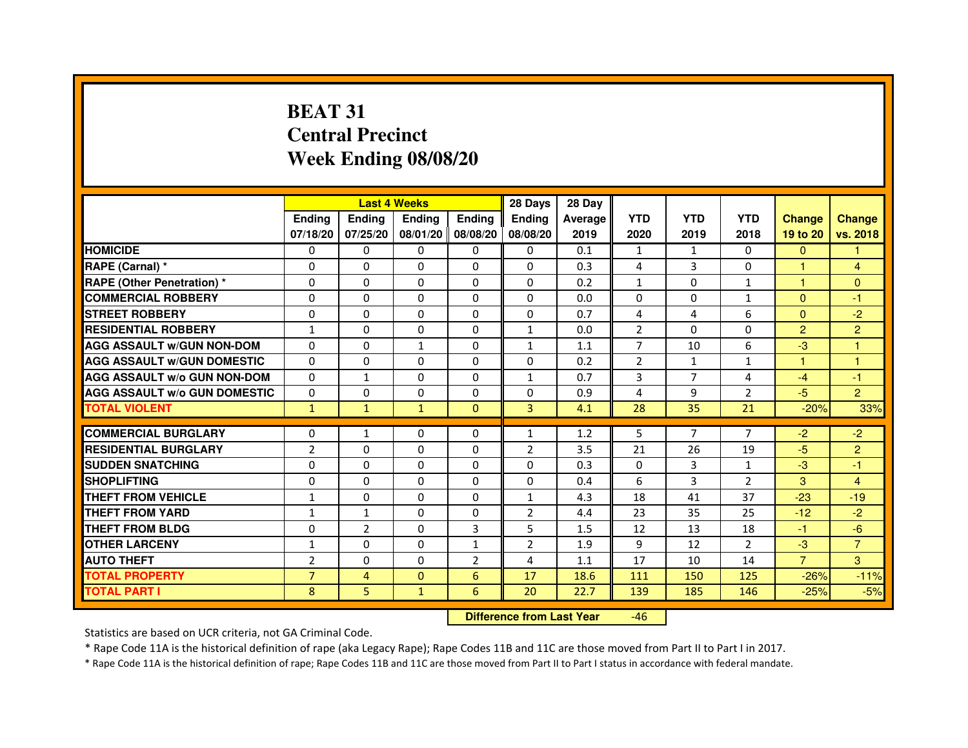## **BEAT 31 Central PrecinctWeek Ending 08/08/20**

|                                     |                |                | <b>Last 4 Weeks</b> |                | 28 Days        | 28 Day  |                |                |                |                |                |
|-------------------------------------|----------------|----------------|---------------------|----------------|----------------|---------|----------------|----------------|----------------|----------------|----------------|
|                                     | <b>Endina</b>  | <b>Ending</b>  | <b>Endina</b>       | <b>Ending</b>  | <b>Endina</b>  | Average | <b>YTD</b>     | <b>YTD</b>     | <b>YTD</b>     | <b>Change</b>  | <b>Change</b>  |
|                                     | 07/18/20       | 07/25/20       | 08/01/20   08/08/20 |                | 08/08/20       | 2019    | 2020           | 2019           | 2018           | 19 to 20       | vs. 2018       |
| <b>HOMICIDE</b>                     | 0              | 0              | 0                   | 0              | 0              | 0.1     | 1              | $\mathbf{1}$   | $\mathbf{0}$   | $\mathbf{0}$   |                |
| RAPE (Carnal) *                     | $\Omega$       | $\Omega$       | $\Omega$            | $\Omega$       | $\Omega$       | 0.3     | 4              | 3              | $\Omega$       | $\mathbf{1}$   | $\overline{4}$ |
| <b>RAPE (Other Penetration)*</b>    | $\Omega$       | $\Omega$       | $\Omega$            | $\Omega$       | 0              | 0.2     | $\mathbf{1}$   | $\Omega$       | $\mathbf{1}$   | $\mathbf{1}$   | $\Omega$       |
| <b>COMMERCIAL ROBBERY</b>           | 0              | 0              | 0                   | 0              | 0              | 0.0     | 0              | 0              | 1              | $\Omega$       | $-1$           |
| <b>STREET ROBBERY</b>               | 0              | 0              | 0                   | 0              | 0              | 0.7     | 4              | 4              | 6              | $\mathbf{0}$   | $-2$           |
| <b>RESIDENTIAL ROBBERY</b>          | $\mathbf{1}$   | $\Omega$       | $\Omega$            | 0              | $\mathbf{1}$   | 0.0     | $\overline{2}$ | $\Omega$       | $\Omega$       | $\overline{2}$ | $\overline{2}$ |
| <b>AGG ASSAULT w/GUN NON-DOM</b>    | $\Omega$       | $\Omega$       | $\mathbf{1}$        | $\Omega$       | 1              | 1.1     | $\overline{7}$ | 10             | 6              | $-3$           | 1              |
| <b>AGG ASSAULT w/GUN DOMESTIC</b>   | $\Omega$       | $\Omega$       | $\Omega$            | $\Omega$       | 0              | 0.2     | $\overline{2}$ | $\mathbf{1}$   | $\mathbf{1}$   | 1              | 1              |
| <b>AGG ASSAULT W/o GUN NON-DOM</b>  | $\Omega$       | $\mathbf{1}$   | $\Omega$            | $\Omega$       | 1              | 0.7     | 3              | $\overline{7}$ | 4              | $-4$           | $-1$           |
| <b>AGG ASSAULT W/o GUN DOMESTIC</b> | $\Omega$       | $\Omega$       | $\Omega$            | 0              | 0              | 0.9     | 4              | 9              | $\overline{2}$ | $-5$           | $\overline{2}$ |
| <b>TOTAL VIOLENT</b>                | $\mathbf{1}$   | $\mathbf{1}$   | $\mathbf{1}$        | $\Omega$       | $\overline{3}$ | 4.1     | 28             | 35             | 21             | $-20%$         | 33%            |
|                                     |                |                |                     |                |                |         |                |                |                |                |                |
| <b>COMMERCIAL BURGLARY</b>          | $\Omega$       | $\mathbf{1}$   | 0                   | $\Omega$       | 1              | 1.2     | 5              | $\overline{7}$ | $\overline{7}$ | $-2$           | $-2$           |
| <b>RESIDENTIAL BURGLARY</b>         | $\overline{2}$ | $\Omega$       | $\Omega$            | 0              | $\overline{2}$ | 3.5     | 21             | 26             | 19             | $-5$           | $\overline{2}$ |
| <b>SUDDEN SNATCHING</b>             | $\Omega$       | $\Omega$       | $\Omega$            | 0              | 0              | 0.3     | 0              | 3              | $\mathbf{1}$   | $-3$           | $-1$           |
| <b>SHOPLIFTING</b>                  | $\Omega$       | $\mathbf 0$    | $\Omega$            | $\Omega$       | 0              | 0.4     | 6              | 3              | $\overline{2}$ | 3              | $\overline{4}$ |
| <b>THEFT FROM VEHICLE</b>           | $\mathbf{1}$   | $\Omega$       | $\Omega$            | $\Omega$       | $\mathbf{1}$   | 4.3     | 18             | 41             | 37             | $-23$          | $-19$          |
| <b>THEFT FROM YARD</b>              | 1              | 1              | $\Omega$            | $\Omega$       | $\overline{2}$ | 4.4     | 23             | 35             | 25             | $-12$          | $-2$           |
| <b>THEFT FROM BLDG</b>              | 0              | $\overline{2}$ | 0                   | 3              | 5              | 1.5     | 12             | 13             | 18             | $-1$           | $-6$           |
| <b>OTHER LARCENY</b>                | 1              | $\Omega$       | $\Omega$            | $\mathbf{1}$   | 2              | 1.9     | 9              | 12             | $\overline{2}$ | $-3$           | $\overline{7}$ |
| <b>AUTO THEFT</b>                   | $\overline{2}$ | 0              | $\Omega$            | $\overline{2}$ | 4              | 1.1     | 17             | 10             | 14             | $\overline{7}$ | 3              |
| <b>TOTAL PROPERTY</b>               | $\overline{7}$ | 4              | $\mathbf{0}$        | 6              | 17             | 18.6    | 111            | 150            | 125            | $-26%$         | $-11%$         |
| <b>TOTAL PART I</b>                 | 8              | 5              | $\mathbf{1}$        | 6              | 20             | 22.7    | 139            | 185            | 146            | $-25%$         | $-5%$          |

 **Difference from Last Year**-46

Statistics are based on UCR criteria, not GA Criminal Code.

\* Rape Code 11A is the historical definition of rape (aka Legacy Rape); Rape Codes 11B and 11C are those moved from Part II to Part I in 2017.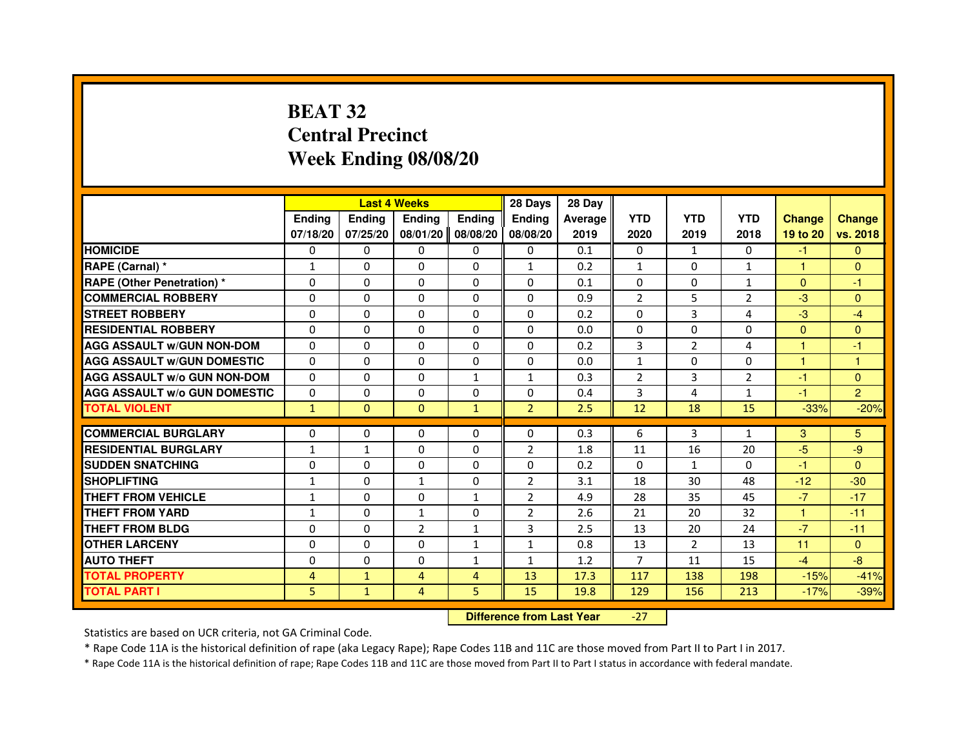### **BEAT 32 Central PrecinctWeek Ending 08/08/20**

|                                     |                |               | <b>Last 4 Weeks</b>              |                   | 28 Days        | 28 Day  |                |                |                |               |                |
|-------------------------------------|----------------|---------------|----------------------------------|-------------------|----------------|---------|----------------|----------------|----------------|---------------|----------------|
|                                     | <b>Ending</b>  | <b>Ending</b> | <b>Ending</b>                    | <b>Ending</b>     | <b>Ending</b>  | Average | <b>YTD</b>     | <b>YTD</b>     | <b>YTD</b>     | <b>Change</b> | <b>Change</b>  |
|                                     | 07/18/20       | 07/25/20      |                                  | 08/01/20 08/08/20 | 08/08/20       | 2019    | 2020           | 2019           | 2018           | 19 to 20      | vs. 2018       |
| <b>HOMICIDE</b>                     | 0              | $\Omega$      | $\Omega$                         | $\Omega$          | 0              | 0.1     | 0              | $\mathbf{1}$   | 0              | $-1$          | $\mathbf{0}$   |
| RAPE (Carnal) *                     | 1              | 0             | $\Omega$                         | 0                 | $\mathbf{1}$   | 0.2     | $\mathbf{1}$   | 0              | 1              | 1             | $\mathbf{0}$   |
| <b>RAPE (Other Penetration) *</b>   | 0              | 0             | $\Omega$                         | 0                 | 0              | 0.1     | $\Omega$       | 0              | $\mathbf{1}$   | $\mathbf{0}$  | $-1$           |
| <b>COMMERCIAL ROBBERY</b>           | $\Omega$       | $\Omega$      | $\Omega$                         | $\Omega$          | 0              | 0.9     | $\overline{2}$ | 5              | $\overline{2}$ | $-3$          | $\mathbf{0}$   |
| <b>STREET ROBBERY</b>               | $\Omega$       | $\Omega$      | $\Omega$                         | $\Omega$          | $\Omega$       | 0.2     | $\Omega$       | 3              | 4              | $-3$          | $-4$           |
| <b>RESIDENTIAL ROBBERY</b>          | $\Omega$       | $\Omega$      | $\Omega$                         | $\Omega$          | $\Omega$       | 0.0     | $\Omega$       | $\Omega$       | $\Omega$       | $\Omega$      | $\mathbf{0}$   |
| <b>AGG ASSAULT w/GUN NON-DOM</b>    | $\Omega$       | $\Omega$      | $\Omega$                         | $\Omega$          | $\Omega$       | 0.2     | 3              | $\overline{2}$ | 4              | 1             | $-1$           |
| <b>AGG ASSAULT W/GUN DOMESTIC</b>   | $\Omega$       | $\Omega$      | $\Omega$                         | $\Omega$          | $\Omega$       | 0.0     | $\mathbf{1}$   | $\Omega$       | $\Omega$       | $\mathbf{1}$  | $\mathbf{1}$   |
| <b>AGG ASSAULT w/o GUN NON-DOM</b>  | $\Omega$       | $\Omega$      | $\Omega$                         | $\mathbf{1}$      | $\mathbf{1}$   | 0.3     | $\overline{2}$ | 3              | 2              | $-1$          | $\Omega$       |
| <b>AGG ASSAULT w/o GUN DOMESTIC</b> | $\Omega$       | $\Omega$      | $\Omega$                         | $\Omega$          | $\Omega$       | 0.4     | 3              | 4              | $\mathbf{1}$   | $-1$          | $\overline{2}$ |
| <b>TOTAL VIOLENT</b>                | $\mathbf{1}$   | $\mathbf{0}$  | $\mathbf{0}$                     | $\mathbf{1}$      | $\overline{2}$ | 2.5     | 12             | 18             | 15             | $-33%$        | $-20%$         |
| <b>COMMERCIAL BURGLARY</b>          | 0              | 0             | 0                                | 0                 | 0              | 0.3     | 6              | 3              | $\mathbf{1}$   | 3             | 5.             |
| <b>RESIDENTIAL BURGLARY</b>         | 1              | $\mathbf{1}$  | $\Omega$                         | 0                 | $\overline{2}$ | 1.8     | 11             | 16             | 20             | $-5$          | -9             |
| <b>SUDDEN SNATCHING</b>             | $\Omega$       | $\Omega$      | $\Omega$                         | $\Omega$          | $\Omega$       | 0.2     | $\Omega$       | $\mathbf{1}$   | $\Omega$       | $-1$          | $\Omega$       |
| <b>SHOPLIFTING</b>                  | $\mathbf{1}$   | $\mathbf{0}$  | $\mathbf{1}$                     | 0                 | 2              | 3.1     | 18             | 30             | 48             | $-12$         | $-30$          |
| THEFT FROM VEHICLE                  | $\mathbf{1}$   | $\Omega$      | $\Omega$                         | $\mathbf{1}$      | $\overline{2}$ | 4.9     | 28             | 35             | 45             | $-7$          | $-17$          |
| <b>THEFT FROM YARD</b>              | $\mathbf{1}$   | $\Omega$      | $\mathbf{1}$                     | $\Omega$          | $\overline{2}$ | 2.6     | 21             | 20             | 32             | $\mathbf{1}$  | $-11$          |
| <b>THEFT FROM BLDG</b>              | $\Omega$       | $\Omega$      | $\overline{2}$                   | $\mathbf{1}$      | 3              | 2.5     | 13             | 20             | 24             | $-7$          | $-11$          |
| <b>OTHER LARCENY</b>                | 0              | $\Omega$      | $\Omega$                         | $\mathbf{1}$      | $\mathbf{1}$   | 0.8     | 13             | $\overline{2}$ | 13             | 11            | $\Omega$       |
| <b>AUTO THEFT</b>                   | $\Omega$       | $\Omega$      | $\Omega$                         | $\mathbf{1}$      | $\mathbf{1}$   | 1.2     | $\overline{7}$ | 11             | 15             | $-4$          | $-8$           |
| <b>TOTAL PROPERTY</b>               | $\overline{4}$ | $\mathbf{1}$  | $\overline{4}$                   | $\overline{4}$    | 13             | 17.3    | 117            | 138            | 198            | $-15%$        | $-41%$         |
| <b>TOTAL PART I</b>                 | 5              | $\mathbf{1}$  | 4                                | 5                 | 15             | 19.8    | 129            | 156            | 213            | $-17%$        | $-39%$         |
|                                     |                |               | <b>Difference from Last Year</b> |                   | $-27$          |         |                |                |                |               |                |

 **Difference from Last Year**

Statistics are based on UCR criteria, not GA Criminal Code.

\* Rape Code 11A is the historical definition of rape (aka Legacy Rape); Rape Codes 11B and 11C are those moved from Part II to Part I in 2017.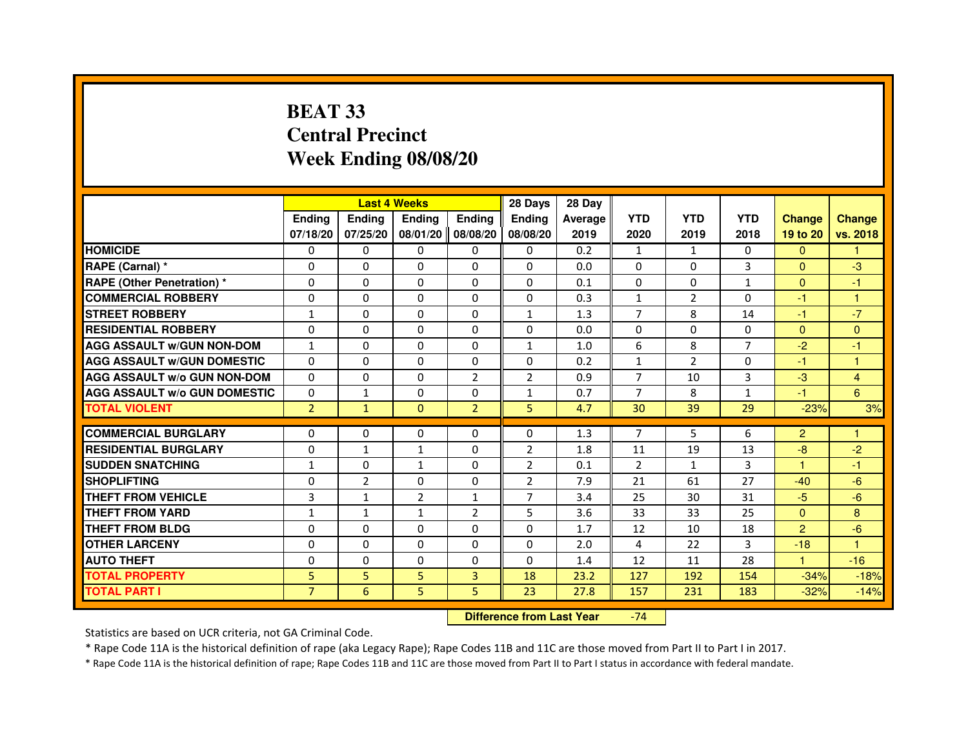### **BEAT 33 Central PrecinctWeek Ending 08/08/20**

|                                     |                | <b>Last 4 Weeks</b> |                   |                | 28 Days        | 28 Day  |                |                |                |                |                |
|-------------------------------------|----------------|---------------------|-------------------|----------------|----------------|---------|----------------|----------------|----------------|----------------|----------------|
|                                     | <b>Endina</b>  | <b>Ending</b>       | <b>Ending</b>     | <b>Ending</b>  | <b>Endina</b>  | Average | <b>YTD</b>     | <b>YTD</b>     | <b>YTD</b>     | <b>Change</b>  | <b>Change</b>  |
|                                     | 07/18/20       | 07/25/20            | 08/01/20 08/08/20 |                | 08/08/20       | 2019    | 2020           | 2019           | 2018           | 19 to 20       | vs. 2018       |
| <b>HOMICIDE</b>                     | 0              | 0                   | 0                 | 0              | $\Omega$       | 0.2     | $\mathbf{1}$   | $\mathbf{1}$   | 0              | $\mathbf{0}$   |                |
| RAPE (Carnal) *                     | 0              | $\Omega$            | $\Omega$          | $\Omega$       | $\Omega$       | 0.0     | $\Omega$       | $\Omega$       | 3              | $\Omega$       | $-3$           |
| <b>RAPE (Other Penetration)*</b>    | 0              | $\Omega$            | 0                 | $\Omega$       | 0              | 0.1     | $\Omega$       | 0              | $\mathbf{1}$   | $\Omega$       | $-1$           |
| <b>COMMERCIAL ROBBERY</b>           | 0              | 0                   | 0                 | 0              | 0              | 0.3     | 1              | $\overline{2}$ | $\Omega$       | $-1$           | $\mathbf{1}$   |
| <b>STREET ROBBERY</b>               | $\mathbf{1}$   | $\Omega$            | $\Omega$          | 0              | 1              | 1.3     | $\overline{7}$ | 8              | 14             | $-1$           | $-7$           |
| <b>RESIDENTIAL ROBBERY</b>          | 0              | $\Omega$            | $\Omega$          | 0              | 0              | 0.0     | $\Omega$       | $\Omega$       | $\Omega$       | $\Omega$       | $\Omega$       |
| <b>AGG ASSAULT W/GUN NON-DOM</b>    | $\mathbf{1}$   | $\Omega$            | $\mathbf 0$       | $\Omega$       | $\mathbf{1}$   | 1.0     | 6              | 8              | $\overline{7}$ | $-2$           | $-1$           |
| <b>AGG ASSAULT W/GUN DOMESTIC</b>   | $\Omega$       | $\Omega$            | $\Omega$          | 0              | 0              | 0.2     | $\mathbf{1}$   | $\mathcal{P}$  | $\Omega$       | $-1$           | $\mathbf{1}$   |
| <b>AGG ASSAULT W/o GUN NON-DOM</b>  | $\Omega$       | $\Omega$            | 0                 | 2              | $\overline{2}$ | 0.9     | 7              | 10             | 3              | $-3$           | $\overline{4}$ |
| <b>AGG ASSAULT W/o GUN DOMESTIC</b> | $\Omega$       | $\mathbf{1}$        | $\Omega$          | 0              | 1              | 0.7     | 7              | 8              | $\mathbf{1}$   | $-1$           | 6              |
| <b>TOTAL VIOLENT</b>                | $\overline{2}$ | $\mathbf{1}$        | $\Omega$          | $\overline{2}$ | 5              | 4.7     | 30             | 39             | 29             | $-23%$         | 3%             |
|                                     |                |                     |                   |                |                |         |                |                |                |                |                |
| <b>COMMERCIAL BURGLARY</b>          | $\Omega$       | $\Omega$            | 0                 | $\Omega$       | $\Omega$       | 1.3     | $\overline{7}$ | 5              | 6              | $\overline{2}$ | $\mathbf{1}$   |
| <b>RESIDENTIAL BURGLARY</b>         | 0              | $\mathbf{1}$        | $\mathbf{1}$      | 0              | $\overline{2}$ | 1.8     | 11             | 19             | 13             | -8             | $-2$           |
| <b>SUDDEN SNATCHING</b>             | 1              | $\Omega$            | 1                 | 0              | 2              | 0.1     | $\overline{2}$ | $\mathbf{1}$   | 3              | -1             | $-1$           |
| <b>SHOPLIFTING</b>                  | $\Omega$       | $\overline{2}$      | $\Omega$          | 0              | $\overline{2}$ | 7.9     | 21             | 61             | 27             | $-40$          | $-6$           |
| <b>THEFT FROM VEHICLE</b>           | 3              | $\mathbf{1}$        | $\overline{2}$    | $\mathbf{1}$   | $\overline{7}$ | 3.4     | 25             | 30             | 31             | $-5$           | $-6$           |
| <b>THEFT FROM YARD</b>              | $\mathbf{1}$   | $\mathbf{1}$        | 1                 | $\overline{2}$ | 5              | 3.6     | 33             | 33             | 25             | $\Omega$       | 8              |
| THEFT FROM BLDG                     | 0              | 0                   | 0                 | 0              | 0              | 1.7     | 12             | 10             | 18             | $\overline{2}$ | $-6$           |
| <b>OTHER LARCENY</b>                | 0              | $\Omega$            | 0                 | $\Omega$       | 0              | 2.0     | $\overline{4}$ | 22             | 3              | $-18$          | $\overline{1}$ |
| <b>AUTO THEFT</b>                   | $\Omega$       | 0                   | $\Omega$          | 0              | 0              | 1.4     | 12             | 11             | 28             | 1              | $-16$          |
| <b>TOTAL PROPERTY</b>               | 5              | 5                   | 5                 | 3              | 18             | 23.2    | 127            | 192            | 154            | $-34%$         | $-18%$         |
| <b>TOTAL PART I</b>                 | $\overline{7}$ | $6\phantom{1}6$     | 5                 | 5              | 23             | 27.8    | 157            | 231            | 183            | $-32%$         | $-14%$         |

 **Difference from Last Year**-74

Statistics are based on UCR criteria, not GA Criminal Code.

\* Rape Code 11A is the historical definition of rape (aka Legacy Rape); Rape Codes 11B and 11C are those moved from Part II to Part I in 2017.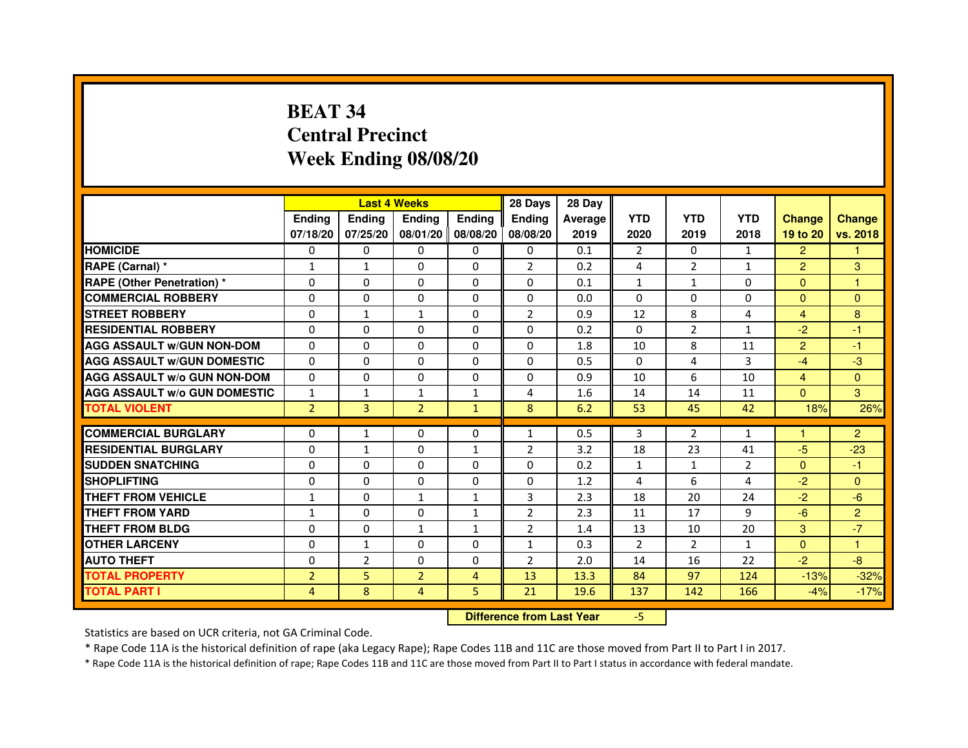## **BEAT 34 Central PrecinctWeek Ending 08/08/20**

|                                     |                | <b>Last 4 Weeks</b> |                                  |                | 28 Days        | 28 Day  |                |                |                |                |                |
|-------------------------------------|----------------|---------------------|----------------------------------|----------------|----------------|---------|----------------|----------------|----------------|----------------|----------------|
|                                     | <b>Ending</b>  | Ending              | <b>Ending</b>                    | <b>Ending</b>  | <b>Ending</b>  | Average | <b>YTD</b>     | <b>YTD</b>     | <b>YTD</b>     | <b>Change</b>  | <b>Change</b>  |
|                                     | 07/18/20       | 07/25/20            | 08/01/20 08/08/20                |                | 08/08/20       | 2019    | 2020           | 2019           | 2018           | 19 to 20       | vs. 2018       |
| <b>HOMICIDE</b>                     | 0              | $\Omega$            | $\Omega$                         | $\Omega$       | 0              | 0.1     | $\overline{2}$ | $\Omega$       | $\mathbf{1}$   | $\overline{2}$ | 1.             |
| RAPE (Carnal) *                     | $\mathbf{1}$   | $\mathbf{1}$        | 0                                | 0              | $\overline{2}$ | 0.2     | 4              | $\overline{2}$ | $\mathbf{1}$   | $\overline{2}$ | 3              |
| <b>RAPE (Other Penetration) *</b>   | 0              | 0                   | $\Omega$                         | 0              | $\Omega$       | 0.1     | $\mathbf{1}$   | 1              | 0              | $\Omega$       | $\mathbf{1}$   |
| <b>COMMERCIAL ROBBERY</b>           | $\Omega$       | $\Omega$            | $\Omega$                         | $\Omega$       | $\Omega$       | 0.0     | $\Omega$       | $\Omega$       | $\Omega$       | $\Omega$       | $\Omega$       |
| <b>STREET ROBBERY</b>               | $\Omega$       | $\mathbf{1}$        | $\mathbf{1}$                     | $\Omega$       | $\overline{2}$ | 0.9     | 12             | 8              | 4              | $\overline{4}$ | 8              |
| <b>RESIDENTIAL ROBBERY</b>          | $\Omega$       | $\Omega$            | $\Omega$                         | $\Omega$       | 0              | 0.2     | $\Omega$       | $\overline{2}$ | $\mathbf{1}$   | $-2$           | $-1$           |
| <b>AGG ASSAULT w/GUN NON-DOM</b>    | $\Omega$       | 0                   | $\mathbf 0$                      | $\Omega$       | $\Omega$       | 1.8     | 10             | 8              | 11             | $\overline{2}$ | $-1$           |
| <b>AGG ASSAULT w/GUN DOMESTIC</b>   | $\Omega$       | $\Omega$            | $\Omega$                         | $\Omega$       | $\Omega$       | 0.5     | $\Omega$       | 4              | 3              | $-4$           | $-3$           |
| <b>AGG ASSAULT W/o GUN NON-DOM</b>  | 0              | 0                   | 0                                | 0              | 0              | 0.9     | 10             | 6              | 10             | $\overline{4}$ | $\mathbf{0}$   |
| <b>AGG ASSAULT w/o GUN DOMESTIC</b> | $\mathbf{1}$   | $\mathbf{1}$        | $\mathbf{1}$                     | $\mathbf{1}$   | 4              | 1.6     | 14             | 14             | 11             | $\Omega$       | 3              |
| <b>TOTAL VIOLENT</b>                | $\overline{2}$ | 3                   | $\overline{2}$                   | $\mathbf{1}$   | 8              | 6.2     | 53             | 45             | 42             | 18%            | 26%            |
| <b>COMMERCIAL BURGLARY</b>          | $\Omega$       | $\mathbf{1}$        | 0                                | 0              | $\mathbf{1}$   | 0.5     | 3              | $\overline{2}$ | $\mathbf{1}$   | 1              | $\overline{2}$ |
| <b>RESIDENTIAL BURGLARY</b>         | $\Omega$       | $\mathbf{1}$        | $\Omega$                         | $\mathbf{1}$   | $\overline{2}$ | 3.2     | 18             | 23             | 41             | $-5$           | $-23$          |
| <b>SUDDEN SNATCHING</b>             | $\Omega$       | $\Omega$            | $\Omega$                         | $\Omega$       | $\Omega$       | 0.2     | $\mathbf{1}$   | $\mathbf{1}$   | $\overline{2}$ | $\Omega$       | $-1$           |
| <b>SHOPLIFTING</b>                  | 0              | 0                   | 0                                | 0              | 0              | 1.2     | 4              | 6              | 4              | $-2$           | $\Omega$       |
| <b>THEFT FROM VEHICLE</b>           | $\mathbf{1}$   | $\Omega$            | 1                                | $\mathbf{1}$   | 3              | 2.3     | 18             | 20             | 24             | $-2$           | $-6$           |
| <b>THEFT FROM YARD</b>              | $\mathbf{1}$   | 0                   | 0                                | $\mathbf{1}$   | $\overline{2}$ | 2.3     | 11             | 17             | 9              | $-6$           | $\overline{2}$ |
| <b>THEFT FROM BLDG</b>              | $\Omega$       | $\Omega$            | $\mathbf{1}$                     | $\mathbf{1}$   | $\overline{2}$ | 1.4     | 13             | 10             | 20             | 3              | $-7$           |
| <b>OTHER LARCENY</b>                | $\mathbf 0$    | $\mathbf{1}$        | $\mathbf 0$                      | $\Omega$       | $\mathbf{1}$   | 0.3     | $\overline{2}$ | $\overline{2}$ | $\mathbf{1}$   | $\Omega$       | 1.             |
| <b>AUTO THEFT</b>                   | $\Omega$       | $\overline{2}$      | $\Omega$                         | $\Omega$       | $\overline{2}$ | 2.0     | 14             | 16             | 22             | $-2$           | $-8$           |
| <b>TOTAL PROPERTY</b>               | $\overline{2}$ | 5                   | $\overline{2}$                   | $\overline{4}$ | 13             | 13.3    | 84             | 97             | 124            | $-13%$         | $-32%$         |
| <b>TOTAL PART I</b>                 | 4              | 8                   | 4                                | 5              | 21             | 19.6    | 137            | 142            | 166            | $-4%$          | $-17%$         |
|                                     |                |                     | <b>Difference from Last Year</b> |                | $-5$           |         |                |                |                |                |                |

 **Difference from Last Year**

Statistics are based on UCR criteria, not GA Criminal Code.

\* Rape Code 11A is the historical definition of rape (aka Legacy Rape); Rape Codes 11B and 11C are those moved from Part II to Part I in 2017.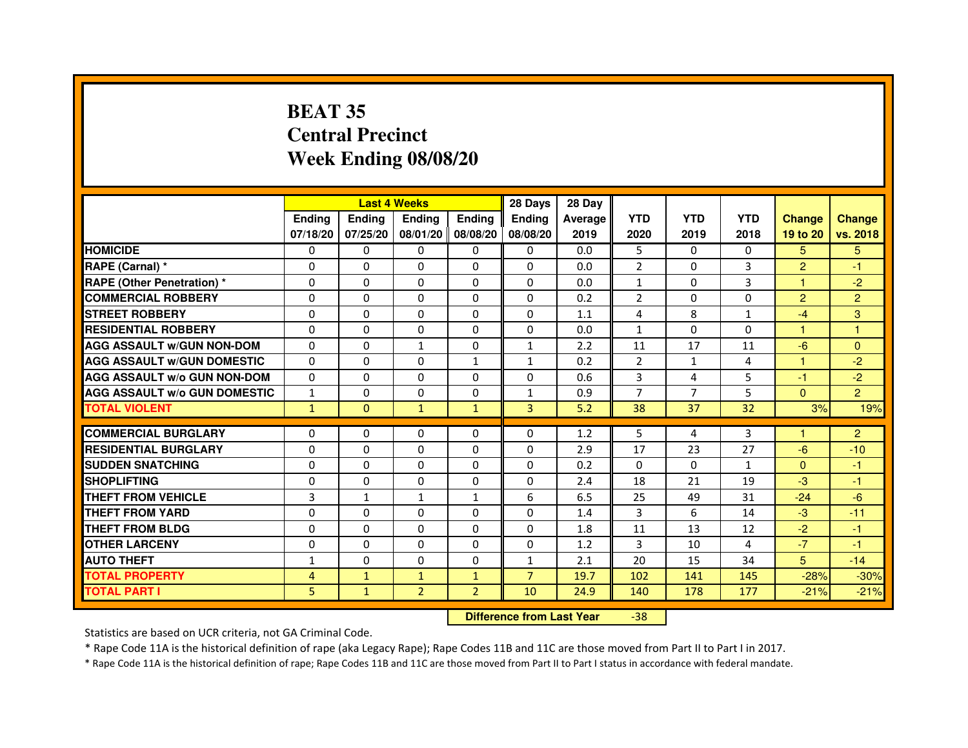## **BEAT 35 Central PrecinctWeek Ending 08/08/20**

|                                     |               | <b>Last 4 Weeks</b> |                |                     | 28 Days        | 28 Day  |                |              |                |                |                |
|-------------------------------------|---------------|---------------------|----------------|---------------------|----------------|---------|----------------|--------------|----------------|----------------|----------------|
|                                     | <b>Endina</b> | Ending              | <b>Endina</b>  | <b>Endina</b>       | <b>Endina</b>  | Average | <b>YTD</b>     | <b>YTD</b>   | <b>YTD</b>     | <b>Change</b>  | <b>Change</b>  |
|                                     | 07/18/20      | 07/25/20            |                | 08/01/20   08/08/20 | 08/08/20       | 2019    | 2020           | 2019         | 2018           | 19 to 20       | vs. 2018       |
| <b>HOMICIDE</b>                     | 0             | 0                   | 0              | 0                   | 0              | 0.0     | 5              | $\Omega$     | $\Omega$       | 5.             | 5.             |
| RAPE (Carnal) *                     | $\Omega$      | $\Omega$            | $\Omega$       | $\Omega$            | $\Omega$       | 0.0     | $\overline{2}$ | $\Omega$     | 3              | $\overline{2}$ | $-1$           |
| <b>RAPE (Other Penetration)*</b>    | $\Omega$      | $\Omega$            | $\Omega$       | $\Omega$            | $\Omega$       | 0.0     | $\mathbf{1}$   | $\Omega$     | 3              | 1              | $-2$           |
| <b>COMMERCIAL ROBBERY</b>           | 0             | 0                   | 0              | 0                   | 0              | 0.2     | $\overline{2}$ | 0            | 0              | $\overline{2}$ | $\overline{2}$ |
| <b>STREET ROBBERY</b>               | 0             | $\Omega$            | 0              | 0                   | 0              | 1.1     | 4              | 8            | $\mathbf{1}$   | $-4$           | 3              |
| <b>RESIDENTIAL ROBBERY</b>          | 0             | $\Omega$            | 0              | $\Omega$            | $\Omega$       | 0.0     | $\mathbf{1}$   | $\Omega$     | $\Omega$       | 1              | $\mathbf{1}$   |
| <b>AGG ASSAULT w/GUN NON-DOM</b>    | $\Omega$      | $\Omega$            | $\mathbf{1}$   | $\mathbf{0}$        | $\mathbf{1}$   | 2.2     | 11             | 17           | 11             | $-6$           | $\Omega$       |
| <b>AGG ASSAULT W/GUN DOMESTIC</b>   | $\Omega$      | $\Omega$            | $\Omega$       | $\mathbf{1}$        | $\mathbf{1}$   | 0.2     | $\mathcal{P}$  | $\mathbf{1}$ | $\overline{a}$ | 1              | $-2$           |
| <b>AGG ASSAULT W/o GUN NON-DOM</b>  | 0             | 0                   | 0              | $\Omega$            | $\Omega$       | 0.6     | 3              | 4            | 5              | $-1$           | $-2$           |
| <b>AGG ASSAULT W/o GUN DOMESTIC</b> | $\mathbf{1}$  | 0                   | 0              | 0                   | 1              | 0.9     | 7              | 7            | 5              | $\Omega$       | $\overline{2}$ |
| <b>TOTAL VIOLENT</b>                | $\mathbf{1}$  | $\Omega$            | $\mathbf{1}$   | $\mathbf{1}$        | 3              | 5.2     | 38             | 37           | 32             | 3%             | 19%            |
|                                     |               |                     |                |                     |                |         |                |              |                |                |                |
| <b>COMMERCIAL BURGLARY</b>          | 0             | 0                   | 0              | 0                   | $\Omega$       | 1.2     | 5              | 4            | 3              | 1              | $\overline{2}$ |
| <b>RESIDENTIAL BURGLARY</b>         | 0             | $\Omega$            | 0              | $\Omega$            | $\Omega$       | 2.9     | 17             | 23           | 27             | -6             | $-10$          |
| <b>SUDDEN SNATCHING</b>             | 0             | $\Omega$            | $\Omega$       | $\Omega$            | $\Omega$       | 0.2     | $\Omega$       | $\Omega$     | $\mathbf{1}$   | $\Omega$       | $-1$           |
| <b>SHOPLIFTING</b>                  | $\Omega$      | $\Omega$            | $\Omega$       | $\mathbf{0}$        | $\Omega$       | 2.4     | 18             | 21           | 19             | $-3$           | $-1$           |
| <b>THEFT FROM VEHICLE</b>           | 3             | $\mathbf{1}$        | $\mathbf{1}$   | $\mathbf{1}$        | 6              | 6.5     | 25             | 49           | 31             | $-24$          | $-6$           |
| <b>THEFT FROM YARD</b>              | $\Omega$      | 0                   | $\Omega$       | $\Omega$            | $\Omega$       | 1.4     | 3              | 6            | 14             | $-3$           | $-11$          |
| <b>THEFT FROM BLDG</b>              | 0             | $\Omega$            | 0              | $\mathbf{0}$        | $\Omega$       | 1.8     | 11             | 13           | 12             | $-2$           | $-1$           |
| <b>OTHER LARCENY</b>                | 0             | 0                   | $\Omega$       | $\Omega$            | $\Omega$       | 1.2     | 3              | 10           | 4              | $-7$           | $-1$           |
| <b>AUTO THEFT</b>                   | $\mathbf{1}$  | $\mathbf 0$         | 0              | $\Omega$            | $\mathbf{1}$   | 2.1     | 20             | 15           | 34             | 5              | $-14$          |
| <b>TOTAL PROPERTY</b>               | 4             | $\mathbf{1}$        | $\mathbf{1}$   | $\mathbf{1}$        | $\overline{7}$ | 19.7    | 102            | 141          | 145            | $-28%$         | $-30%$         |
| <b>TOTAL PART I</b>                 | 5             | $\mathbf{1}$        | $\overline{2}$ | $\overline{2}$      | 10             | 24.9    | 140            | 178          | 177            | $-21%$         | $-21%$         |

 **Difference from Last Year**-38

Statistics are based on UCR criteria, not GA Criminal Code.

\* Rape Code 11A is the historical definition of rape (aka Legacy Rape); Rape Codes 11B and 11C are those moved from Part II to Part I in 2017.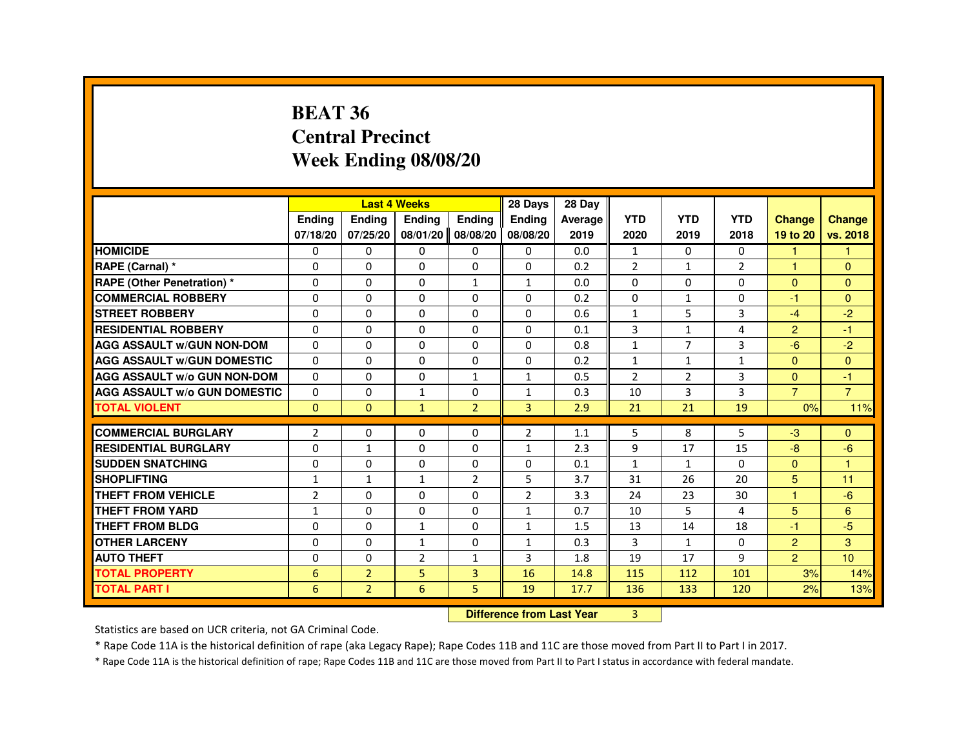#### **BEAT 36 Central PrecinctWeek Ending 08/08/20**

|                                     |               |                | <b>Last 4 Weeks</b> |                | 28 Days       | 28 Day  |                |                |                |                |                |
|-------------------------------------|---------------|----------------|---------------------|----------------|---------------|---------|----------------|----------------|----------------|----------------|----------------|
|                                     | <b>Endina</b> | <b>Endina</b>  | <b>Endina</b>       | <b>Endina</b>  | <b>Endina</b> | Average | <b>YTD</b>     | <b>YTD</b>     | <b>YTD</b>     | <b>Change</b>  | <b>Change</b>  |
|                                     | 07/18/20      | 07/25/20       | 08/01/20 08/08/20   |                | 08/08/20      | 2019    | 2020           | 2019           | 2018           | 19 to 20       | vs. 2018       |
| <b>HOMICIDE</b>                     | 0             | $\Omega$       | $\mathbf{0}$        | $\mathbf{0}$   | $\mathbf{0}$  | 0.0     | $\mathbf{1}$   | 0              | 0              | 1              | $\mathbf{1}$   |
| RAPE (Carnal) *                     | $\Omega$      | $\Omega$       | $\Omega$            | $\Omega$       | $\Omega$      | 0.2     | $\overline{2}$ | $\mathbf{1}$   | $\overline{2}$ | $\overline{1}$ | $\Omega$       |
| <b>RAPE (Other Penetration) *</b>   | 0             | 0              | 0                   | $\mathbf{1}$   | $\mathbf{1}$  | 0.0     | 0              | 0              | 0              | $\mathbf{0}$   | $\mathbf{0}$   |
| <b>COMMERCIAL ROBBERY</b>           | 0             | 0              | 0                   | $\Omega$       | 0             | 0.2     | 0              | $\mathbf{1}$   | 0              | $-1$           | $\Omega$       |
| <b>STREET ROBBERY</b>               | 0             | 0              | 0                   | $\mathbf 0$    | $\mathbf 0$   | 0.6     | $\mathbf{1}$   | 5              | 3              | $-4$           | $-2$           |
| <b>RESIDENTIAL ROBBERY</b>          | $\Omega$      | $\mathbf{0}$   | $\Omega$            | $\Omega$       | $\Omega$      | 0.1     | 3              | $\mathbf{1}$   | 4              | $\overline{2}$ | $-1$           |
| <b>AGG ASSAULT W/GUN NON-DOM</b>    | $\Omega$      | $\Omega$       | $\Omega$            | $\Omega$       | $\Omega$      | 0.8     | $\mathbf{1}$   | $\overline{7}$ | 3              | $-6$           | $-2$           |
| <b>AGG ASSAULT W/GUN DOMESTIC</b>   | 0             | 0              | 0                   | 0              | 0             | 0.2     | $\mathbf{1}$   | 1              | 1              | $\mathbf{0}$   | $\mathbf{0}$   |
| <b>AGG ASSAULT w/o GUN NON-DOM</b>  | 0             | $\mathbf{0}$   | 0                   | $\mathbf{1}$   | $\mathbf{1}$  | 0.5     | $\overline{2}$ | 2              | 3              | $\Omega$       | $-1$           |
| <b>AGG ASSAULT W/o GUN DOMESTIC</b> | $\Omega$      | $\Omega$       | $\mathbf{1}$        | $\Omega$       | $\mathbf{1}$  | 0.3     | 10             | 3              | 3              | $\overline{7}$ | $\overline{7}$ |
| <b>TOTAL VIOLENT</b>                | $\Omega$      | $\mathbf{0}$   | $\mathbf{1}$        | $\overline{2}$ | 3             | 2.9     | 21             | 21             | 19             | 0%             | 11%            |
|                                     |               |                |                     |                |               |         |                |                |                |                |                |
| <b>COMMERCIAL BURGLARY</b>          | 2             | 0              | 0                   | $\Omega$       | 2             | 1.1     | 5              | 8              | 5              | $-3$           | $\Omega$       |
| <b>RESIDENTIAL BURGLARY</b>         | $\Omega$      | $\mathbf{1}$   | 0                   | $\Omega$       | $\mathbf{1}$  | 2.3     | 9              | 17             | 15             | -8             | $-6$           |
| <b>SUDDEN SNATCHING</b>             | $\Omega$      | $\Omega$       | $\Omega$            | $\Omega$       | $\mathbf 0$   | 0.1     | $\mathbf{1}$   | $\mathbf{1}$   | $\Omega$       | $\Omega$       | $\overline{1}$ |
| <b>SHOPLIFTING</b>                  | $\mathbf{1}$  | $\mathbf{1}$   | $\mathbf{1}$        | $\overline{2}$ | 5             | 3.7     | 31             | 26             | 20             | 5              | 11             |
| <b>THEFT FROM VEHICLE</b>           | 2             | $\mathbf{0}$   | 0                   | $\Omega$       | 2             | 3.3     | 24             | 23             | 30             | 1              | $-6$           |
| THEFT FROM YARD                     | $\mathbf{1}$  | $\Omega$       | 0                   | $\Omega$       | $\mathbf{1}$  | 0.7     | 10             | 5              | 4              | 5              | 6              |
| THEFT FROM BLDG                     | $\Omega$      | $\Omega$       | $\mathbf{1}$        | $\Omega$       | $\mathbf{1}$  | 1.5     | 13             | 14             | 18             | $-1$           | $-5$           |
| <b>OTHER LARCENY</b>                | 0             | $\Omega$       | $\mathbf{1}$        | $\mathbf 0$    | $\mathbf{1}$  | 0.3     | 3              | $\mathbf{1}$   | $\Omega$       | $\overline{c}$ | 3              |
| <b>AUTO THEFT</b>                   | $\Omega$      | $\Omega$       | $\overline{2}$      | $\mathbf{1}$   | 3             | 1.8     | 19             | 17             | 9              | $\overline{2}$ | 10             |
| <b>TOTAL PROPERTY</b>               | 6             | $\overline{2}$ | 5                   | 3              | 16            | 14.8    | 115            | 112            | 101            | 3%             | 14%            |
| <b>TOTAL PART I</b>                 | 6             | $\overline{2}$ | 6                   | 5              | 19            | 17.7    | 136            | 133            | 120            | 2%             | 13%            |

**Difference from Last Year** 3

Statistics are based on UCR criteria, not GA Criminal Code.

\* Rape Code 11A is the historical definition of rape (aka Legacy Rape); Rape Codes 11B and 11C are those moved from Part II to Part I in 2017.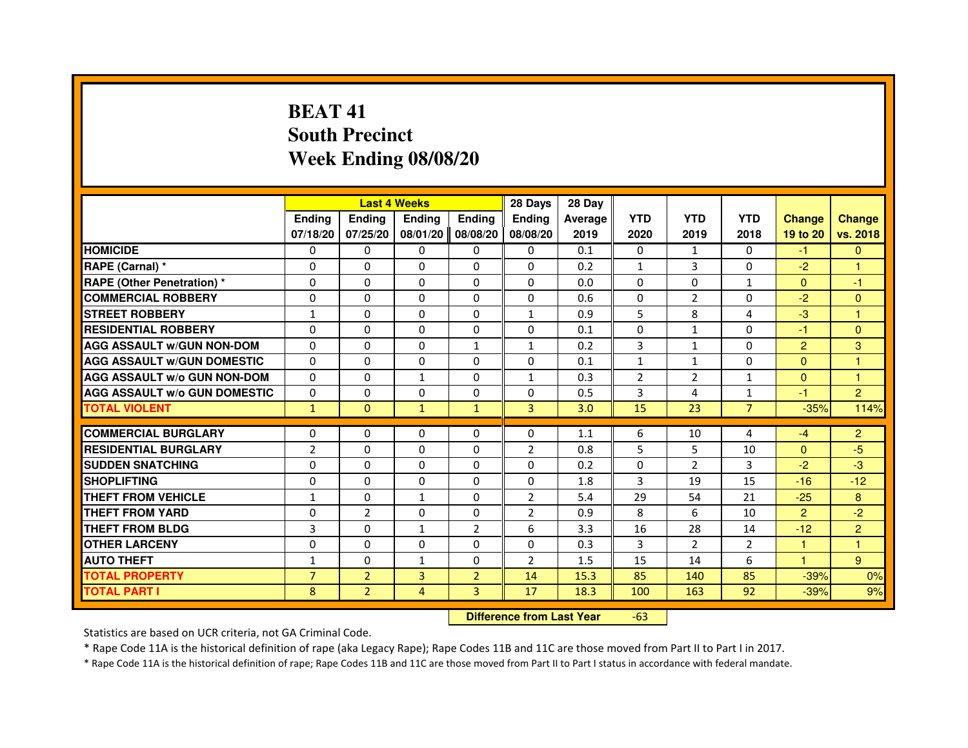## **BEAT 41 South PrecinctWeek Ending 08/08/20**

|                                     |                |                | <b>Last 4 Weeks</b>              |                | 28 Days        | 28 Day  |                |                |                |                |                |
|-------------------------------------|----------------|----------------|----------------------------------|----------------|----------------|---------|----------------|----------------|----------------|----------------|----------------|
|                                     | <b>Ending</b>  | <b>Ending</b>  | <b>Ending</b>                    | <b>Ending</b>  | <b>Ending</b>  | Average | <b>YTD</b>     | <b>YTD</b>     | <b>YTD</b>     | <b>Change</b>  | <b>Change</b>  |
|                                     | 07/18/20       | 07/25/20       | 08/01/20                         | 08/08/20       | 08/08/20       | 2019    | 2020           | 2019           | 2018           | 19 to 20       | vs. 2018       |
| <b>HOMICIDE</b>                     | $\Omega$       | $\mathbf{0}$   | $\Omega$                         | 0              | 0              | 0.1     | $\Omega$       | $\mathbf{1}$   | $\Omega$       | $-1$           | $\mathbf{0}$   |
| RAPE (Carnal) *                     | 0              | $\Omega$       | $\Omega$                         | $\Omega$       | 0              | 0.2     | $\mathbf{1}$   | 3              | $\Omega$       | $-2$           |                |
| <b>RAPE (Other Penetration) *</b>   | $\Omega$       | $\Omega$       | $\Omega$                         | $\Omega$       | $\Omega$       | 0.0     | $\Omega$       | $\Omega$       | $\mathbf{1}$   | $\Omega$       | $-1$           |
| <b>COMMERCIAL ROBBERY</b>           | 0              | $\Omega$       | $\Omega$                         | $\Omega$       | $\Omega$       | 0.6     | 0              | 2              | $\Omega$       | $-2$           | $\overline{0}$ |
| <b>STREET ROBBERY</b>               | $\mathbf{1}$   | $\Omega$       | $\Omega$                         | $\Omega$       | $\mathbf{1}$   | 0.9     | 5              | 8              | 4              | $-3$           | $\mathbf{1}$   |
| <b>RESIDENTIAL ROBBERY</b>          | 0              | $\Omega$       | 0                                | $\Omega$       | $\Omega$       | 0.1     | $\Omega$       | $\mathbf{1}$   | 0              | $-1$           | $\mathbf{0}$   |
| <b>AGG ASSAULT W/GUN NON-DOM</b>    | $\Omega$       | $\Omega$       | $\Omega$                         | $\mathbf{1}$   | $\mathbf{1}$   | 0.2     | 3              | $\mathbf{1}$   | $\Omega$       | $\overline{2}$ | 3              |
| <b>AGG ASSAULT W/GUN DOMESTIC</b>   | $\Omega$       | $\Omega$       | $\Omega$                         | $\Omega$       | $\Omega$       | 0.1     | $\mathbf{1}$   | $\mathbf{1}$   | $\Omega$       | $\Omega$       | $\overline{1}$ |
| <b>AGG ASSAULT w/o GUN NON-DOM</b>  | 0              | 0              | $\mathbf{1}$                     | 0              | 1              | 0.3     | $\overline{2}$ | $\overline{2}$ | $\mathbf{1}$   | $\mathbf{0}$   | 1              |
| <b>AGG ASSAULT W/o GUN DOMESTIC</b> | 0              | 0              | 0                                | 0              | $\Omega$       | 0.5     | 3              | 4              | $\mathbf{1}$   | $-1$           | $\overline{2}$ |
| <b>TOTAL VIOLENT</b>                | $\mathbf{1}$   | $\mathbf{0}$   | $\mathbf{1}$                     | $\mathbf{1}$   | 3              | 3.0     | 15             | 23             | $\overline{7}$ | $-35%$         | 114%           |
| <b>COMMERCIAL BURGLARY</b>          | 0              | $\Omega$       | 0                                | 0              | 0              | 1.1     | 6              | 10             | 4              | $-4$           | $\overline{c}$ |
| <b>RESIDENTIAL BURGLARY</b>         | $\overline{2}$ | $\Omega$       | $\Omega$                         | $\Omega$       | $\overline{2}$ | 0.8     | 5              | 5              | 10             | $\Omega$       | $-5$           |
| <b>SUDDEN SNATCHING</b>             | $\Omega$       | $\Omega$       | $\Omega$                         | $\Omega$       | $\Omega$       | 0.2     | $\Omega$       | $\mathfrak{p}$ | 3              | $-2$           | $-3$           |
| <b>SHOPLIFTING</b>                  | 0              | 0              | 0                                | 0              | 0              | 1.8     | 3              | 19             | 15             | $-16$          | $-12$          |
| THEFT FROM VEHICLE                  | 1              | $\Omega$       | $\mathbf{1}$                     | $\Omega$       | $\overline{2}$ | 5.4     | 29             | 54             | 21             | $-25$          | 8              |
| <b>THEFT FROM YARD</b>              | 0              | $\overline{2}$ | $\Omega$                         | 0              | $\overline{2}$ | 0.9     | 8              | 6              | 10             | $\overline{2}$ | $-2$           |
| <b>THEFT FROM BLDG</b>              | 3              | $\Omega$       | $\mathbf{1}$                     | $\overline{2}$ | 6              | 3.3     | 16             | 28             | 14             | $-12$          | $\overline{2}$ |
| <b>OTHER LARCENY</b>                | 0              | $\Omega$       | $\Omega$                         | $\Omega$       | $\Omega$       | 0.3     | 3              | $\overline{2}$ | $\overline{2}$ | $\mathbf{1}$   | 1              |
| <b>AUTO THEFT</b>                   | $\mathbf{1}$   | $\Omega$       | $\mathbf{1}$                     | $\Omega$       | $\overline{2}$ | 1.5     | 15             | 14             | 6              | $\mathbf{1}$   | 9              |
| <b>TOTAL PROPERTY</b>               | $\overline{7}$ | $\overline{2}$ | 3                                | $\overline{2}$ | 14             | 15.3    | 85             | 140            | 85             | $-39%$         | 0%             |
| <b>TOTAL PART I</b>                 | 8              | $\overline{2}$ | 4                                | 3              | 17             | 18.3    | 100            | 163            | 92             | $-39%$         | 9%             |
|                                     |                |                | <b>Difference from Last Year</b> |                | $-63$          |         |                |                |                |                |                |

Statistics are based on UCR criteria, not GA Criminal Code.

\* Rape Code 11A is the historical definition of rape (aka Legacy Rape); Rape Codes 11B and 11C are those moved from Part II to Part I in 2017.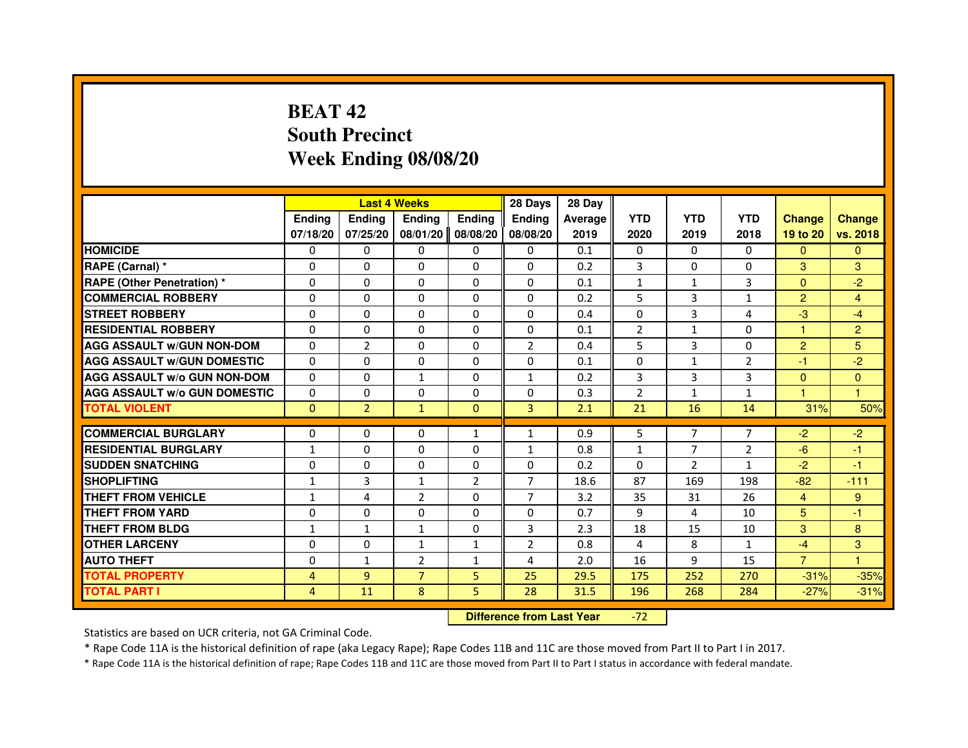### **BEAT 42 South PrecinctWeek Ending 08/08/20**

|                                     |               |                | <b>Last 4 Weeks</b> |                | 28 Days        | 28 Day  |                |                |                |                      |               |
|-------------------------------------|---------------|----------------|---------------------|----------------|----------------|---------|----------------|----------------|----------------|----------------------|---------------|
|                                     | <b>Endina</b> | <b>Ending</b>  | <b>Endina</b>       | <b>Endina</b>  | <b>Endina</b>  | Average | <b>YTD</b>     | <b>YTD</b>     | <b>YTD</b>     | <b>Change</b>        | <b>Change</b> |
|                                     | 07/18/20      | 07/25/20       | 08/01/20            | 08/08/20       | 08/08/20       | 2019    | 2020           | 2019           | 2018           | 19 to 20             | vs. 2018      |
| <b>HOMICIDE</b>                     | 0             | $\Omega$       | $\Omega$            | 0              | 0              | 0.1     | $\mathbf{0}$   | 0              | $\mathbf{0}$   | $\Omega$             | $\Omega$      |
| RAPE (Carnal) *                     | $\Omega$      | $\Omega$       | $\Omega$            | $\Omega$       | $\Omega$       | 0.2     | 3              | $\Omega$       | $\Omega$       | 3                    | 3             |
| <b>RAPE (Other Penetration)*</b>    | 0             | $\mathbf{0}$   | 0                   | $\mathbf{0}$   | $\Omega$       | 0.1     | $\mathbf{1}$   | $\mathbf{1}$   | 3              | $\mathbf{0}$         | $-2$          |
| <b>COMMERCIAL ROBBERY</b>           | 0             | 0              | 0                   | 0              | $\Omega$       | 0.2     | 5              | 3              | $\mathbf{1}$   | $\overline{2}$       | 4             |
| <b>STREET ROBBERY</b>               | $\Omega$      | $\Omega$       | 0                   | $\Omega$       | $\Omega$       | 0.4     | $\Omega$       | 3              | 4              | $-3$                 | $-4$          |
| <b>RESIDENTIAL ROBBERY</b>          | 0             | $\mathbf{0}$   | 0                   | $\Omega$       | 0              | 0.1     | $\overline{2}$ | $\mathbf{1}$   | 0              | 1                    | 2             |
| <b>AGG ASSAULT w/GUN NON-DOM</b>    | $\Omega$      | $\overline{2}$ | $\Omega$            | $\Omega$       | $\overline{2}$ | 0.4     | 5              | 3              | $\Omega$       | $\overline{2}$       | 5             |
| <b>AGG ASSAULT W/GUN DOMESTIC</b>   | $\Omega$      | $\Omega$       | $\Omega$            | $\Omega$       | $\Omega$       | 0.1     | $\Omega$       | $\mathbf{1}$   | $\overline{2}$ | $-1$                 | $-2$          |
| <b>AGG ASSAULT w/o GUN NON-DOM</b>  | 0             | 0              | $\mathbf{1}$        | 0              | $\mathbf{1}$   | 0.2     | 3              | 3              | 3              | $\Omega$             | $\Omega$      |
| <b>AGG ASSAULT W/o GUN DOMESTIC</b> | 0             | $\Omega$       | 0                   | 0              | 0              | 0.3     | $\overline{2}$ | $\mathbf{1}$   | $\mathbf{1}$   | $\blacktriangleleft$ | $\mathbf{1}$  |
| <b>TOTAL VIOLENT</b>                | $\mathbf{0}$  | $\overline{2}$ | $\mathbf{1}$        | $\Omega$       | 3              | 2.1     | 21             | 16             | 14             | 31%                  | 50%           |
|                                     |               |                |                     |                |                |         |                |                |                |                      |               |
| <b>COMMERCIAL BURGLARY</b>          | 0             | 0              | 0                   | $\mathbf{1}$   | $\mathbf{1}$   | 0.9     | 5              | 7              | 7              | -2.                  | $-2$          |
| <b>RESIDENTIAL BURGLARY</b>         | $\mathbf{1}$  | $\mathbf{0}$   | 0                   | $\Omega$       | $\mathbf{1}$   | 0.8     | $\mathbf{1}$   | $\overline{7}$ | $\overline{2}$ | $-6$                 | -1            |
| <b>SUDDEN SNATCHING</b>             | $\Omega$      | $\Omega$       | $\Omega$            | $\Omega$       | 0              | 0.2     | $\Omega$       | $\overline{2}$ | 1              | $-2$                 | $-1$          |
| <b>SHOPLIFTING</b>                  | $\mathbf{1}$  | 3              | $\mathbf{1}$        | $\overline{2}$ | $\overline{7}$ | 18.6    | 87             | 169            | 198            | $-82$                | $-111$        |
| THEFT FROM VEHICLE                  | $\mathbf{1}$  | 4              | $\overline{2}$      | $\Omega$       | $\overline{7}$ | 3.2     | 35             | 31             | 26             | 4                    | 9             |
| <b>THEFT FROM YARD</b>              | 0             | 0              | $\Omega$            | 0              | 0              | 0.7     | 9              | 4              | 10             | 5                    | -1            |
| <b>THEFT FROM BLDG</b>              | $\mathbf{1}$  | $\mathbf{1}$   | $\mathbf{1}$        | $\mathbf{0}$   | 3              | 2.3     | 18             | 15             | 10             | 3                    | 8             |
| <b>OTHER LARCENY</b>                | $\Omega$      | $\Omega$       | $\mathbf{1}$        | $\mathbf{1}$   | $\overline{2}$ | 0.8     | 4              | 8              | $\mathbf{1}$   | $-4$                 | 3             |
| <b>AUTO THEFT</b>                   | $\Omega$      | $\mathbf{1}$   | $\overline{2}$      | $\mathbf{1}$   | 4              | 2.0     | 16             | 9              | 15             | $\overline{7}$       | $\mathbf{1}$  |
| <b>TOTAL PROPERTY</b>               | 4             | $\overline{9}$ | $\overline{7}$      | 5              | 25             | 29.5    | 175            | 252            | 270            | $-31%$               | $-35%$        |
| <b>TOTAL PART I</b>                 | 4             | 11             | 8                   | 5.             | 28             | 31.5    | 196            | 268            | 284            | $-27%$               | $-31%$        |

 **Difference from Last Year**-72

Statistics are based on UCR criteria, not GA Criminal Code.

\* Rape Code 11A is the historical definition of rape (aka Legacy Rape); Rape Codes 11B and 11C are those moved from Part II to Part I in 2017.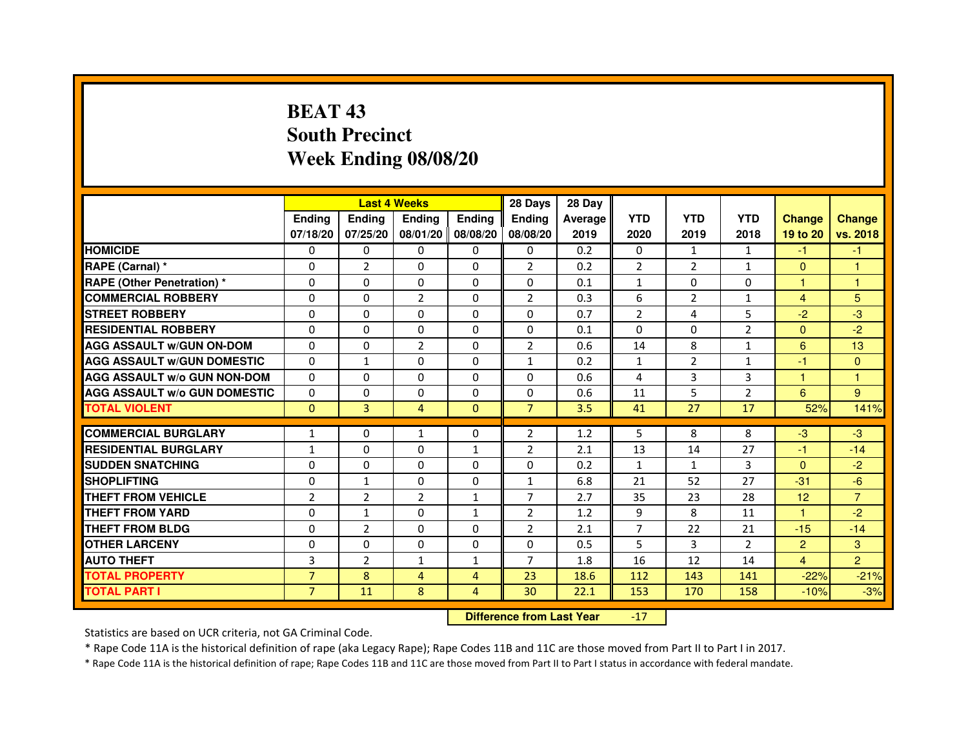## **BEAT 43 South PrecinctWeek Ending 08/08/20**

|                                     |                | <b>Last 4 Weeks</b>              |                |                   | 28 Days        | 28 Day  |                |                |                |                |                |
|-------------------------------------|----------------|----------------------------------|----------------|-------------------|----------------|---------|----------------|----------------|----------------|----------------|----------------|
|                                     | <b>Ending</b>  | Ending                           | <b>Ending</b>  | <b>Ending</b>     | <b>Ending</b>  | Average | <b>YTD</b>     | <b>YTD</b>     | <b>YTD</b>     | <b>Change</b>  | <b>Change</b>  |
|                                     | 07/18/20       | 07/25/20                         |                | 08/01/20 08/08/20 | 08/08/20       | 2019    | 2020           | 2019           | 2018           | 19 to 20       | vs. 2018       |
| <b>HOMICIDE</b>                     | 0              | 0                                | $\mathbf{0}$   | 0                 | 0              | 0.2     | 0              | $\mathbf{1}$   | $\mathbf{1}$   | $-1$           | $-1$           |
| RAPE (Carnal) *                     | 0              | $\overline{2}$                   | 0              | 0                 | 2              | 0.2     | $\overline{2}$ | 2              | 1              | $\mathbf{0}$   | 1              |
| <b>RAPE (Other Penetration) *</b>   | 0              | 0                                | 0              | $\mathbf{0}$      | $\Omega$       | 0.1     | $\mathbf{1}$   | 0              | 0              | 1              | 1              |
| <b>COMMERCIAL ROBBERY</b>           | $\mathbf 0$    | 0                                | $\overline{2}$ | $\mathbf{0}$      | $\overline{2}$ | 0.3     | 6              | $\overline{2}$ | $\mathbf{1}$   | $\overline{4}$ | 5              |
| <b>STREET ROBBERY</b>               | 0              | $\Omega$                         | $\Omega$       | $\Omega$          | $\Omega$       | 0.7     | $\overline{2}$ | 4              | 5              | $-2$           | $-3$           |
| <b>RESIDENTIAL ROBBERY</b>          | 0              | 0                                | $\Omega$       | 0                 | $\Omega$       | 0.1     | $\Omega$       | $\Omega$       | $\overline{2}$ | $\Omega$       | $-2$           |
| <b>AGG ASSAULT w/GUN ON-DOM</b>     | $\Omega$       | $\Omega$                         | $\overline{2}$ | $\Omega$          | $\overline{2}$ | 0.6     | 14             | 8              | $\mathbf{1}$   | 6              | 13             |
| <b>AGG ASSAULT W/GUN DOMESTIC</b>   | $\Omega$       | $\mathbf{1}$                     | 0              | $\Omega$          | $\mathbf{1}$   | 0.2     | $\mathbf{1}$   | $\overline{2}$ | $\mathbf{1}$   | $-1$           | $\Omega$       |
| <b>AGG ASSAULT W/o GUN NON-DOM</b>  | $\Omega$       | $\Omega$                         | $\Omega$       | $\Omega$          | $\Omega$       | 0.6     | 4              | 3              | 3              | $\mathbf{1}$   | $\mathbf{1}$   |
| <b>AGG ASSAULT W/o GUN DOMESTIC</b> | $\Omega$       | 0                                | 0              | $\Omega$          | $\Omega$       | 0.6     | 11             | 5              | $\overline{2}$ | 6              | 9              |
| <b>TOTAL VIOLENT</b>                | $\mathbf{0}$   | 3                                | $\overline{4}$ | $\mathbf{0}$      | $\overline{7}$ | 3.5     | 41             | 27             | 17             | 52%            | 141%           |
| <b>COMMERCIAL BURGLARY</b>          | 1              | 0                                | $\mathbf{1}$   | 0                 | 2              | 1.2     | 5              | 8              | 8              | $-3$           | $-3$           |
| <b>RESIDENTIAL BURGLARY</b>         | $\mathbf{1}$   | 0                                | $\Omega$       | $\mathbf{1}$      | $\overline{2}$ | 2.1     | 13             | 14             | 27             | $-1$           | $-14$          |
| <b>SUDDEN SNATCHING</b>             | 0              | $\Omega$                         | $\Omega$       | $\Omega$          | $\Omega$       | 0.2     | $\mathbf{1}$   | $\mathbf{1}$   | 3              | $\Omega$       | $-2$           |
| <b>SHOPLIFTING</b>                  | 0              | $\mathbf{1}$                     | 0              | $\mathbf{0}$      | $\mathbf{1}$   | 6.8     | 21             | 52             | 27             | $-31$          | $-6$           |
| THEFT FROM VEHICLE                  | $\overline{2}$ | $\overline{2}$                   | $\overline{2}$ | $\mathbf{1}$      | $\overline{7}$ | 2.7     | 35             | 23             | 28             | 12             | $\overline{7}$ |
| <b>THEFT FROM YARD</b>              | $\mathbf 0$    | $\mathbf{1}$                     | $\Omega$       | $\mathbf{1}$      | $\overline{2}$ | 1.2     | 9              | 8              | 11             | $\mathbf{1}$   | $-2$           |
| <b>THEFT FROM BLDG</b>              | 0              | $\overline{2}$                   | 0              | $\Omega$          | $\overline{2}$ | 2.1     | $\overline{7}$ | 22             | 21             | $-15$          | $-14$          |
| <b>OTHER LARCENY</b>                | 0              | $\Omega$                         | $\Omega$       | $\Omega$          | $\Omega$       | 0.5     | 5              | 3              | $\overline{2}$ | $\overline{2}$ | 3              |
| <b>AUTO THEFT</b>                   | 3              | $\overline{2}$                   | $\mathbf{1}$   | $\mathbf{1}$      | $\overline{7}$ | 1.8     | 16             | 12             | 14             | $\overline{4}$ | $\overline{2}$ |
| <b>TOTAL PROPERTY</b>               | $\overline{7}$ | 8                                | $\overline{4}$ | $\overline{4}$    | 23             | 18.6    | 112            | 143            | 141            | $-22%$         | $-21%$         |
| <b>TOTAL PART I</b>                 | $\overline{7}$ | 11                               | 8              | $\overline{4}$    | 30             | 22.1    | 153            | 170            | 158            | $-10%$         | $-3%$          |
|                                     |                | <b>Difference from Last Year</b> |                | $-17$             |                |         |                |                |                |                |                |

 **Difference from Last Year**

Statistics are based on UCR criteria, not GA Criminal Code.

\* Rape Code 11A is the historical definition of rape (aka Legacy Rape); Rape Codes 11B and 11C are those moved from Part II to Part I in 2017.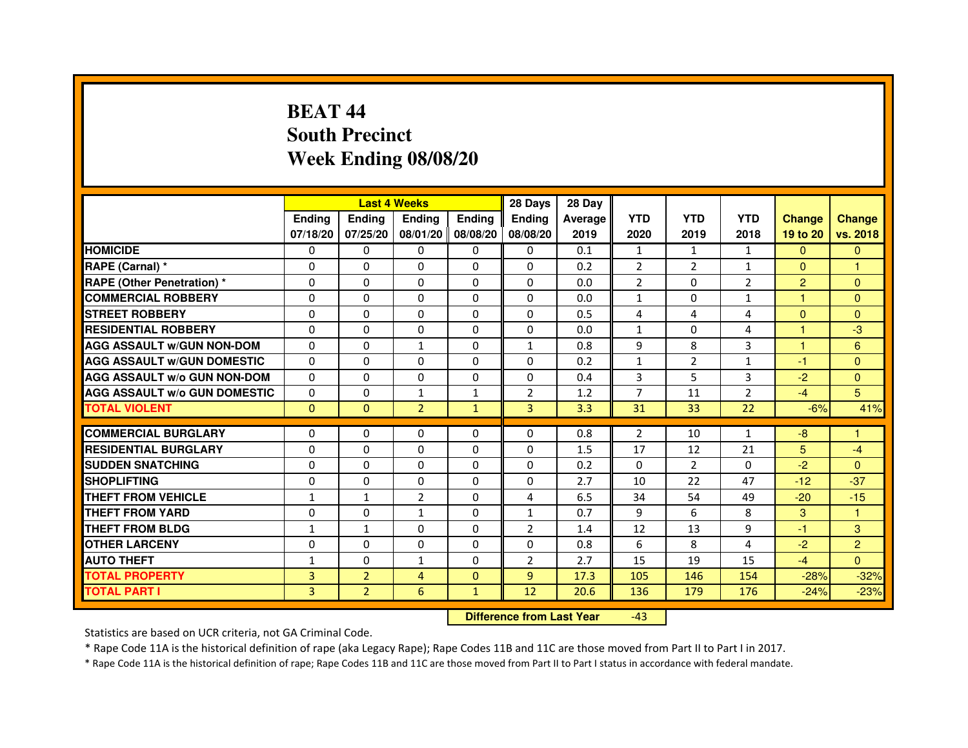## **BEAT 44 South PrecinctWeek Ending 08/08/20**

|                                     |               | <b>Last 4 Weeks</b> |                |                     | 28 Days        | 28 Day  |                |              |                |                |                |
|-------------------------------------|---------------|---------------------|----------------|---------------------|----------------|---------|----------------|--------------|----------------|----------------|----------------|
|                                     | <b>Endina</b> | Ending              | <b>Endina</b>  | <b>Endina</b>       | <b>Endina</b>  | Average | <b>YTD</b>     | <b>YTD</b>   | <b>YTD</b>     | <b>Change</b>  | <b>Change</b>  |
|                                     | 07/18/20      | 07/25/20            |                | 08/01/20   08/08/20 | 08/08/20       | 2019    | 2020           | 2019         | 2018           | 19 to 20       | vs. 2018       |
| <b>HOMICIDE</b>                     | 0             | 0                   | 0              | 0                   | 0              | 0.1     | $\mathbf{1}$   | $\mathbf{1}$ | $\mathbf{1}$   | $\mathbf{0}$   | $\mathbf{0}$   |
| RAPE (Carnal) *                     | $\Omega$      | $\Omega$            | $\Omega$       | $\Omega$            | $\Omega$       | 0.2     | $\overline{2}$ | 2            | $\mathbf{1}$   | $\Omega$       | 1              |
| <b>RAPE (Other Penetration)*</b>    | $\Omega$      | $\Omega$            | $\Omega$       | $\Omega$            | $\Omega$       | 0.0     | 2              | $\Omega$     | 2              | $\overline{2}$ | $\Omega$       |
| <b>COMMERCIAL ROBBERY</b>           | 0             | 0                   | 0              | 0                   | $\Omega$       | 0.0     | $\mathbf{1}$   | 0            | $\mathbf{1}$   | 1              | $\Omega$       |
| <b>STREET ROBBERY</b>               | 0             | $\Omega$            | 0              | 0                   | 0              | 0.5     | 4              | 4            | $\overline{4}$ | $\Omega$       | $\Omega$       |
| <b>RESIDENTIAL ROBBERY</b>          | 0             | $\Omega$            | 0              | $\Omega$            | $\Omega$       | 0.0     | $\mathbf{1}$   | $\Omega$     | 4              | 1              | -3             |
| <b>AGG ASSAULT w/GUN NON-DOM</b>    | $\Omega$      | $\Omega$            | $\mathbf{1}$   | $\Omega$            | $\mathbf{1}$   | 0.8     | 9              | 8            | 3              | 1              | 6              |
| <b>AGG ASSAULT W/GUN DOMESTIC</b>   | $\Omega$      | $\Omega$            | $\Omega$       | $\Omega$            | $\Omega$       | 0.2     | $\mathbf{1}$   | 2            | $\mathbf{1}$   | $-1$           | $\Omega$       |
| <b>AGG ASSAULT W/o GUN NON-DOM</b>  | 0             | 0                   | 0              | 0                   | $\Omega$       | 0.4     | 3              | 5            | 3              | $-2$           | $\Omega$       |
| <b>AGG ASSAULT W/o GUN DOMESTIC</b> | 0             | 0                   | $\mathbf{1}$   | 1                   | 2              | 1.2     | 7              | 11           | $\overline{2}$ | $-4$           | 5              |
| <b>TOTAL VIOLENT</b>                | $\Omega$      | $\Omega$            | $\overline{2}$ | $\mathbf{1}$        | 3              | 3.3     | 31             | 33           | 22             | $-6%$          | 41%            |
|                                     |               |                     |                |                     |                |         |                |              |                |                |                |
| <b>COMMERCIAL BURGLARY</b>          | 0             | 0                   | 0              | 0                   | $\Omega$       | 0.8     | 2              | 10           | $\mathbf{1}$   | -8             | 1              |
| <b>RESIDENTIAL BURGLARY</b>         | 0             | 0                   | 0              | $\Omega$            | $\Omega$       | 1.5     | 17             | 12           | 21             | 5              | $-4$           |
| <b>SUDDEN SNATCHING</b>             | 0             | $\Omega$            | $\Omega$       | $\Omega$            | $\Omega$       | 0.2     | $\Omega$       | 2            | $\Omega$       | $-2$           | $\Omega$       |
| <b>SHOPLIFTING</b>                  | $\Omega$      | $\Omega$            | $\Omega$       | $\mathbf{0}$        | $\Omega$       | 2.7     | 10             | 22           | 47             | $-12$          | $-37$          |
| <b>THEFT FROM VEHICLE</b>           | $\mathbf{1}$  | $\mathbf{1}$        | $\overline{2}$ | 0                   | 4              | 6.5     | 34             | 54           | 49             | $-20$          | $-15$          |
| <b>THEFT FROM YARD</b>              | $\Omega$      | 0                   | 1              | $\Omega$            | $\mathbf{1}$   | 0.7     | 9              | 6            | 8              | 3              | 1              |
| <b>THEFT FROM BLDG</b>              | 1             | 1                   | 0              | $\mathbf{0}$        | $\overline{2}$ | 1.4     | 12             | 13           | 9              | $-1$           | 3              |
| <b>OTHER LARCENY</b>                | 0             | 0                   | $\Omega$       | $\Omega$            | $\Omega$       | 0.8     | 6              | 8            | 4              | $-2$           | $\overline{2}$ |
| <b>AUTO THEFT</b>                   | $\mathbf{1}$  | 0                   | $\mathbf{1}$   | $\Omega$            | $\overline{2}$ | 2.7     | 15             | 19           | 15             | $-4$           | $\Omega$       |
| <b>TOTAL PROPERTY</b>               | 3             | $\overline{2}$      | $\overline{4}$ | $\mathbf{0}$        | 9              | 17.3    | 105            | 146          | 154            | $-28%$         | $-32%$         |
| <b>TOTAL PART I</b>                 | 3             | $\overline{2}$      | 6              | $\mathbf{1}$        | 12             | 20.6    | 136            | 179          | 176            | $-24%$         | $-23%$         |

 **Difference from Last Year**-43

Statistics are based on UCR criteria, not GA Criminal Code.

\* Rape Code 11A is the historical definition of rape (aka Legacy Rape); Rape Codes 11B and 11C are those moved from Part II to Part I in 2017.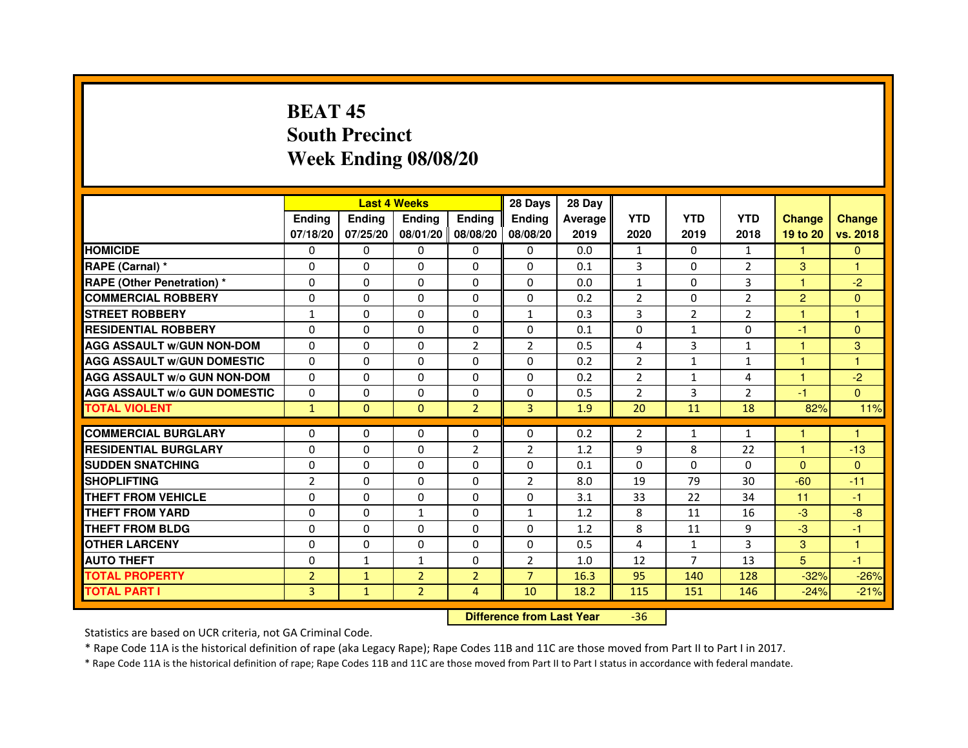## **BEAT 45 South PrecinctWeek Ending 08/08/20**

|                                     |                | <b>Last 4 Weeks</b> |                     |                | 28 Days        | 28 Day  |                |                |                |                |               |
|-------------------------------------|----------------|---------------------|---------------------|----------------|----------------|---------|----------------|----------------|----------------|----------------|---------------|
|                                     | <b>Endina</b>  | <b>Ending</b>       | <b>Ending</b>       | <b>Endina</b>  | <b>Endina</b>  | Average | <b>YTD</b>     | <b>YTD</b>     | <b>YTD</b>     | <b>Change</b>  | <b>Change</b> |
|                                     | 07/18/20       | 07/25/20            | 08/01/20   08/08/20 |                | 08/08/20       | 2019    | 2020           | 2019           | 2018           | 19 to 20       | vs. 2018      |
| <b>HOMICIDE</b>                     | 0              | 0                   | 0                   | 0              | 0              | 0.0     | $\mathbf{1}$   | 0              | $\mathbf{1}$   | $\mathbf{1}$   | $\mathbf{0}$  |
| RAPE (Carnal) *                     | $\Omega$       | $\Omega$            | $\Omega$            | $\Omega$       | $\Omega$       | 0.1     | 3              | $\Omega$       | $\overline{2}$ | 3              | 1             |
| <b>RAPE (Other Penetration) *</b>   | 0              | $\Omega$            | $\Omega$            | $\Omega$       | $\Omega$       | 0.0     | $\mathbf{1}$   | $\Omega$       | 3              | 1              | $-2$          |
| <b>COMMERCIAL ROBBERY</b>           | 0              | $\Omega$            | 0                   | 0              | 0              | 0.2     | $\overline{2}$ | 0              | $\overline{2}$ | $\overline{2}$ | $\Omega$      |
| <b>STREET ROBBERY</b>               | $\mathbf{1}$   | $\Omega$            | $\Omega$            | 0              | $\mathbf{1}$   | 0.3     | 3              | $\overline{2}$ | $\overline{2}$ | 1              | 1             |
| <b>RESIDENTIAL ROBBERY</b>          | $\Omega$       | $\Omega$            | $\Omega$            | 0              | 0              | 0.1     | $\Omega$       | $\mathbf{1}$   | $\Omega$       | $-1$           | $\Omega$      |
| <b>AGG ASSAULT w/GUN NON-DOM</b>    | $\Omega$       | $\Omega$            | $\mathbf 0$         | $\overline{2}$ | $\overline{2}$ | 0.5     | 4              | 3              | $\mathbf{1}$   | $\mathbf{1}$   | 3             |
| <b>AGG ASSAULT W/GUN DOMESTIC</b>   | $\Omega$       | $\Omega$            | $\Omega$            | $\Omega$       | $\Omega$       | 0.2     | $\overline{2}$ | $\mathbf{1}$   | $\mathbf{1}$   | $\mathbf{1}$   | 1             |
| <b>AGG ASSAULT W/o GUN NON-DOM</b>  | $\Omega$       | 0                   | $\Omega$            | 0              | $\Omega$       | 0.2     | $\overline{2}$ | $\mathbf{1}$   | 4              | 1              | $-2$          |
| <b>AGG ASSAULT W/o GUN DOMESTIC</b> | $\Omega$       | 0                   | 0                   | 0              | 0              | 0.5     | $\overline{2}$ | 3              | $\overline{2}$ | $-1$           | $\Omega$      |
| <b>TOTAL VIOLENT</b>                | $\mathbf{1}$   | $\Omega$            | $\Omega$            | $\overline{2}$ | 3              | 1.9     | 20             | 11             | 18             | 82%            | 11%           |
|                                     |                |                     |                     |                |                |         |                |                |                |                |               |
| <b>COMMERCIAL BURGLARY</b>          | 0              | 0                   | 0                   | 0              | 0              | 0.2     | 2              | $\mathbf{1}$   | $\mathbf{1}$   | 1              | 1             |
| <b>RESIDENTIAL BURGLARY</b>         | $\Omega$       | 0                   | $\Omega$            | 2              | $\overline{2}$ | 1.2     | 9              | 8              | 22             | 1              | $-13$         |
| <b>SUDDEN SNATCHING</b>             | $\Omega$       | $\Omega$            | $\Omega$            | $\Omega$       | $\Omega$       | 0.1     | $\Omega$       | $\Omega$       | $\Omega$       | $\Omega$       | $\Omega$      |
| <b>SHOPLIFTING</b>                  | $\overline{2}$ | $\Omega$            | $\Omega$            | $\Omega$       | $\overline{2}$ | 8.0     | 19             | 79             | 30             | $-60$          | $-11$         |
| <b>THEFT FROM VEHICLE</b>           | 0              | 0                   | 0                   | 0              | 0              | 3.1     | 33             | 22             | 34             | 11             | $-1$          |
| <b>THEFT FROM YARD</b>              | $\Omega$       | $\Omega$            | $\mathbf{1}$        | $\Omega$       | 1              | 1.2     | 8              | 11             | 16             | $-3$           | $-8$          |
| <b>THEFT FROM BLDG</b>              | $\Omega$       | $\Omega$            | $\Omega$            | $\Omega$       | 0              | 1.2     | 8              | 11             | 9              | $-3$           | $-1$          |
| <b>OTHER LARCENY</b>                | $\Omega$       | $\Omega$            | 0                   | 0              | 0              | 0.5     | $\overline{a}$ | $\mathbf{1}$   | 3              | 3              | 1             |
| <b>AUTO THEFT</b>                   | 0              | $\mathbf{1}$        | $\mathbf{1}$        | 0              | $\overline{2}$ | 1.0     | 12             | 7              | 13             | 5              | $-1$          |
| <b>TOTAL PROPERTY</b>               | $\overline{2}$ | $\mathbf{1}$        | $\overline{2}$      | $\overline{2}$ | $\overline{7}$ | 16.3    | 95             | 140            | 128            | $-32%$         | $-26%$        |
| <b>TOTAL PART I</b>                 | 3              | $\mathbf{1}$        | $\overline{2}$      | $\overline{4}$ | 10             | 18.2    | 115            | 151            | 146            | $-24%$         | $-21%$        |

 **Difference from Last Year**-36

Statistics are based on UCR criteria, not GA Criminal Code.

\* Rape Code 11A is the historical definition of rape (aka Legacy Rape); Rape Codes 11B and 11C are those moved from Part II to Part I in 2017.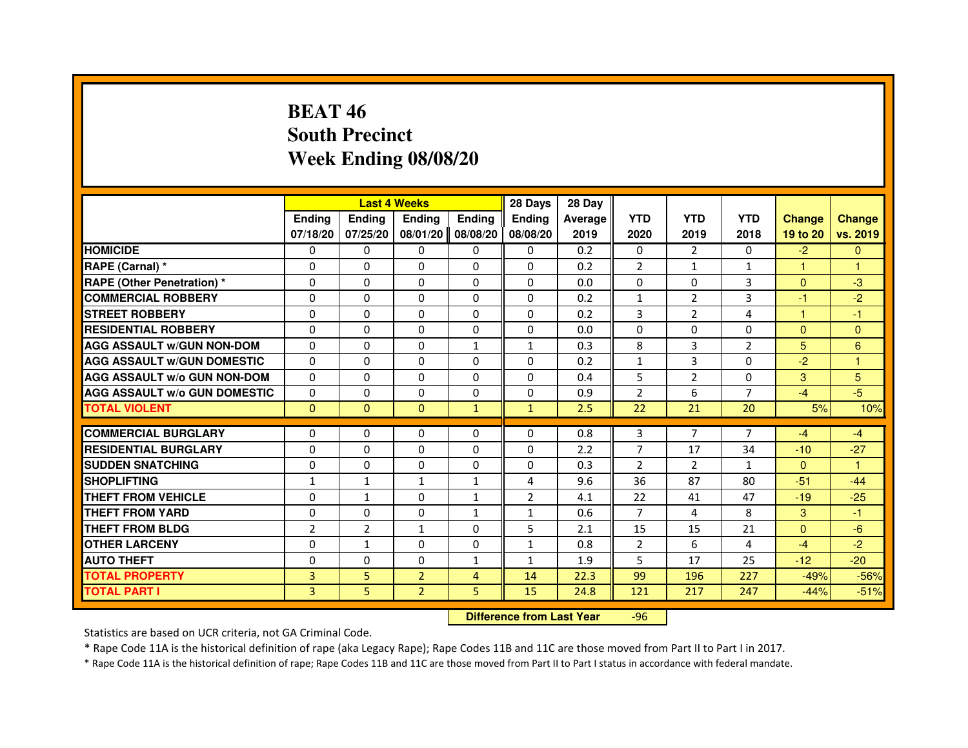### **BEAT 46 South PrecinctWeek Ending 08/08/20**

|                                     |                |                                  | <b>Last 4 Weeks</b> |                | 28 Days        | 28 Day  |                |                |                |               |                |
|-------------------------------------|----------------|----------------------------------|---------------------|----------------|----------------|---------|----------------|----------------|----------------|---------------|----------------|
|                                     | <b>Ending</b>  | Ending                           | <b>Ending</b>       | <b>Ending</b>  | <b>Ending</b>  | Average | <b>YTD</b>     | <b>YTD</b>     | <b>YTD</b>     | <b>Change</b> | <b>Change</b>  |
|                                     | 07/18/20       | 07/25/20                         | 08/01/20            | 08/08/20       | 08/08/20       | 2019    | 2020           | 2019           | 2018           | 19 to 20      | vs. 2019       |
| <b>HOMICIDE</b>                     | $\Omega$       | 0                                | $\Omega$            | 0              | 0              | 0.2     | 0              | $\mathcal{P}$  | $\Omega$       | $-2$          | $\mathbf{0}$   |
| RAPE (Carnal) *                     | 0              | 0                                | 0                   | 0              | 0              | 0.2     | 2              | $\mathbf{1}$   | 1              | 1             | 1              |
| RAPE (Other Penetration) *          | $\Omega$       | 0                                | $\Omega$            | $\Omega$       | $\Omega$       | 0.0     | $\Omega$       | $\Omega$       | 3              | $\Omega$      | $-3$           |
| <b>COMMERCIAL ROBBERY</b>           | $\Omega$       | $\Omega$                         | $\Omega$            | $\Omega$       | $\Omega$       | 0.2     | $\mathbf{1}$   | $\overline{2}$ | 3              | $-1$          | $-2$           |
| <b>STREET ROBBERY</b>               | $\Omega$       | $\Omega$                         | $\Omega$            | $\Omega$       | $\Omega$       | 0.2     | 3              | $\overline{2}$ | 4              | 1             | $-1$           |
| <b>RESIDENTIAL ROBBERY</b>          | 0              | 0                                | $\Omega$            | 0              | 0              | 0.0     | 0              | 0              | $\Omega$       | $\Omega$      | $\mathbf{0}$   |
| <b>AGG ASSAULT W/GUN NON-DOM</b>    | $\Omega$       | $\Omega$                         | $\Omega$            | $\mathbf{1}$   | $\mathbf{1}$   | 0.3     | 8              | 3              | $\overline{2}$ | 5             | $6\phantom{1}$ |
| <b>AGG ASSAULT W/GUN DOMESTIC</b>   | $\Omega$       | $\Omega$                         | $\Omega$            | $\Omega$       | $\Omega$       | 0.2     | $\mathbf{1}$   | 3              | $\Omega$       | $-2$          | $\mathbf{1}$   |
| <b>AGG ASSAULT W/o GUN NON-DOM</b>  | $\Omega$       | $\Omega$                         | $\Omega$            | $\Omega$       | $\Omega$       | 0.4     | 5              | $\overline{2}$ | $\Omega$       | 3             | 5              |
| <b>AGG ASSAULT W/o GUN DOMESTIC</b> | $\Omega$       | $\Omega$                         | 0                   | $\Omega$       | $\Omega$       | 0.9     | $\overline{2}$ | 6              | 7              | $-4$          | $-5$           |
| <b>TOTAL VIOLENT</b>                | $\mathbf{0}$   | $\mathbf{0}$                     | $\mathbf{0}$        | $\mathbf{1}$   | $\mathbf{1}$   | 2.5     | 22             | 21             | 20             | 5%            | 10%            |
| <b>COMMERCIAL BURGLARY</b>          | 0              | 0                                | 0                   | 0              | 0              | 0.8     | 3              | 7              | 7              | $-4$          | $-4$           |
| <b>RESIDENTIAL BURGLARY</b>         | 0              | $\Omega$                         | $\Omega$            | $\Omega$       | $\Omega$       | 2.2     | $\overline{7}$ | 17             | 34             | $-10$         | $-27$          |
| <b>SUDDEN SNATCHING</b>             | $\Omega$       | $\Omega$                         | $\Omega$            | $\Omega$       | $\Omega$       | 0.3     | $\overline{2}$ | $\overline{2}$ | $\mathbf{1}$   | $\Omega$      | $\mathbf{1}$   |
| <b>SHOPLIFTING</b>                  | $\mathbf{1}$   | 1                                | $\mathbf{1}$        | 1              | 4              | 9.6     | 36             | 87             | 80             | $-51$         | $-44$          |
| THEFT FROM VEHICLE                  | 0              | $\mathbf{1}$                     | 0                   | 1              | $\overline{2}$ | 4.1     | 22             | 41             | 47             | $-19$         | $-25$          |
| <b>THEFT FROM YARD</b>              | $\Omega$       | $\Omega$                         | $\Omega$            | $\mathbf{1}$   | $\mathbf{1}$   | 0.6     | $\overline{7}$ | 4              | 8              | 3             | $-1$           |
| <b>THEFT FROM BLDG</b>              | $\overline{2}$ | $\overline{2}$                   | $\mathbf{1}$        | $\Omega$       | 5              | 2.1     | 15             | 15             | 21             | $\Omega$      | $-6$           |
| <b>OTHER LARCENY</b>                | 0              | $\mathbf{1}$                     | 0                   | 0              | $\mathbf{1}$   | 0.8     | $\overline{2}$ | 6              | 4              | $-4$          | $-2$           |
| <b>AUTO THEFT</b>                   | $\Omega$       | $\Omega$                         | $\Omega$            | $\mathbf{1}$   | $\mathbf{1}$   | 1.9     | 5              | 17             | 25             | $-12$         | $-20$          |
| <b>TOTAL PROPERTY</b>               | 3              | 5                                | $\overline{2}$      | $\overline{4}$ | 14             | 22.3    | 99             | 196            | 227            | $-49%$        | $-56%$         |
| <b>TOTAL PART I</b>                 | 3              | 5                                | $\overline{2}$      | 5              | 15             | 24.8    | 121            | 217            | 247            | $-44%$        | $-51%$         |
|                                     |                | <b>Difference from Last Year</b> |                     | $-96$          |                |         |                |                |                |               |                |

 **Difference from Last Year**

Statistics are based on UCR criteria, not GA Criminal Code.

\* Rape Code 11A is the historical definition of rape (aka Legacy Rape); Rape Codes 11B and 11C are those moved from Part II to Part I in 2017.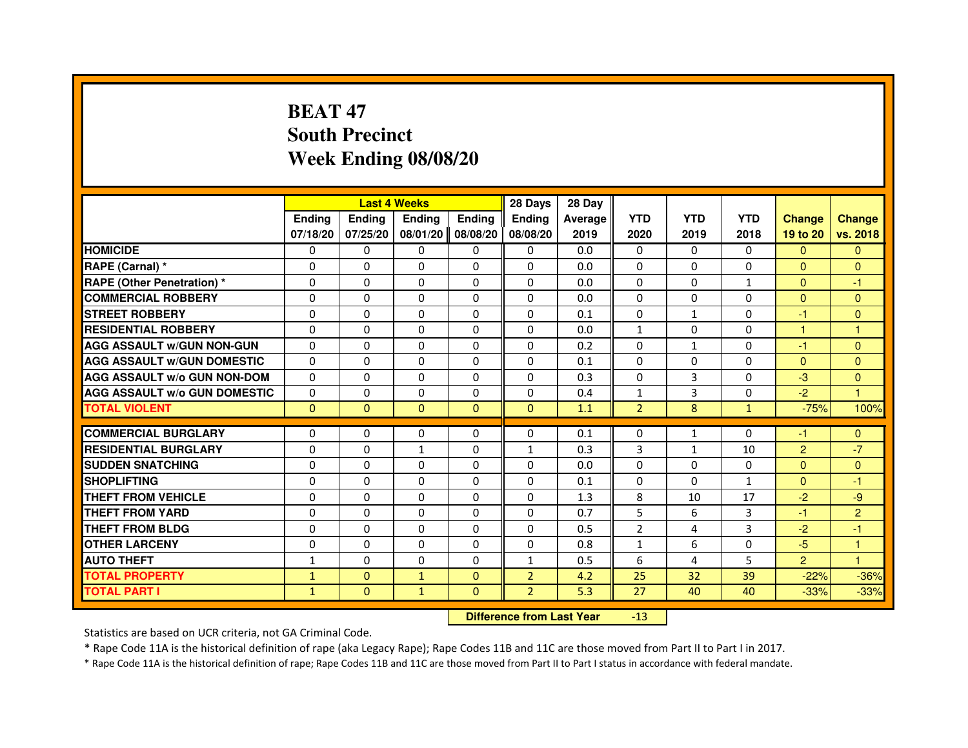## **BEAT 47 South PrecinctWeek Ending 08/08/20**

|                                     |               | <b>Last 4 Weeks</b>              |              |                | 28 Days        | 28 Day  |                |              |              |                |                      |
|-------------------------------------|---------------|----------------------------------|--------------|----------------|----------------|---------|----------------|--------------|--------------|----------------|----------------------|
|                                     | <b>Ending</b> | Ending                           | Ending       | <b>Ending</b>  | Ending         | Average | <b>YTD</b>     | <b>YTD</b>   | <b>YTD</b>   | <b>Change</b>  | <b>Change</b>        |
|                                     | 07/18/20      | 07/25/20                         | 08/01/20     | 08/08/20       | 08/08/20       | 2019    | 2020           | 2019         | 2018         | 19 to 20       | vs. 2018             |
| <b>HOMICIDE</b>                     | 0             | $\Omega$                         | 0            | 0              | $\Omega$       | 0.0     | $\mathbf{0}$   | $\Omega$     | $\Omega$     | $\mathbf{0}$   | $\mathbf{0}$         |
| RAPE (Carnal) *                     | 0             | 0                                | 0            | 0              | 0              | 0.0     | 0              | 0            | 0            | $\Omega$       | $\mathbf{0}$         |
| RAPE (Other Penetration) *          | $\Omega$      | 0                                | $\Omega$     | $\Omega$       | $\Omega$       | 0.0     | $\Omega$       | $\Omega$     | $\mathbf{1}$ | $\Omega$       | -1                   |
| <b>COMMERCIAL ROBBERY</b>           | 0             | $\Omega$                         | $\Omega$     | $\Omega$       | $\Omega$       | 0.0     | $\Omega$       | $\Omega$     | $\Omega$     | $\overline{0}$ | $\mathbf{0}$         |
| <b>STREET ROBBERY</b>               | $\Omega$      | $\Omega$                         | $\Omega$     | $\Omega$       | $\Omega$       | 0.1     | $\Omega$       | $\mathbf{1}$ | $\Omega$     | $-1$           | $\mathbf{0}$         |
| <b>RESIDENTIAL ROBBERY</b>          | 0             | 0                                | 0            | 0              | 0              | 0.0     | $\mathbf{1}$   | 0            | 0            | $\mathbf{1}$   | $\mathbf{1}$         |
| <b>AGG ASSAULT w/GUN NON-GUN</b>    | $\Omega$      | $\Omega$                         | $\Omega$     | $\Omega$       | $\Omega$       | 0.2     | $\Omega$       | $\mathbf{1}$ | 0            | -1             | $\Omega$             |
| <b>AGG ASSAULT W/GUN DOMESTIC</b>   | $\Omega$      | $\Omega$                         | $\Omega$     | $\Omega$       | $\Omega$       | 0.1     | $\Omega$       | $\Omega$     | 0            | $\Omega$       | $\Omega$             |
| <b>AGG ASSAULT W/o GUN NON-DOM</b>  | $\Omega$      | $\Omega$                         | $\Omega$     | $\Omega$       | $\Omega$       | 0.3     | $\Omega$       | 3            | $\Omega$     | $-3$           | $\mathbf{0}$         |
| <b>AGG ASSAULT w/o GUN DOMESTIC</b> | $\Omega$      | $\Omega$                         | $\Omega$     | $\Omega$       | $\Omega$       | 0.4     | $\mathbf{1}$   | 3            | $\Omega$     | $-2$           | $\blacktriangleleft$ |
| <b>TOTAL VIOLENT</b>                | $\mathbf{0}$  | $\mathbf{0}$                     | $\mathbf{0}$ | $\overline{0}$ | $\mathbf{0}$   | 1.1     | $\overline{2}$ | 8            | $\mathbf{1}$ | $-75%$         | 100%                 |
| <b>COMMERCIAL BURGLARY</b>          | 0             | 0                                | 0            | 0              | 0              | 0.1     | 0              | $\mathbf{1}$ | 0            | $-1$           | $\mathbf{0}$         |
| <b>RESIDENTIAL BURGLARY</b>         | 0             | $\Omega$                         | $\mathbf{1}$ | 0              | $\mathbf{1}$   | 0.3     | 3              | $\mathbf{1}$ | 10           | $\overline{c}$ | $-7$                 |
| <b>SUDDEN SNATCHING</b>             | $\Omega$      | $\Omega$                         | $\Omega$     | $\Omega$       | $\Omega$       | 0.0     | $\Omega$       | $\Omega$     | $\Omega$     | $\Omega$       | $\overline{0}$       |
| <b>SHOPLIFTING</b>                  | 0             | $\Omega$                         | $\Omega$     | $\Omega$       | $\Omega$       | 0.1     | $\Omega$       | 0            | $\mathbf{1}$ | $\Omega$       | -1                   |
| <b>THEFT FROM VEHICLE</b>           | 0             | 0                                | $\Omega$     | $\Omega$       | 0              | 1.3     | 8              | 10           | 17           | $-2$           | $-9$                 |
| <b>THEFT FROM YARD</b>              | $\Omega$      | $\Omega$                         | $\Omega$     | $\Omega$       | $\Omega$       | 0.7     | 5              | 6            | 3            | $-1$           | $\overline{2}$       |
| <b>THEFT FROM BLDG</b>              | $\Omega$      | $\Omega$                         | $\Omega$     | $\Omega$       | $\Omega$       | 0.5     | $\overline{2}$ | 4            | 3            | $-2$           | $-1$                 |
| <b>OTHER LARCENY</b>                | 0             | $\Omega$                         | $\Omega$     | $\Omega$       | $\Omega$       | 0.8     | $\mathbf{1}$   | 6            | 0            | $-5$           | $\mathbf{1}$         |
| <b>AUTO THEFT</b>                   | $\mathbf{1}$  | $\Omega$                         | $\Omega$     | $\Omega$       | $\mathbf{1}$   | 0.5     | 6              | 4            | 5            | $\overline{2}$ | $\mathbf{1}$         |
| <b>TOTAL PROPERTY</b>               | $\mathbf{1}$  | $\mathbf{0}$                     | $\mathbf{1}$ | $\Omega$       | $\overline{2}$ | 4.2     | 25             | 32           | 39           | $-22%$         | $-36%$               |
| <b>TOTAL PART I</b>                 | $\mathbf{1}$  | $\mathbf{0}$                     | $\mathbf{1}$ | $\mathbf{0}$   | $\overline{2}$ | 5.3     | 27             | 40           | 40           | $-33%$         | $-33%$               |
|                                     |               | <b>Difference from Last Year</b> |              | $-13$          |                |         |                |              |              |                |                      |

 **Difference from Last Year**

Statistics are based on UCR criteria, not GA Criminal Code.

\* Rape Code 11A is the historical definition of rape (aka Legacy Rape); Rape Codes 11B and 11C are those moved from Part II to Part I in 2017.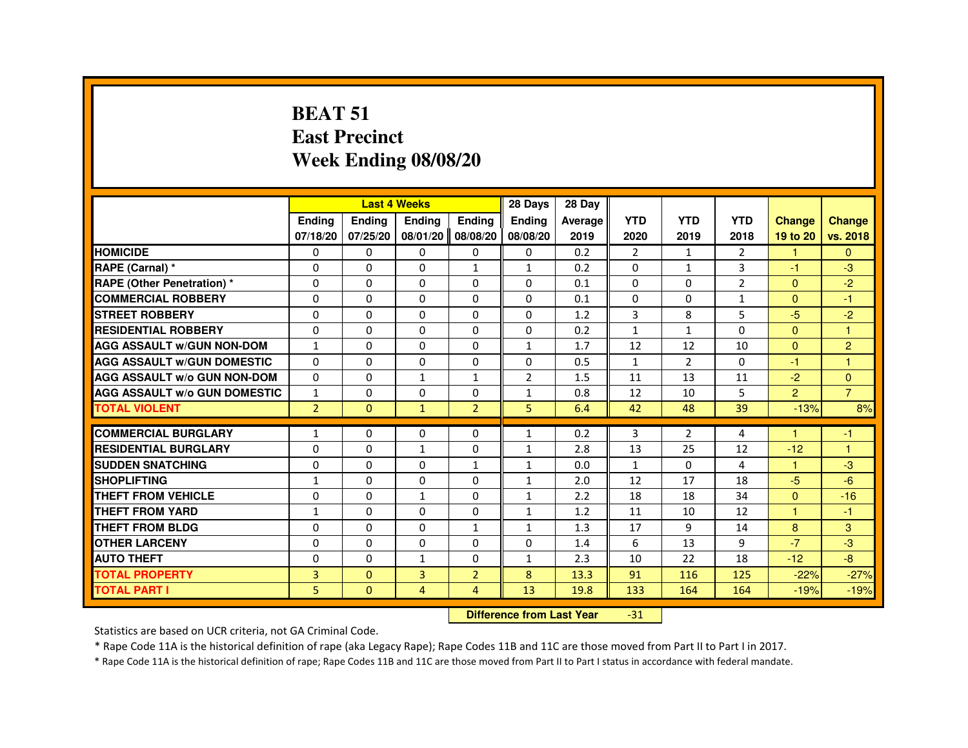#### **BEAT 51 East PrecinctWeek Ending 08/08/20**

|                                     |                |               | <b>Last 4 Weeks</b>              |                   | 28 Days        | 28 Day  |                |                |                |                |                |
|-------------------------------------|----------------|---------------|----------------------------------|-------------------|----------------|---------|----------------|----------------|----------------|----------------|----------------|
|                                     | <b>Ending</b>  | <b>Ending</b> | Ending                           | <b>Ending</b>     | <b>Ending</b>  | Average | <b>YTD</b>     | <b>YTD</b>     | <b>YTD</b>     | <b>Change</b>  | <b>Change</b>  |
|                                     | 07/18/20       | 07/25/20      |                                  | 08/01/20 08/08/20 | 08/08/20       | 2019    | 2020           | 2019           | 2018           | 19 to 20       | vs. 2018       |
| <b>HOMICIDE</b>                     | 0              | $\Omega$      | $\Omega$                         | $\mathbf{0}$      | 0              | 0.2     | $\overline{2}$ | $\mathbf{1}$   | $\overline{2}$ | $\mathbf{1}$   | $\Omega$       |
| RAPE (Carnal) *                     | 0              | 0             | 0                                | $\mathbf{1}$      | $\mathbf{1}$   | 0.2     | 0              | $\mathbf{1}$   | 3              | $-1$           | $-3$           |
| <b>RAPE (Other Penetration) *</b>   | 0              | 0             | $\Omega$                         | $\Omega$          | $\Omega$       | 0.1     | $\Omega$       | $\Omega$       | $\overline{2}$ | $\Omega$       | $-2$           |
| <b>COMMERCIAL ROBBERY</b>           | $\Omega$       | $\Omega$      | $\Omega$                         | $\Omega$          | $\Omega$       | 0.1     | $\Omega$       | $\Omega$       | $\mathbf{1}$   | $\Omega$       | $-1$           |
| <b>STREET ROBBERY</b>               | 0              | 0             | $\Omega$                         | 0                 | $\Omega$       | 1.2     | 3              | 8              | 5              | $-5$           | $-2$           |
| <b>RESIDENTIAL ROBBERY</b>          | 0              | 0             | 0                                | 0                 | 0              | 0.2     | 1              | $\mathbf{1}$   | $\Omega$       | $\Omega$       | $\overline{1}$ |
| <b>AGG ASSAULT w/GUN NON-DOM</b>    | $\mathbf{1}$   | $\Omega$      | 0                                | $\Omega$          | $\mathbf{1}$   | 1.7     | 12             | 12             | 10             | $\overline{0}$ | $\overline{2}$ |
| <b>AGG ASSAULT w/GUN DOMESTIC</b>   | $\Omega$       | 0             | $\Omega$                         | $\Omega$          | $\Omega$       | 0.5     | $\mathbf{1}$   | $\overline{2}$ | $\Omega$       | $-1$           | $\overline{1}$ |
| <b>AGG ASSAULT w/o GUN NON-DOM</b>  | $\Omega$       | 0             | $\mathbf{1}$                     | $\mathbf{1}$      | $\overline{2}$ | 1.5     | 11             | 13             | 11             | $-2$           | $\mathbf{0}$   |
| <b>AGG ASSAULT W/o GUN DOMESTIC</b> | $\mathbf{1}$   | 0             | 0                                | 0                 | $\mathbf{1}$   | 0.8     | 12             | 10             | 5              | 2 <sup>1</sup> | $\overline{7}$ |
| <b>TOTAL VIOLENT</b>                | $\overline{2}$ | $\mathbf{0}$  | $\mathbf{1}$                     | $\overline{2}$    | 5              | 6.4     | 42             | 48             | 39             | $-13%$         | 8%             |
| <b>COMMERCIAL BURGLARY</b>          | $\mathbf{1}$   | 0             | 0                                | 0                 | $\mathbf{1}$   | 0.2     | 3              | $\overline{2}$ | 4              | -1             | $-1$           |
| <b>RESIDENTIAL BURGLARY</b>         | $\Omega$       | $\Omega$      | $\mathbf{1}$                     | $\Omega$          | $\mathbf{1}$   | 2.8     | 13             | 25             | 12             | $-12$          | $\overline{1}$ |
| <b>SUDDEN SNATCHING</b>             | 0              | $\Omega$      | $\Omega$                         | $\mathbf{1}$      | $\mathbf{1}$   | 0.0     | $\mathbf{1}$   | $\Omega$       | 4              | $\mathbf{1}$   | $-3$           |
| <b>SHOPLIFTING</b>                  | 1              | 0             | 0                                | 0                 | $\mathbf{1}$   | 2.0     | 12             | 17             | 18             | $-5$           | $-6$           |
| THEFT FROM VEHICLE                  | 0              | 0             | $\mathbf{1}$                     | 0                 | $\mathbf{1}$   | 2.2     | 18             | 18             | 34             | $\Omega$       | $-16$          |
| <b>THEFT FROM YARD</b>              | $\mathbf{1}$   | $\Omega$      | $\Omega$                         | $\Omega$          | $\mathbf{1}$   | 1.2     | 11             | 10             | 12             | $\mathbf{1}$   | $-1$           |
| THEFT FROM BLDG                     | 0              | $\Omega$      | $\Omega$                         | $\mathbf{1}$      | $\mathbf{1}$   | 1.3     | 17             | 9              | 14             | 8              | 3              |
| <b>OTHER LARCENY</b>                | $\Omega$       | $\Omega$      | $\Omega$                         | $\Omega$          | $\Omega$       | 1.4     | 6              | 13             | 9              | $-7$           | $-3$           |
| <b>AUTO THEFT</b>                   | 0              | 0             | $\mathbf{1}$                     | 0                 | $\mathbf{1}$   | 2.3     | 10             | 22             | 18             | $-12$          | $-8$           |
| <b>TOTAL PROPERTY</b>               | $\overline{3}$ | $\Omega$      | $\overline{3}$                   | $\overline{2}$    | 8              | 13.3    | 91             | 116            | 125            | $-22%$         | $-27%$         |
| <b>TOTAL PART I</b>                 | 5              | $\mathbf{0}$  | $\overline{4}$                   | 4                 | 13             | 19.8    | 133            | 164            | 164            | $-19%$         | $-19%$         |
|                                     |                |               | <b>Difference from Last Year</b> |                   | $-31$          |         |                |                |                |                |                |

 **Difference from Last Year**

Statistics are based on UCR criteria, not GA Criminal Code.

\* Rape Code 11A is the historical definition of rape (aka Legacy Rape); Rape Codes 11B and 11C are those moved from Part II to Part I in 2017.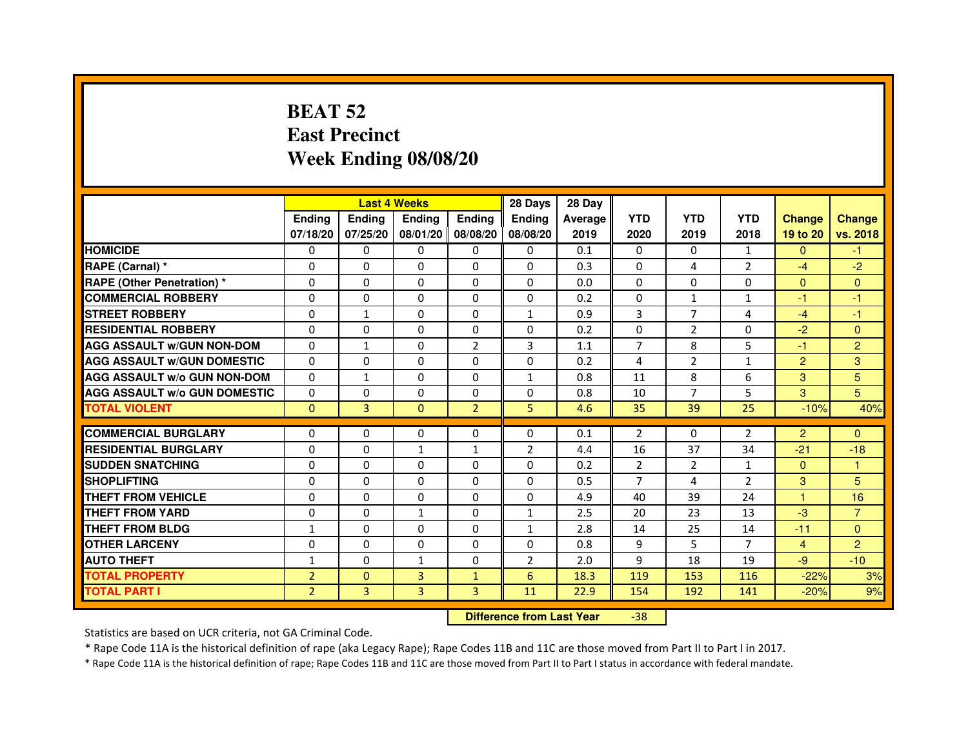## **BEAT 52 East PrecinctWeek Ending 08/08/20**

|                                     |                | <b>Last 4 Weeks</b> |                |                     | 28 Days        | 28 Day  |                |                |                |                |                |
|-------------------------------------|----------------|---------------------|----------------|---------------------|----------------|---------|----------------|----------------|----------------|----------------|----------------|
|                                     | <b>Endina</b>  | Ending              | <b>Endina</b>  | <b>Ending</b>       | <b>Endina</b>  | Average | <b>YTD</b>     | <b>YTD</b>     | <b>YTD</b>     | <b>Change</b>  | <b>Change</b>  |
|                                     | 07/18/20       | 07/25/20            |                | 08/01/20   08/08/20 | 08/08/20       | 2019    | 2020           | 2019           | 2018           | 19 to 20       | vs. 2018       |
| <b>HOMICIDE</b>                     | 0              | 0                   | 0              | 0                   | 0              | 0.1     | $\mathbf{0}$   | 0              | $\mathbf{1}$   | $\mathbf{0}$   | -1.            |
| RAPE (Carnal) *                     | $\Omega$       | $\Omega$            | $\Omega$       | $\Omega$            | $\Omega$       | 0.3     | $\Omega$       | 4              | $\overline{2}$ | $-4$           | $-2$           |
| <b>RAPE (Other Penetration) *</b>   | 0              | 0                   | $\Omega$       | $\Omega$            | $\Omega$       | 0.0     | $\Omega$       | $\Omega$       | $\Omega$       | $\Omega$       | $\Omega$       |
| <b>COMMERCIAL ROBBERY</b>           | 0              | 0                   | $\Omega$       | $\Omega$            | $\Omega$       | 0.2     | $\Omega$       | $\mathbf{1}$   | 1              | $-1$           | $-1$           |
| <b>STREET ROBBERY</b>               | 0              | $\mathbf{1}$        | 0              | $\Omega$            | $\mathbf{1}$   | 0.9     | 3              | 7              | 4              | $-4$           | $-1$           |
| <b>RESIDENTIAL ROBBERY</b>          | 0              | $\Omega$            | 0              | 0                   | 0              | 0.2     | 0              | 2              | $\Omega$       | $-2$           | $\Omega$       |
| <b>AGG ASSAULT W/GUN NON-DOM</b>    | $\Omega$       | $\mathbf{1}$        | $\Omega$       | $\overline{2}$      | 3              | 1.1     | $\overline{7}$ | 8              | 5              | $-1$           | $\overline{2}$ |
| <b>AGG ASSAULT W/GUN DOMESTIC</b>   | $\Omega$       | 0                   | 0              | 0                   | 0              | 0.2     | $\overline{4}$ | $\overline{2}$ | $\mathbf{1}$   | $\overline{2}$ | 3              |
| <b>AGG ASSAULT W/o GUN NON-DOM</b>  | $\Omega$       | $\mathbf{1}$        | $\Omega$       | 0                   | 1              | 0.8     | 11             | 8              | 6              | 3              | 5              |
| <b>AGG ASSAULT W/o GUN DOMESTIC</b> | $\Omega$       | $\Omega$            | 0              | $\Omega$            | $\Omega$       | 0.8     | 10             | 7              | 5              | 3              | 5              |
| <b>TOTAL VIOLENT</b>                | $\Omega$       | 3                   | $\Omega$       | $\overline{2}$      | 5              | 4.6     | 35             | 39             | 25             | $-10%$         | 40%            |
|                                     |                |                     |                |                     |                |         |                |                |                |                |                |
| <b>COMMERCIAL BURGLARY</b>          | 0              | 0                   | $\Omega$       | 0                   | $\Omega$       | 0.1     | $\overline{2}$ | $\Omega$       | $\overline{2}$ | $\overline{2}$ | $\Omega$       |
| <b>RESIDENTIAL BURGLARY</b>         | 0              | $\Omega$            | 1              | $\mathbf{1}$        | $\overline{2}$ | 4.4     | 16             | 37             | 34             | $-21$          | $-18$          |
| <b>SUDDEN SNATCHING</b>             | 0              | 0                   | $\Omega$       | $\Omega$            | $\Omega$       | 0.2     | $\overline{2}$ | $\overline{2}$ | $\mathbf{1}$   | $\Omega$       | 1              |
| <b>SHOPLIFTING</b>                  | $\mathbf 0$    | 0                   | $\Omega$       | $\Omega$            | 0              | 0.5     | 7              | 4              | $\overline{2}$ | 3              | 5              |
| <b>THEFT FROM VEHICLE</b>           | 0              | $\Omega$            | $\Omega$       | $\Omega$            | $\Omega$       | 4.9     | 40             | 39             | 24             | $\mathbf{1}$   | 16             |
| <b>THEFT FROM YARD</b>              | 0              | 0                   | $\mathbf{1}$   | $\Omega$            | $\mathbf{1}$   | 2.5     | 20             | 23             | 13             | $-3$           | $\overline{7}$ |
| <b>THEFT FROM BLDG</b>              | 1              | 0                   | 0              | 0                   | 1              | 2.8     | 14             | 25             | 14             | $-11$          | $\Omega$       |
| <b>OTHER LARCENY</b>                | 0              | 0                   | 0              | 0                   | $\Omega$       | 0.8     | 9              | 5              | 7              | $\overline{4}$ | $\overline{2}$ |
| <b>AUTO THEFT</b>                   | 1              | 0                   | 1              | $\Omega$            | $\overline{2}$ | 2.0     | 9              | 18             | 19             | $-9$           | $-10$          |
| <b>TOTAL PROPERTY</b>               | $\overline{2}$ | $\mathbf{0}$        | 3              | $\mathbf{1}$        | 6              | 18.3    | 119            | 153            | 116            | $-22%$         | 3%             |
| <b>TOTAL PART I</b>                 | $\overline{2}$ | 3                   | $\overline{3}$ | 3                   | 11             | 22.9    | 154            | 192            | 141            | $-20%$         | 9%             |

#### **Difference from Last Year**-38

Statistics are based on UCR criteria, not GA Criminal Code.

\* Rape Code 11A is the historical definition of rape (aka Legacy Rape); Rape Codes 11B and 11C are those moved from Part II to Part I in 2017.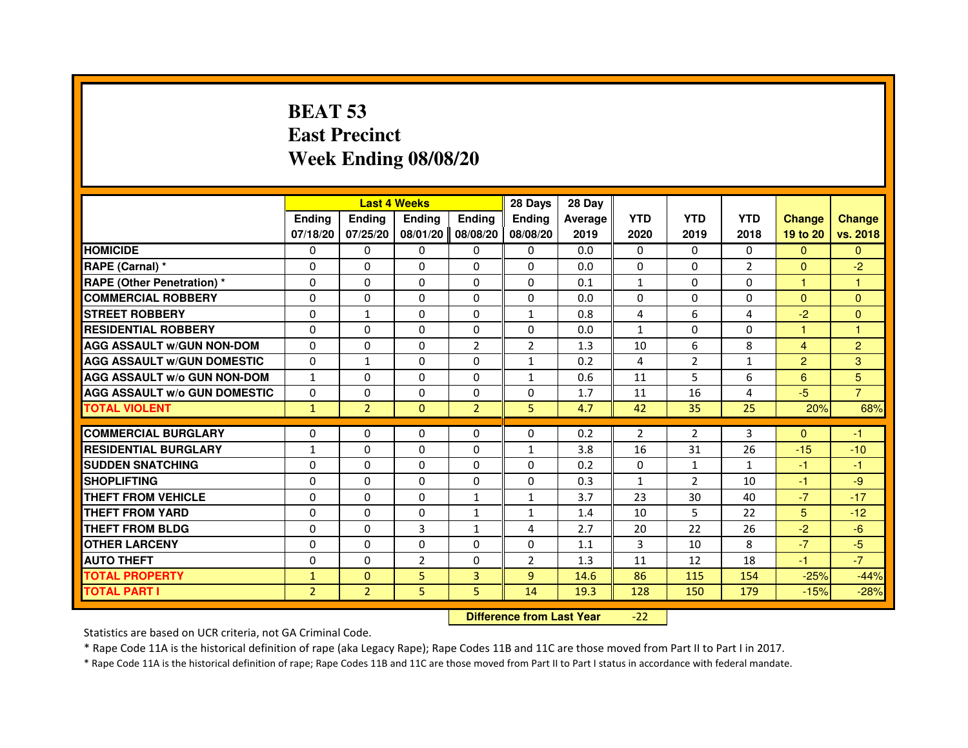## **BEAT 53 East PrecinctWeek Ending 08/08/20**

|                                     |                |                                  | <b>Last 4 Weeks</b> |                | 28 Days        | 28 Day  |                |                |                |                      |                |
|-------------------------------------|----------------|----------------------------------|---------------------|----------------|----------------|---------|----------------|----------------|----------------|----------------------|----------------|
|                                     | <b>Ending</b>  | Ending                           | Ending              | Ending         | Ending         | Average | <b>YTD</b>     | <b>YTD</b>     | <b>YTD</b>     | <b>Change</b>        | <b>Change</b>  |
|                                     | 07/18/20       | 07/25/20                         | 08/01/20            | 08/08/20       | 08/08/20       | 2019    | 2020           | 2019           | 2018           | 19 to 20             | vs. 2018       |
| <b>HOMICIDE</b>                     | $\Omega$       | $\Omega$                         | $\mathbf{0}$        | 0              | 0              | 0.0     | $\Omega$       | $\Omega$       | $\Omega$       | $\mathbf{0}$         | $\mathbf{0}$   |
| RAPE (Carnal) *                     | 0              | 0                                | 0                   | 0              | 0              | 0.0     | 0              | 0              | $\overline{2}$ | $\mathbf{0}$         | $-2$           |
| <b>RAPE (Other Penetration) *</b>   | $\Omega$       | $\Omega$                         | $\Omega$            | $\Omega$       | $\Omega$       | 0.1     | 1              | $\Omega$       | $\Omega$       | $\mathbf{1}$         | $\mathbf{1}$   |
| <b>COMMERCIAL ROBBERY</b>           | $\Omega$       | $\Omega$                         | $\Omega$            | $\Omega$       | 0              | 0.0     | 0              | $\Omega$       | $\Omega$       | $\Omega$             | $\mathbf{0}$   |
| <b>STREET ROBBERY</b>               | $\Omega$       | $\mathbf{1}$                     | $\Omega$            | $\Omega$       | $\mathbf{1}$   | 0.8     | 4              | 6              | 4              | $-2$                 | $\mathbf{0}$   |
| <b>RESIDENTIAL ROBBERY</b>          | 0              | 0                                | 0                   | 0              | 0              | 0.0     | $\mathbf{1}$   | 0              | $\Omega$       | $\blacktriangleleft$ | 1              |
| <b>AGG ASSAULT w/GUN NON-DOM</b>    | $\Omega$       | $\Omega$                         | $\Omega$            | $\overline{2}$ | $\overline{2}$ | 1.3     | 10             | 6              | 8              | $\overline{4}$       | $\overline{2}$ |
| <b>AGG ASSAULT W/GUN DOMESTIC</b>   | $\Omega$       | $\mathbf{1}$                     | $\Omega$            | $\Omega$       | $\mathbf{1}$   | 0.2     | 4              | $\overline{2}$ | $\mathbf{1}$   | $\overline{2}$       | 3              |
| <b>AGG ASSAULT w/o GUN NON-DOM</b>  | $\mathbf{1}$   | $\Omega$                         | $\Omega$            | $\Omega$       | $\mathbf{1}$   | 0.6     | 11             | 5              | 6              | 6                    | 5              |
| <b>AGG ASSAULT W/o GUN DOMESTIC</b> | $\Omega$       | $\Omega$                         | $\Omega$            | $\Omega$       | $\Omega$       | 1.7     | 11             | 16             | 4              | $-5$                 | $\overline{7}$ |
| <b>TOTAL VIOLENT</b>                | $\mathbf{1}$   | $\overline{2}$                   | $\mathbf{0}$        | $\overline{2}$ | 5              | 4.7     | 42             | 35             | 25             | 20%                  | 68%            |
| <b>COMMERCIAL BURGLARY</b>          | 0              | 0                                | 0                   | 0              | 0              | 0.2     | $\overline{2}$ | 2              | 3              | $\Omega$             | $-1$           |
| <b>RESIDENTIAL BURGLARY</b>         | $\mathbf{1}$   | $\Omega$                         | $\Omega$            | $\Omega$       | 1              | 3.8     | 16             | 31             | 26             | $-15$                | $-10$          |
| <b>SUDDEN SNATCHING</b>             | $\Omega$       | $\Omega$                         | $\Omega$            | $\Omega$       | $\Omega$       | 0.2     | $\Omega$       | $\mathbf{1}$   | $\mathbf{1}$   | $-1$                 | $-1$           |
| <b>SHOPLIFTING</b>                  | 0              | $\Omega$                         | $\Omega$            | $\Omega$       | 0              | 0.3     | $\mathbf{1}$   | $\overline{2}$ | 10             | $-1$                 | $-9$           |
| <b>THEFT FROM VEHICLE</b>           | 0              | 0                                | $\Omega$            | $\mathbf{1}$   | $\mathbf{1}$   | 3.7     | 23             | 30             | 40             | $-7$                 | $-17$          |
| <b>THEFT FROM YARD</b>              | $\Omega$       | $\Omega$                         | $\Omega$            | $\mathbf{1}$   | $\mathbf{1}$   | 1.4     | 10             | 5              | 22             | 5                    | $-12$          |
| <b>THEFT FROM BLDG</b>              | $\Omega$       | $\Omega$                         | $\overline{3}$      | $\mathbf{1}$   | 4              | 2.7     | 20             | 22             | 26             | $-2$                 | $-6$           |
| <b>OTHER LARCENY</b>                | 0              | $\Omega$                         | $\Omega$            | $\Omega$       | 0              | 1.1     | 3              | 10             | 8              | $-7$                 | $-5$           |
| <b>AUTO THEFT</b>                   | $\Omega$       | $\Omega$                         | $\overline{2}$      | $\Omega$       | $\overline{2}$ | 1.3     | 11             | 12             | 18             | $-1$                 | $-7$           |
| <b>TOTAL PROPERTY</b>               | $\mathbf{1}$   | $\mathbf{0}$                     | 5                   | 3              | $\overline{9}$ | 14.6    | 86             | 115            | 154            | $-25%$               | $-44%$         |
| <b>TOTAL PART I</b>                 | $\overline{2}$ | $\overline{2}$                   | 5                   | 5              | 14             | 19.3    | 128            | 150            | 179            | $-15%$               | $-28%$         |
|                                     |                | <b>Difference from Last Year</b> |                     | $-22$          |                |         |                |                |                |                      |                |

 **Difference from Last Year**

Statistics are based on UCR criteria, not GA Criminal Code.

\* Rape Code 11A is the historical definition of rape (aka Legacy Rape); Rape Codes 11B and 11C are those moved from Part II to Part I in 2017.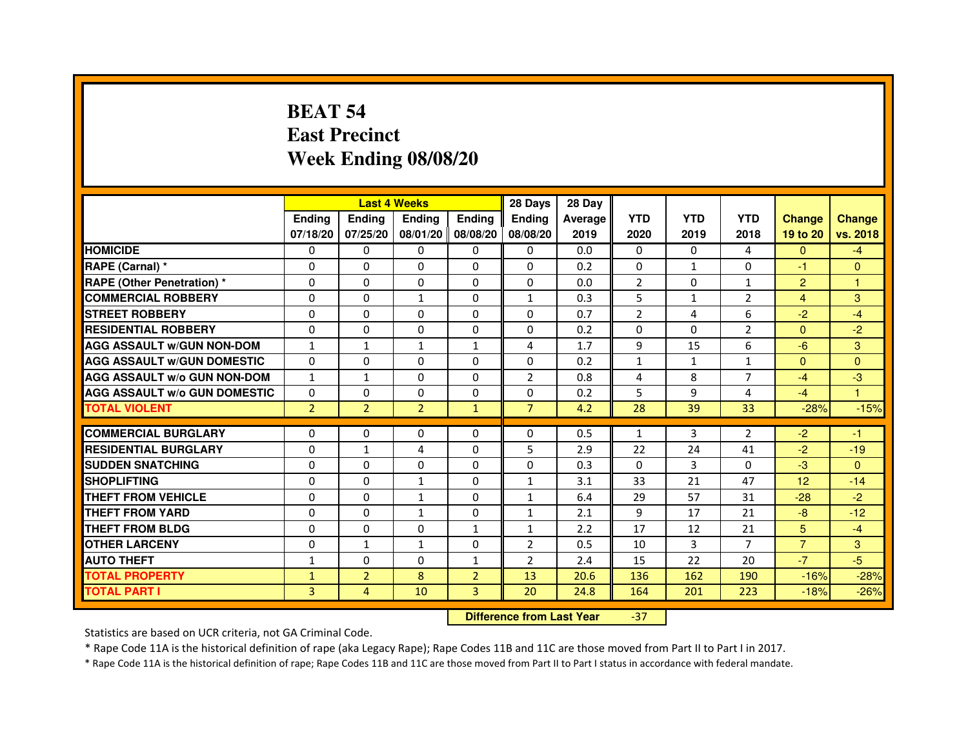## **BEAT 54 East PrecinctWeek Ending 08/08/20**

|                                     |                |                | <b>Last 4 Weeks</b> |                   | 28 Days                          | 28 Day  |                |              |                |                |               |
|-------------------------------------|----------------|----------------|---------------------|-------------------|----------------------------------|---------|----------------|--------------|----------------|----------------|---------------|
|                                     | <b>Ending</b>  | <b>Ending</b>  | <b>Ending</b>       | <b>Ending</b>     | <b>Ending</b>                    | Average | <b>YTD</b>     | <b>YTD</b>   | <b>YTD</b>     | <b>Change</b>  | <b>Change</b> |
|                                     | 07/18/20       | 07/25/20       |                     | 08/01/20 08/08/20 | 08/08/20                         | 2019    | 2020           | 2019         | 2018           | 19 to 20       | vs. 2018      |
| <b>HOMICIDE</b>                     | 0              | $\Omega$       | $\Omega$            | 0                 | 0                                | 0.0     | 0              | 0            | 4              | $\Omega$       | $-4$          |
| RAPE (Carnal) *                     | $\Omega$       | 0              | $\Omega$            | 0                 | 0                                | 0.2     | 0              | $\mathbf{1}$ | 0              | $-1$           | $\mathbf{0}$  |
| RAPE (Other Penetration) *          | 0              | 0              | $\Omega$            | 0                 | 0                                | 0.0     | $\overline{2}$ | 0            | $\mathbf{1}$   | $\overline{2}$ | 1             |
| <b>COMMERCIAL ROBBERY</b>           | $\Omega$       | $\Omega$       | $\mathbf{1}$        | $\Omega$          | $\mathbf{1}$                     | 0.3     | 5              | $\mathbf{1}$ | $\overline{2}$ | $\overline{4}$ | 3             |
| <b>STREET ROBBERY</b>               | $\Omega$       | $\Omega$       | $\Omega$            | $\Omega$          | $\Omega$                         | 0.7     | $\overline{2}$ | 4            | 6              | $-2$           | $-4$          |
| <b>RESIDENTIAL ROBBERY</b>          | $\Omega$       | $\Omega$       | $\Omega$            | $\Omega$          | $\Omega$                         | 0.2     | 0              | $\Omega$     | $\overline{2}$ | $\Omega$       | $-2$          |
| <b>AGG ASSAULT w/GUN NON-DOM</b>    | $\mathbf{1}$   | $\mathbf{1}$   | $\mathbf{1}$        | $\mathbf{1}$      | 4                                | 1.7     | 9              | 15           | 6              | $-6$           | 3             |
| <b>AGG ASSAULT W/GUN DOMESTIC</b>   | $\Omega$       | $\Omega$       | $\Omega$            | $\Omega$          | $\Omega$                         | 0.2     | $\mathbf{1}$   | $\mathbf{1}$ | $\mathbf{1}$   | $\Omega$       | $\Omega$      |
| <b>AGG ASSAULT W/o GUN NON-DOM</b>  | $\mathbf{1}$   | $\mathbf{1}$   | $\Omega$            | $\Omega$          | 2                                | 0.8     | 4              | 8            | 7              | $-4$           | $-3$          |
| <b>AGG ASSAULT w/o GUN DOMESTIC</b> | $\Omega$       | $\Omega$       | $\Omega$            | $\Omega$          | $\Omega$                         | 0.2     | 5              | 9            | 4              | $-4$           | 1             |
| <b>TOTAL VIOLENT</b>                | $\overline{2}$ | $\overline{2}$ | $\overline{2}$      | $\mathbf{1}$      | $\overline{7}$                   | 4.2     | 28             | 39           | 33             | $-28%$         | $-15%$        |
| <b>COMMERCIAL BURGLARY</b>          | 0              | 0              | 0                   | 0                 | 0                                | 0.5     | $\mathbf{1}$   | 3            | 2              | $-2$           | $-1$          |
| <b>RESIDENTIAL BURGLARY</b>         | 0              | $\mathbf{1}$   | 4                   | $\Omega$          | 5                                | 2.9     | 22             | 24           | 41             | $-2$           | $-19$         |
| <b>SUDDEN SNATCHING</b>             | $\Omega$       | $\Omega$       | $\Omega$            | $\Omega$          | $\Omega$                         | 0.3     | $\Omega$       | 3            | $\Omega$       | $-3$           | $\Omega$      |
| <b>SHOPLIFTING</b>                  | 0              | $\mathbf{0}$   | $\mathbf{1}$        | 0                 | $\mathbf{1}$                     | 3.1     | 33             | 21           | 47             | 12             | $-14$         |
| <b>THEFT FROM VEHICLE</b>           | $\Omega$       | $\Omega$       | $\mathbf{1}$        | $\Omega$          | $\mathbf{1}$                     | 6.4     | 29             | 57           | 31             | $-28$          | $-2$          |
| <b>THEFT FROM YARD</b>              | $\Omega$       | $\Omega$       | $\mathbf{1}$        | $\Omega$          | $\mathbf{1}$                     | 2.1     | 9              | 17           | 21             | $-8$           | $-12$         |
| <b>THEFT FROM BLDG</b>              | $\Omega$       | $\Omega$       | $\Omega$            | $\mathbf{1}$      | $\mathbf{1}$                     | 2.2     | 17             | 12           | 21             | 5              | $-4$          |
| <b>OTHER LARCENY</b>                | 0              | $\mathbf{1}$   | $\mathbf{1}$        | $\Omega$          | $\overline{2}$                   | 0.5     | 10             | 3            | $\overline{7}$ | $\overline{7}$ | 3             |
| <b>AUTO THEFT</b>                   | $\mathbf{1}$   | $\Omega$       | $\Omega$            | $\mathbf{1}$      | $\overline{2}$                   | 2.4     | 15             | 22           | 20             | $-7$           | $-5$          |
| <b>TOTAL PROPERTY</b>               | $\mathbf{1}$   | $\overline{2}$ | 8                   | $\overline{2}$    | 13                               | 20.6    | 136            | 162          | 190            | $-16%$         | $-28%$        |
| <b>TOTAL PART I</b>                 | $\overline{3}$ | $\overline{4}$ | 10                  | 3                 | 20                               | 24.8    | 164            | 201          | 223            | $-18%$         | $-26%$        |
|                                     |                |                |                     |                   | <b>Difference from Last Year</b> |         | $-37$          |              |                |                |               |

 **Difference from Last Year**

Statistics are based on UCR criteria, not GA Criminal Code.

\* Rape Code 11A is the historical definition of rape (aka Legacy Rape); Rape Codes 11B and 11C are those moved from Part II to Part I in 2017.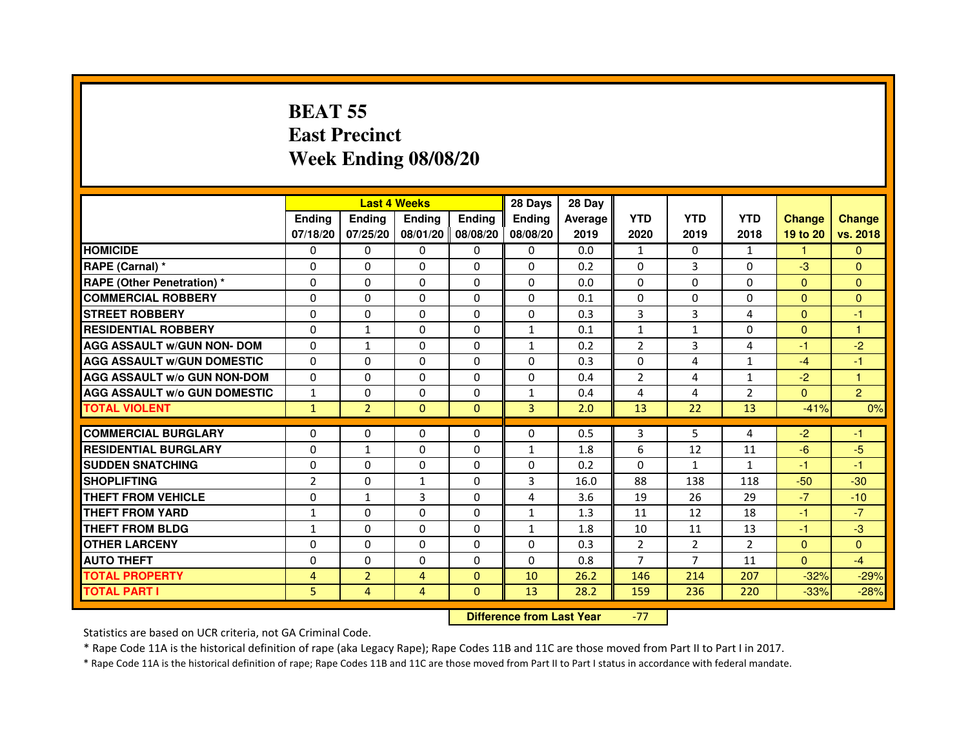### **BEAT 55 East PrecinctWeek Ending 08/08/20**

|                                     |                |                | <b>Last 4 Weeks</b> |          | 28 Days       | 28 Day  |                |                |                |               |                |
|-------------------------------------|----------------|----------------|---------------------|----------|---------------|---------|----------------|----------------|----------------|---------------|----------------|
|                                     | <b>Endina</b>  | <b>Endina</b>  | <b>Endina</b>       | Ending   | <b>Endina</b> | Average | <b>YTD</b>     | <b>YTD</b>     | <b>YTD</b>     | <b>Change</b> | <b>Change</b>  |
|                                     | 07/18/20       | 07/25/20       | 08/01/20            | 08/08/20 | 08/08/20      | 2019    | 2020           | 2019           | 2018           | 19 to 20      | vs. 2018       |
| <b>HOMICIDE</b>                     | 0              | 0              | 0                   | 0        | 0             | 0.0     | 1              | 0              | 1              | 1.            | $\mathbf{0}$   |
| RAPE (Carnal) *                     | $\Omega$       | $\Omega$       | $\Omega$            | $\Omega$ | $\Omega$      | 0.2     | $\Omega$       | 3              | $\Omega$       | $-3$          | $\Omega$       |
| <b>RAPE (Other Penetration) *</b>   | $\Omega$       | $\Omega$       | $\Omega$            | $\Omega$ | $\Omega$      | 0.0     | $\Omega$       | $\Omega$       | $\Omega$       | $\Omega$      | $\mathbf{0}$   |
| <b>COMMERCIAL ROBBERY</b>           | $\Omega$       | $\mathbf{0}$   | 0                   | 0        | 0             | 0.1     | 0              | 0              | $\Omega$       | $\Omega$      | $\Omega$       |
| <b>STREET ROBBERY</b>               | $\Omega$       | $\Omega$       | $\Omega$            | $\Omega$ | $\Omega$      | 0.3     | 3              | 3              | $\overline{4}$ | $\Omega$      | $-1$           |
| <b>RESIDENTIAL ROBBERY</b>          | $\Omega$       | $\mathbf{1}$   | $\Omega$            | $\Omega$ | $\mathbf{1}$  | 0.1     | $\mathbf{1}$   | $\mathbf{1}$   | $\Omega$       | $\Omega$      | 1              |
| <b>AGG ASSAULT w/GUN NON- DOM</b>   | $\Omega$       | $\mathbf{1}$   | $\Omega$            | $\Omega$ | $\mathbf{1}$  | 0.2     | $\overline{2}$ | 3              | 4              | $-1$          | $-2$           |
| <b>AGG ASSAULT W/GUN DOMESTIC</b>   | $\mathbf{0}$   | $\mathbf{0}$   | $\Omega$            | 0        | $\Omega$      | 0.3     | $\Omega$       | 4              | $\mathbf{1}$   | $-4$          | $-1$           |
| <b>AGG ASSAULT W/o GUN NON-DOM</b>  | $\Omega$       | $\Omega$       | $\Omega$            | 0        | $\Omega$      | 0.4     | $\overline{2}$ | 4              | 1              | $-2$          | 1              |
| <b>AGG ASSAULT W/o GUN DOMESTIC</b> | $\mathbf{1}$   | $\mathbf{0}$   | 0                   | 0        | $\mathbf{1}$  | 0.4     | 4              | 4              | 2              | $\Omega$      | $\overline{2}$ |
| <b>TOTAL VIOLENT</b>                | $\mathbf{1}$   | $\overline{2}$ | $\Omega$            | $\Omega$ | 3             | 2.0     | 13             | 22             | 13             | $-41%$        | 0%             |
|                                     |                |                |                     |          |               |         |                |                |                |               |                |
| <b>COMMERCIAL BURGLARY</b>          | $\Omega$       | $\mathbf{0}$   | 0                   | 0        | 0             | 0.5     | 3              | 5              | 4              | $-2$          | -1             |
| <b>RESIDENTIAL BURGLARY</b>         | $\Omega$       | $\mathbf{1}$   | 0                   | 0        | 1             | 1.8     | 6              | 12             | 11             | $-6$          | $-5$           |
| <b>SUDDEN SNATCHING</b>             | $\Omega$       | $\Omega$       | $\Omega$            | $\Omega$ | $\Omega$      | 0.2     | $\Omega$       | 1              | $\mathbf{1}$   | $-1$          | $-1$           |
| <b>SHOPLIFTING</b>                  | $\overline{2}$ | $\Omega$       | $\mathbf{1}$        | $\Omega$ | 3             | 16.0    | 88             | 138            | 118            | $-50$         | $-30$          |
| <b>THEFT FROM VEHICLE</b>           | $\Omega$       | $\mathbf{1}$   | $\overline{3}$      | $\Omega$ | 4             | 3.6     | 19             | 26             | 29             | $-7$          | $-10$          |
| <b>THEFT FROM YARD</b>              | $\mathbf{1}$   | $\Omega$       | $\Omega$            | $\Omega$ | $\mathbf{1}$  | 1.3     | 11             | 12             | 18             | $-1$          | $-7$           |
| <b>THEFT FROM BLDG</b>              | 1              | $\Omega$       | $\Omega$            | $\Omega$ | 1             | 1.8     | 10             | 11             | 13             | $-1$          | $-3$           |
| <b>OTHER LARCENY</b>                | $\Omega$       | $\mathbf{0}$   | 0                   | 0        | 0             | 0.3     | 2              | 2              | $\overline{2}$ | $\Omega$      | $\Omega$       |
| <b>AUTO THEFT</b>                   | $\Omega$       | $\Omega$       | $\Omega$            | $\Omega$ | $\Omega$      | 0.8     | $\overline{7}$ | $\overline{7}$ | 11             | $\Omega$      | $-4$           |
| <b>TOTAL PROPERTY</b>               | 4              | $\overline{2}$ | 4                   | $\Omega$ | 10            | 26.2    | 146            | 214            | 207            | $-32%$        | $-29%$         |
| <b>TOTAL PART I</b>                 | 5              | $\overline{4}$ | $\overline{4}$      | $\Omega$ | 13            | 28.2    | 159            | 236            | 220            | $-33%$        | $-28%$         |

 **Difference from Last Year**-77

Statistics are based on UCR criteria, not GA Criminal Code.

\* Rape Code 11A is the historical definition of rape (aka Legacy Rape); Rape Codes 11B and 11C are those moved from Part II to Part I in 2017.